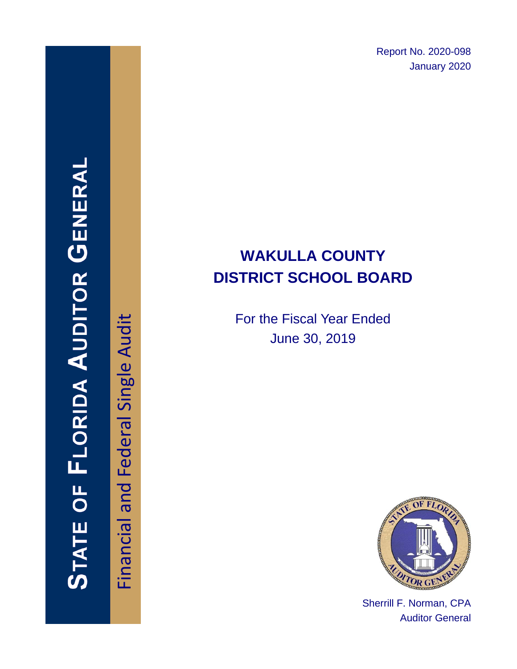Report No. 2020-098 January 2020

# **WAKULLA COUNTY DISTRICT SCHOOL BOARD**

For the Fiscal Year Ended June 30, 2019



Sherrill F. Norman, CPA Auditor General

Financial and Federal Single Audit Financial and Federal Single Audit

**STATE OF FLORIDA AUDITOR GENERAI**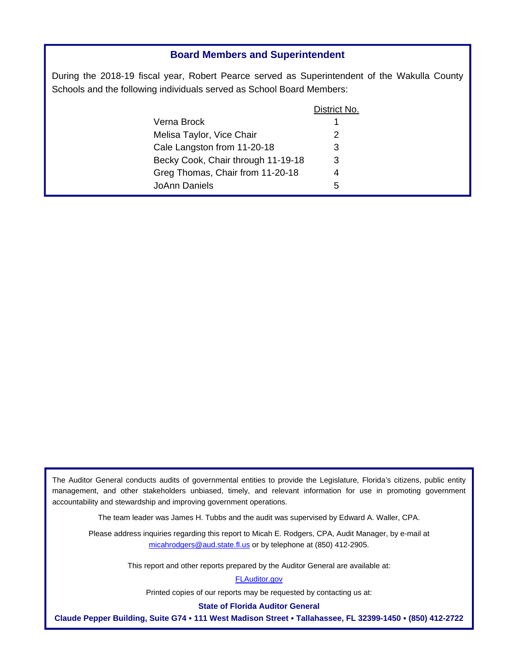#### **Board Members and Superintendent**

During the 2018-19 fiscal year, Robert Pearce served as Superintendent of the Wakulla County Schools and the following individuals served as School Board Members:

|                                    | District No. |  |
|------------------------------------|--------------|--|
| Verna Brock                        |              |  |
| Melisa Taylor, Vice Chair          | 2            |  |
| Cale Langston from 11-20-18        | 3            |  |
| Becky Cook, Chair through 11-19-18 | 3            |  |
| Greg Thomas, Chair from 11-20-18   |              |  |
| JoAnn Daniels                      | 5            |  |
|                                    |              |  |

The Auditor General conducts audits of governmental entities to provide the Legislature, Florida's citizens, public entity management, and other stakeholders unbiased, timely, and relevant information for use in promoting government accountability and stewardship and improving government operations.

The team leader was James H. Tubbs and the audit was supervised by Edward A. Waller, CPA.

Please address inquiries regarding this report to Micah E. Rodgers, CPA, Audit Manager, by e-mail at micahrodgers@aud.state.fl.us or by telephone at (850) 412-2905.

This report and other reports prepared by the Auditor General are available at:

[FLAuditor.gov](https://flauditor.gov)

Printed copies of our reports may be requested by contacting us at:

**State of Florida Auditor General** 

**Claude Pepper Building, Suite G74** ∙ **111 West Madison Street** ∙ **Tallahassee, FL 32399-1450** ∙ **(850) 412-2722**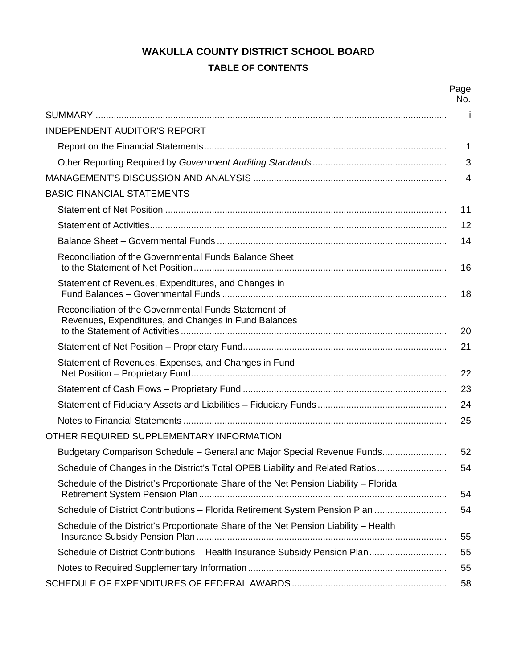# **WAKULLA COUNTY DISTRICT SCHOOL BOARD TABLE OF CONTENTS**

|                                                                                                               | Page<br>No.  |
|---------------------------------------------------------------------------------------------------------------|--------------|
|                                                                                                               | ÷i           |
| <b>INDEPENDENT AUDITOR'S REPORT</b>                                                                           |              |
|                                                                                                               | 1            |
|                                                                                                               | $\mathbf{3}$ |
|                                                                                                               | 4            |
| <b>BASIC FINANCIAL STATEMENTS</b>                                                                             |              |
|                                                                                                               | 11           |
|                                                                                                               | 12           |
|                                                                                                               | 14           |
| Reconciliation of the Governmental Funds Balance Sheet                                                        | 16           |
| Statement of Revenues, Expenditures, and Changes in                                                           | 18           |
| Reconciliation of the Governmental Funds Statement of<br>Revenues, Expenditures, and Changes in Fund Balances | 20           |
|                                                                                                               | 21           |
| Statement of Revenues, Expenses, and Changes in Fund                                                          | 22           |
|                                                                                                               | 23           |
|                                                                                                               | 24           |
|                                                                                                               | 25           |
| OTHER REQUIRED SUPPLEMENTARY INFORMATION                                                                      |              |
| Budgetary Comparison Schedule – General and Major Special Revenue Funds                                       | 52           |
| Schedule of Changes in the District's Total OPEB Liability and Related Ratios                                 | 54           |
| Schedule of the District's Proportionate Share of the Net Pension Liability - Florida                         | 54           |
| Schedule of District Contributions - Florida Retirement System Pension Plan                                   | 54           |
| Schedule of the District's Proportionate Share of the Net Pension Liability - Health                          | 55           |
| Schedule of District Contributions - Health Insurance Subsidy Pension Plan                                    | 55           |
|                                                                                                               | 55           |
|                                                                                                               | 58           |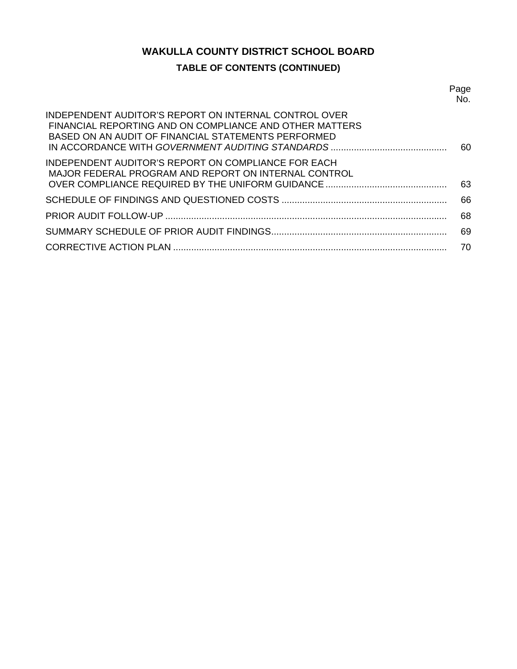### **WAKULLA COUNTY DISTRICT SCHOOL BOARD**

# **TABLE OF CONTENTS (CONTINUED)**

Page No.

| INDEPENDENT AUDITOR'S REPORT ON INTERNAL CONTROL OVER<br>FINANCIAL REPORTING AND ON COMPLIANCE AND OTHER MATTERS<br>BASED ON AN AUDIT OF FINANCIAL STATEMENTS PERFORMED | -60 |
|-------------------------------------------------------------------------------------------------------------------------------------------------------------------------|-----|
| INDEPENDENT AUDITOR'S REPORT ON COMPLIANCE FOR EACH<br>MAJOR FEDERAL PROGRAM AND REPORT ON INTERNAL CONTROL                                                             | 63  |
|                                                                                                                                                                         | 66  |
|                                                                                                                                                                         | 68  |
|                                                                                                                                                                         | 69  |
|                                                                                                                                                                         | 70  |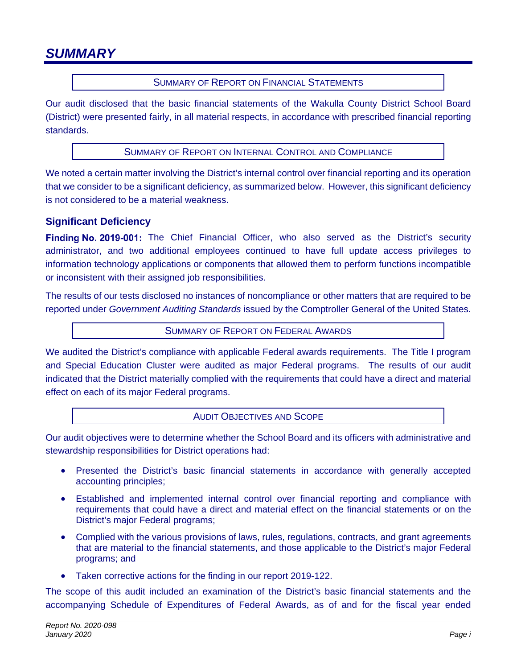### SUMMARY OF REPORT ON FINANCIAL STATEMENTS

<span id="page-4-0"></span>Our audit disclosed that the basic financial statements of the Wakulla County District School Board (District) were presented fairly, in all material respects, in accordance with prescribed financial reporting standards.

SUMMARY OF REPORT ON INTERNAL CONTROL AND COMPLIANCE

We noted a certain matter involving the District's internal control over financial reporting and its operation that we consider to be a significant deficiency, as summarized below. However, this significant deficiency is not considered to be a material weakness.

### **Significant Deficiency**

Finding No. 2019-001: The Chief Financial Officer, who also served as the District's security administrator, and two additional employees continued to have full update access privileges to information technology applications or components that allowed them to perform functions incompatible or inconsistent with their assigned job responsibilities.

The results of our tests disclosed no instances of noncompliance or other matters that are required to be reported under *Government Auditing Standards* issued by the Comptroller General of the United States*.* 

### SUMMARY OF REPORT ON FEDERAL AWARDS

We audited the District's compliance with applicable Federal awards requirements. The Title I program and Special Education Cluster were audited as major Federal programs. The results of our audit indicated that the District materially complied with the requirements that could have a direct and material effect on each of its major Federal programs.

### AUDIT OBJECTIVES AND SCOPE

Our audit objectives were to determine whether the School Board and its officers with administrative and stewardship responsibilities for District operations had:

- Presented the District's basic financial statements in accordance with generally accepted accounting principles;
- Established and implemented internal control over financial reporting and compliance with requirements that could have a direct and material effect on the financial statements or on the District's major Federal programs;
- Complied with the various provisions of laws, rules, regulations, contracts, and grant agreements that are material to the financial statements, and those applicable to the District's major Federal programs; and
- Taken corrective actions for the finding in our report 2019-122.

The scope of this audit included an examination of the District's basic financial statements and the accompanying Schedule of Expenditures of Federal Awards, as of and for the fiscal year ended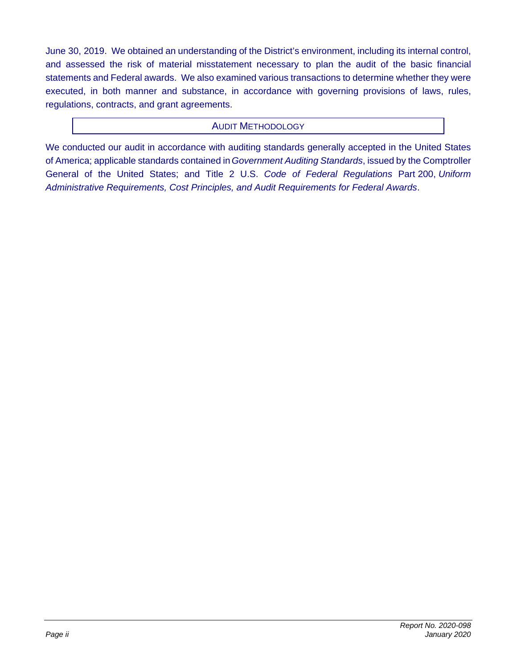June 30, 2019. We obtained an understanding of the District's environment, including its internal control, and assessed the risk of material misstatement necessary to plan the audit of the basic financial statements and Federal awards. We also examined various transactions to determine whether they were executed, in both manner and substance, in accordance with governing provisions of laws, rules, regulations, contracts, and grant agreements.

### AUDIT METHODOLOGY

We conducted our audit in accordance with auditing standards generally accepted in the United States of America; applicable standards contained in *Government Auditing Standards*, issued by the Comptroller General of the United States; and Title 2 U.S. *Code of Federal Regulations* Part 200, *Uniform Administrative Requirements, Cost Principles, and Audit Requirements for Federal Awards*.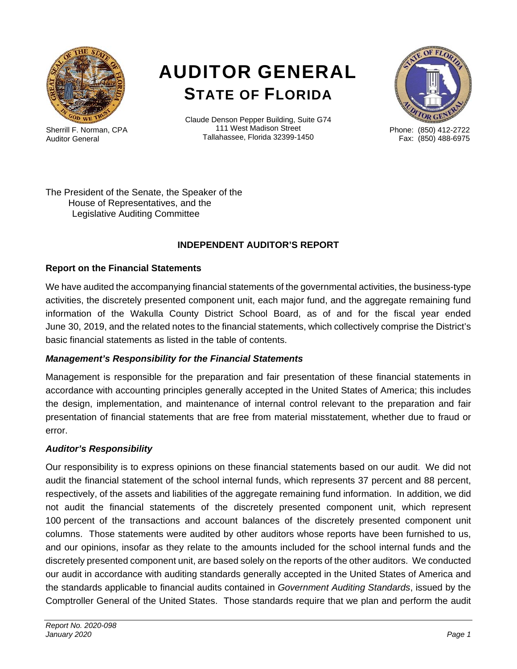<span id="page-6-0"></span>

Sherrill F. Norman, CPA Auditor General

# **AUDITOR GENERAL STATE OF FLORIDA**

Claude Denson Pepper Building, Suite G74 111 West Madison Street Tallahassee, Florida 32399-1450



Phone: (850) 412-2722 Fax: (850) 488-6975

The President of the Senate, the Speaker of the House of Representatives, and the Legislative Auditing Committee

### **INDEPENDENT AUDITOR'S REPORT**

### **Report on the Financial Statements**

We have audited the accompanying financial statements of the governmental activities, the business-type activities, the discretely presented component unit, each major fund, and the aggregate remaining fund information of the Wakulla County District School Board, as of and for the fiscal year ended June 30, 2019, and the related notes to the financial statements, which collectively comprise the District's basic financial statements as listed in the table of contents.

### *Management's Responsibility for the Financial Statements*

Management is responsible for the preparation and fair presentation of these financial statements in accordance with accounting principles generally accepted in the United States of America; this includes the design, implementation, and maintenance of internal control relevant to the preparation and fair presentation of financial statements that are free from material misstatement, whether due to fraud or error.

### *Auditor's Responsibility*

Our responsibility is to express opinions on these financial statements based on our audit. We did not audit the financial statement of the school internal funds, which represents 37 percent and 88 percent, respectively, of the assets and liabilities of the aggregate remaining fund information. In addition, we did not audit the financial statements of the discretely presented component unit, which represent 100 percent of the transactions and account balances of the discretely presented component unit columns. Those statements were audited by other auditors whose reports have been furnished to us, and our opinions, insofar as they relate to the amounts included for the school internal funds and the discretely presented component unit, are based solely on the reports of the other auditors. We conducted our audit in accordance with auditing standards generally accepted in the United States of America and the standards applicable to financial audits contained in *Government Auditing Standards*, issued by the Comptroller General of the United States. Those standards require that we plan and perform the audit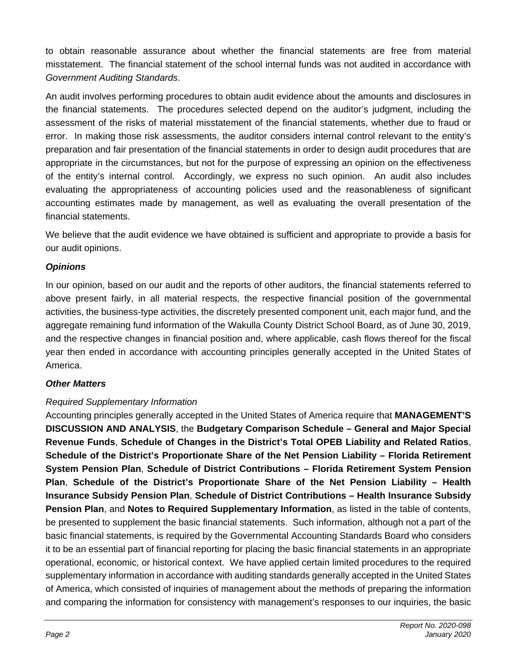to obtain reasonable assurance about whether the financial statements are free from material misstatement. The financial statement of the school internal funds was not audited in accordance with *Government Auditing Standards*.

An audit involves performing procedures to obtain audit evidence about the amounts and disclosures in the financial statements. The procedures selected depend on the auditor's judgment, including the assessment of the risks of material misstatement of the financial statements, whether due to fraud or error. In making those risk assessments, the auditor considers internal control relevant to the entity's preparation and fair presentation of the financial statements in order to design audit procedures that are appropriate in the circumstances, but not for the purpose of expressing an opinion on the effectiveness of the entity's internal control. Accordingly, we express no such opinion. An audit also includes evaluating the appropriateness of accounting policies used and the reasonableness of significant accounting estimates made by management, as well as evaluating the overall presentation of the financial statements.

We believe that the audit evidence we have obtained is sufficient and appropriate to provide a basis for our audit opinions.

### *Opinions*

In our opinion, based on our audit and the reports of other auditors, the financial statements referred to above present fairly, in all material respects, the respective financial position of the governmental activities, the business-type activities, the discretely presented component unit, each major fund, and the aggregate remaining fund information of the Wakulla County District School Board, as of June 30, 2019, and the respective changes in financial position and, where applicable, cash flows thereof for the fiscal year then ended in accordance with accounting principles generally accepted in the United States of America.

### *Other Matters*

### *Required Supplementary Information*

Accounting principles generally accepted in the United States of America require that **MANAGEMENT'S DISCUSSION AND ANALYSIS**, the **Budgetary Comparison Schedule – General and Major Special Revenue Funds**, **Schedule of Changes in the District's Total OPEB Liability and Related Ratios**, **Schedule of the District's Proportionate Share of the Net Pension Liability – Florida Retirement System Pension Plan**, **Schedule of District Contributions – Florida Retirement System Pension Plan**, **Schedule of the District's Proportionate Share of the Net Pension Liability – Health Insurance Subsidy Pension Plan**, **Schedule of District Contributions – Health Insurance Subsidy Pension Plan**, and **Notes to Required Supplementary Information**, as listed in the table of contents, be presented to supplement the basic financial statements. Such information, although not a part of the basic financial statements, is required by the Governmental Accounting Standards Board who considers it to be an essential part of financial reporting for placing the basic financial statements in an appropriate operational, economic, or historical context. We have applied certain limited procedures to the required supplementary information in accordance with auditing standards generally accepted in the United States of America, which consisted of inquiries of management about the methods of preparing the information and comparing the information for consistency with management's responses to our inquiries, the basic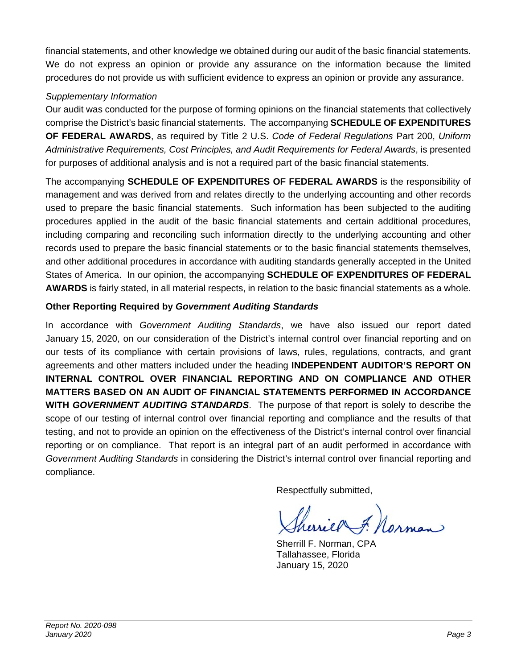<span id="page-8-0"></span>financial statements, and other knowledge we obtained during our audit of the basic financial statements. We do not express an opinion or provide any assurance on the information because the limited procedures do not provide us with sufficient evidence to express an opinion or provide any assurance.

### *Supplementary Information*

Our audit was conducted for the purpose of forming opinions on the financial statements that collectively comprise the District's basic financial statements. The accompanying **SCHEDULE OF EXPENDITURES OF FEDERAL AWARDS**, as required by Title 2 U.S. *Code of Federal Regulations* Part 200, *Uniform Administrative Requirements, Cost Principles, and Audit Requirements for Federal Awards*, is presented for purposes of additional analysis and is not a required part of the basic financial statements.

The accompanying **SCHEDULE OF EXPENDITURES OF FEDERAL AWARDS** is the responsibility of management and was derived from and relates directly to the underlying accounting and other records used to prepare the basic financial statements. Such information has been subjected to the auditing procedures applied in the audit of the basic financial statements and certain additional procedures, including comparing and reconciling such information directly to the underlying accounting and other records used to prepare the basic financial statements or to the basic financial statements themselves, and other additional procedures in accordance with auditing standards generally accepted in the United States of America. In our opinion, the accompanying **SCHEDULE OF EXPENDITURES OF FEDERAL AWARDS** is fairly stated, in all material respects, in relation to the basic financial statements as a whole.

### **Other Reporting Required by** *Government Auditing Standards*

In accordance with *Government Auditing Standards*, we have also issued our report dated January 15, 2020, on our consideration of the District's internal control over financial reporting and on our tests of its compliance with certain provisions of laws, rules, regulations, contracts, and grant agreements and other matters included under the heading **INDEPENDENT AUDITOR'S REPORT ON INTERNAL CONTROL OVER FINANCIAL REPORTING AND ON COMPLIANCE AND OTHER MATTERS BASED ON AN AUDIT OF FINANCIAL STATEMENTS PERFORMED IN ACCORDANCE WITH** *GOVERNMENT AUDITING STANDARDS*. The purpose of that report is solely to describe the scope of our testing of internal control over financial reporting and compliance and the results of that testing, and not to provide an opinion on the effectiveness of the District's internal control over financial reporting or on compliance. That report is an integral part of an audit performed in accordance with *Government Auditing Standards* in considering the District's internal control over financial reporting and compliance.

Respectfully submitted,

Sherrill F. Norman, CPA Tallahassee, Florida January 15, 2020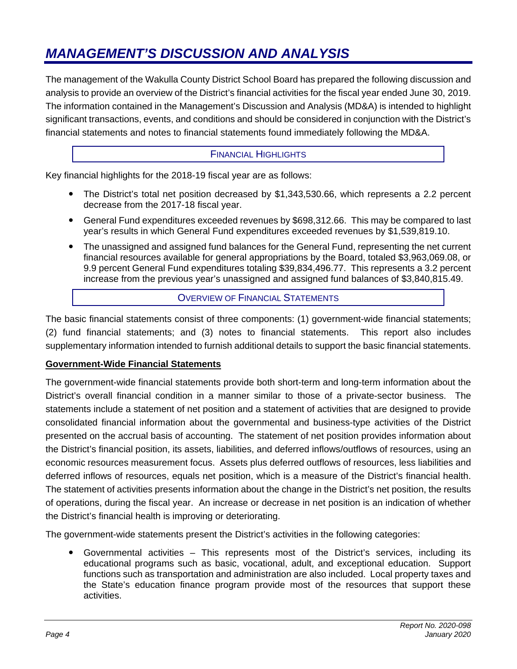# <span id="page-9-0"></span>*MANAGEMENT'S DISCUSSION AND ANALYSIS*

The management of the Wakulla County District School Board has prepared the following discussion and analysis to provide an overview of the District's financial activities for the fiscal year ended June 30, 2019. The information contained in the Management's Discussion and Analysis (MD&A) is intended to highlight significant transactions, events, and conditions and should be considered in conjunction with the District's financial statements and notes to financial statements found immediately following the MD&A.

### FINANCIAL HIGHLIGHTS

Key financial highlights for the 2018-19 fiscal year are as follows:

- The District's total net position decreased by \$1,343,530.66, which represents a 2.2 percent decrease from the 2017-18 fiscal year.
- General Fund expenditures exceeded revenues by \$698,312.66. This may be compared to last year's results in which General Fund expenditures exceeded revenues by \$1,539,819.10.
- The unassigned and assigned fund balances for the General Fund, representing the net current financial resources available for general appropriations by the Board, totaled \$3,963,069.08, or 9.9 percent General Fund expenditures totaling \$39,834,496.77. This represents a 3.2 percent increase from the previous year's unassigned and assigned fund balances of \$3,840,815.49.

### OVERVIEW OF FINANCIAL STATEMENTS

The basic financial statements consist of three components: (1) government-wide financial statements; (2) fund financial statements; and (3) notes to financial statements. This report also includes supplementary information intended to furnish additional details to support the basic financial statements.

### **Government-Wide Financial Statements**

The government-wide financial statements provide both short-term and long-term information about the District's overall financial condition in a manner similar to those of a private-sector business. The statements include a statement of net position and a statement of activities that are designed to provide consolidated financial information about the governmental and business-type activities of the District presented on the accrual basis of accounting. The statement of net position provides information about the District's financial position, its assets, liabilities, and deferred inflows/outflows of resources, using an economic resources measurement focus. Assets plus deferred outflows of resources, less liabilities and deferred inflows of resources, equals net position, which is a measure of the District's financial health. The statement of activities presents information about the change in the District's net position, the results of operations, during the fiscal year. An increase or decrease in net position is an indication of whether the District's financial health is improving or deteriorating.

The government-wide statements present the District's activities in the following categories:

 Governmental activities – This represents most of the District's services, including its educational programs such as basic, vocational, adult, and exceptional education. Support functions such as transportation and administration are also included. Local property taxes and the State's education finance program provide most of the resources that support these activities.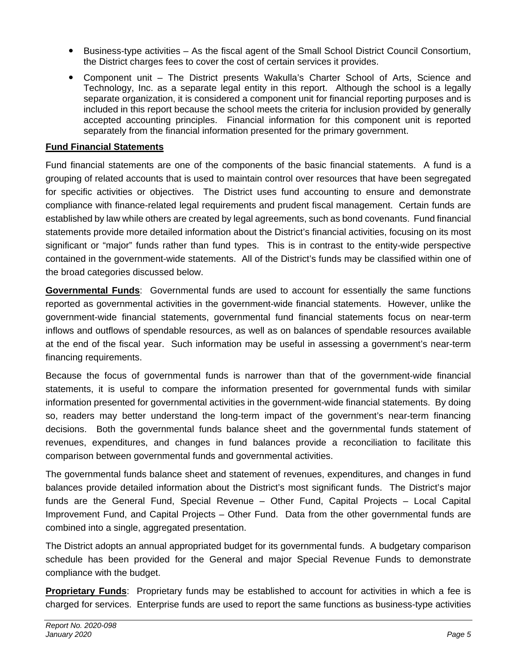- Business-type activities As the fiscal agent of the Small School District Council Consortium, the District charges fees to cover the cost of certain services it provides.
- Component unit The District presents Wakulla's Charter School of Arts, Science and Technology, Inc. as a separate legal entity in this report. Although the school is a legally separate organization, it is considered a component unit for financial reporting purposes and is included in this report because the school meets the criteria for inclusion provided by generally accepted accounting principles. Financial information for this component unit is reported separately from the financial information presented for the primary government.

### **Fund Financial Statements**

Fund financial statements are one of the components of the basic financial statements. A fund is a grouping of related accounts that is used to maintain control over resources that have been segregated for specific activities or objectives. The District uses fund accounting to ensure and demonstrate compliance with finance-related legal requirements and prudent fiscal management. Certain funds are established by law while others are created by legal agreements, such as bond covenants. Fund financial statements provide more detailed information about the District's financial activities, focusing on its most significant or "major" funds rather than fund types. This is in contrast to the entity-wide perspective contained in the government-wide statements. All of the District's funds may be classified within one of the broad categories discussed below.

**Governmental Funds**: Governmental funds are used to account for essentially the same functions reported as governmental activities in the government-wide financial statements. However, unlike the government-wide financial statements, governmental fund financial statements focus on near-term inflows and outflows of spendable resources, as well as on balances of spendable resources available at the end of the fiscal year. Such information may be useful in assessing a government's near-term financing requirements.

Because the focus of governmental funds is narrower than that of the government-wide financial statements, it is useful to compare the information presented for governmental funds with similar information presented for governmental activities in the government-wide financial statements. By doing so, readers may better understand the long-term impact of the government's near-term financing decisions. Both the governmental funds balance sheet and the governmental funds statement of revenues, expenditures, and changes in fund balances provide a reconciliation to facilitate this comparison between governmental funds and governmental activities.

The governmental funds balance sheet and statement of revenues, expenditures, and changes in fund balances provide detailed information about the District's most significant funds. The District's major funds are the General Fund, Special Revenue – Other Fund, Capital Projects – Local Capital Improvement Fund, and Capital Projects – Other Fund. Data from the other governmental funds are combined into a single, aggregated presentation.

The District adopts an annual appropriated budget for its governmental funds. A budgetary comparison schedule has been provided for the General and major Special Revenue Funds to demonstrate compliance with the budget.

**Proprietary Funds**: Proprietary funds may be established to account for activities in which a fee is charged for services. Enterprise funds are used to report the same functions as business-type activities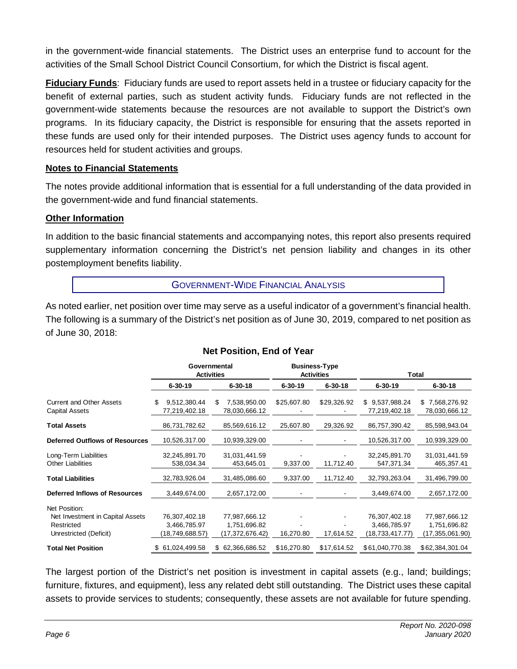in the government-wide financial statements. The District uses an enterprise fund to account for the activities of the Small School District Council Consortium, for which the District is fiscal agent.

**Fiduciary Funds**: Fiduciary funds are used to report assets held in a trustee or fiduciary capacity for the benefit of external parties, such as student activity funds. Fiduciary funds are not reflected in the government-wide statements because the resources are not available to support the District's own programs. In its fiduciary capacity, the District is responsible for ensuring that the assets reported in these funds are used only for their intended purposes. The District uses agency funds to account for resources held for student activities and groups.

### **Notes to Financial Statements**

The notes provide additional information that is essential for a full understanding of the data provided in the government-wide and fund financial statements.

### **Other Information**

In addition to the basic financial statements and accompanying notes, this report also presents required supplementary information concerning the District's net pension liability and changes in its other postemployment benefits liability.

GOVERNMENT-WIDE FINANCIAL ANALYSIS

As noted earlier, net position over time may serve as a useful indicator of a government's financial health. The following is a summary of the District's net position as of June 30, 2019, compared to net position as of June 30, 2018:

|                                                   |                                     | Governmental<br><b>Business-Type</b><br><b>Activities</b><br><b>Activities</b> |               |                          |                                 |                                 |  | Total |
|---------------------------------------------------|-------------------------------------|--------------------------------------------------------------------------------|---------------|--------------------------|---------------------------------|---------------------------------|--|-------|
|                                                   | $6 - 30 - 19$                       | $6 - 30 - 18$                                                                  | $6 - 30 - 19$ | $6 - 30 - 18$            | $6 - 30 - 19$                   | $6 - 30 - 18$                   |  |       |
| <b>Current and Other Assets</b><br>Capital Assets | 9,512,380.44<br>\$<br>77,219,402.18 | 7,538,950.00<br>S.<br>78,030,666.12                                            | \$25,607.80   | \$29,326.92              | \$9,537,988.24<br>77,219,402.18 | \$7,568,276.92<br>78,030,666.12 |  |       |
| <b>Total Assets</b>                               | 86,731,782.62                       | 85,569,616.12                                                                  | 25,607.80     | 29,326.92                | 86,757,390.42                   | 85,598,943.04                   |  |       |
| <b>Deferred Outflows of Resources</b>             | 10,526,317.00                       | 10,939,329.00                                                                  |               | $\overline{\phantom{a}}$ | 10,526,317.00                   | 10,939,329.00                   |  |       |
| Long-Term Liabilities<br><b>Other Liabilities</b> | 32,245,891.70<br>538,034.34         | 31,031,441.59<br>453,645.01                                                    | 9,337.00      | 11,712.40                | 32,245,891.70<br>547,371.34     | 31,031,441.59<br>465,357.41     |  |       |
| <b>Total Liabilities</b>                          | 32,783,926.04                       | 31,485,086.60                                                                  | 9,337.00      | 11,712.40                | 32,793,263.04                   | 31,496,799.00                   |  |       |
| <b>Deferred Inflows of Resources</b>              | 3,449,674.00                        | 2,657,172.00                                                                   |               |                          | 3,449,674.00                    | 2,657,172.00                    |  |       |
| Net Position:                                     |                                     |                                                                                |               |                          |                                 |                                 |  |       |
| Net Investment in Capital Assets                  | 76,307,402.18                       | 77,987,666.12                                                                  |               |                          | 76,307,402.18                   | 77,987,666.12                   |  |       |
| Restricted                                        | 3,466,785.97                        | 1,751,696.82                                                                   |               |                          | 3,466,785.97                    | 1,751,696.82                    |  |       |
| Unrestricted (Deficit)                            | (18, 749, 688.57)                   | (17,372,676.42)                                                                | 16,270.80     | 17,614.52                | (18,733,417.77)                 | (17,355,061.90)                 |  |       |
| <b>Total Net Position</b>                         | 61,024,499.58<br>SS.                | \$62,366,686.52                                                                | \$16,270.80   | \$17,614.52              | \$61,040,770.38                 | \$62,384,301.04                 |  |       |

### **Net Position, End of Year**

The largest portion of the District's net position is investment in capital assets (e.g., land; buildings; furniture, fixtures, and equipment), less any related debt still outstanding. The District uses these capital assets to provide services to students; consequently, these assets are not available for future spending.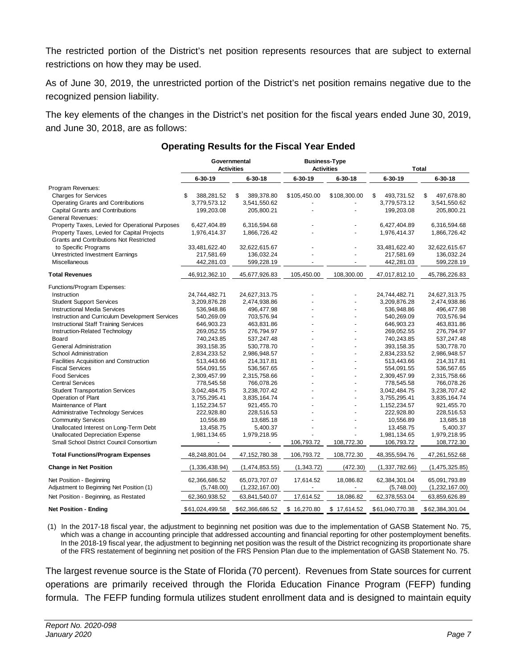The restricted portion of the District's net position represents resources that are subject to external restrictions on how they may be used.

As of June 30, 2019, the unrestricted portion of the District's net position remains negative due to the recognized pension liability.

The key elements of the changes in the District's net position for the fiscal years ended June 30, 2019, and June 30, 2018, are as follows:

|                                                 |                  | Governmental<br><b>Activities</b> | <b>Business-Type</b><br><b>Activities</b> |               |                  | <b>Total</b>     |
|-------------------------------------------------|------------------|-----------------------------------|-------------------------------------------|---------------|------------------|------------------|
|                                                 | 6-30-19          | $6 - 30 - 18$                     | 6-30-19                                   | $6 - 30 - 18$ | 6-30-19          | $6 - 30 - 18$    |
| Program Revenues:                               |                  |                                   |                                           |               |                  |                  |
| <b>Charges for Services</b>                     | \$<br>388,281.52 | \$<br>389,378.80                  | \$105,450.00                              | \$108,300.00  | \$<br>493,731.52 | \$<br>497,678.80 |
| <b>Operating Grants and Contributions</b>       | 3,779,573.12     | 3,541,550.62                      |                                           |               | 3,779,573.12     | 3,541,550.62     |
| <b>Capital Grants and Contributions</b>         | 199,203.08       | 205,800.21                        |                                           |               | 199,203.08       | 205,800.21       |
| <b>General Revenues:</b>                        |                  |                                   |                                           |               |                  |                  |
| Property Taxes, Levied for Operational Purposes | 6,427,404.89     | 6,316,594.68                      |                                           |               | 6,427,404.89     | 6,316,594.68     |
| Property Taxes, Levied for Capital Projects     | 1,976,414.37     | 1,866,726.42                      |                                           |               | 1,976,414.37     | 1,866,726.42     |
| Grants and Contributions Not Restricted         |                  |                                   |                                           |               |                  |                  |
| to Specific Programs                            | 33,481,622.40    | 32,622,615.67                     |                                           |               | 33,481,622.40    | 32,622,615.67    |
| <b>Unrestricted Investment Earnings</b>         | 217,581.69       | 136,032.24                        |                                           |               | 217,581.69       | 136,032.24       |
| Miscellaneous                                   | 442,281.03       | 599,228.19                        |                                           |               | 442,281.03       | 599,228.19       |
| <b>Total Revenues</b>                           | 46,912,362.10    | 45,677,926.83                     | 105,450.00                                | 108,300.00    | 47,017,812.10    | 45,786,226.83    |
| Functions/Program Expenses:                     |                  |                                   |                                           |               |                  |                  |
| Instruction                                     | 24,744,482.71    | 24,627,313.75                     |                                           |               | 24,744,482.71    | 24,627,313.75    |
| <b>Student Support Services</b>                 | 3,209,876.28     | 2,474,938.86                      |                                           |               | 3,209,876.28     | 2,474,938.86     |
| <b>Instructional Media Services</b>             | 536,948.86       | 496,477.98                        |                                           |               | 536,948.86       | 496,477.98       |
| Instruction and Curriculum Development Services | 540,269.09       | 703,576.94                        |                                           |               | 540,269.09       | 703,576.94       |
| <b>Instructional Staff Training Services</b>    | 646,903.23       | 463,831.86                        |                                           |               | 646,903.23       | 463,831.86       |
| Instruction-Related Technology                  | 269,052.55       | 276,794.97                        |                                           |               | 269,052.55       | 276,794.97       |
| Board                                           | 740,243.85       | 537,247.48                        |                                           |               | 740,243.85       | 537,247.48       |
| <b>General Administration</b>                   | 393,158.35       | 530,778.70                        |                                           |               | 393, 158.35      | 530,778.70       |
| School Administration                           | 2,834,233.52     | 2,986,948.57                      |                                           |               | 2,834,233.52     | 2,986,948.57     |
| Facilities Acquisition and Construction         | 513,443.66       | 214,317.81                        |                                           |               | 513,443.66       | 214,317.81       |
| <b>Fiscal Services</b>                          | 554,091.55       | 536,567.65                        |                                           |               | 554,091.55       | 536,567.65       |
| <b>Food Services</b>                            | 2,309,457.99     | 2,315,758.66                      |                                           |               | 2,309,457.99     | 2,315,758.66     |
| <b>Central Services</b>                         | 778,545.58       | 766,078.26                        |                                           |               | 778,545.58       | 766,078.26       |
| <b>Student Transportation Services</b>          | 3,042,484.75     | 3,238,707.42                      |                                           |               | 3,042,484.75     | 3,238,707.42     |
| Operation of Plant                              | 3,755,295.41     | 3,835,164.74                      |                                           |               | 3,755,295.41     | 3,835,164.74     |
| Maintenance of Plant                            | 1,152,234.57     | 921,455.70                        |                                           |               | 1,152,234.57     | 921,455.70       |
| Administrative Technology Services              | 222,928.80       | 228,516.53                        |                                           |               | 222,928.80       | 228,516.53       |
| <b>Community Services</b>                       | 10,556.89        | 13,685.18                         |                                           |               | 10,556.89        | 13,685.18        |
| Unallocated Interest on Long-Term Debt          | 13,458.75        | 5,400.37                          |                                           |               | 13,458.75        | 5,400.37         |
| <b>Unallocated Depreciation Expense</b>         | 1,981,134.65     | 1,979,218.95                      |                                           |               | 1,981,134.65     | 1,979,218.95     |
| Small School District Council Consortium        |                  |                                   | 106,793.72                                | 108,772.30    | 106,793.72       | 108,772.30       |
| <b>Total Functions/Program Expenses</b>         | 48,248,801.04    | 47, 152, 780. 38                  | 106,793.72                                | 108,772.30    | 48,355,594.76    | 47,261,552.68    |
| <b>Change in Net Position</b>                   | (1,336,438.94)   | (1,474,853.55)                    | (1,343.72)                                | (472.30)      | (1,337,782.66)   | (1,475,325.85)   |
|                                                 |                  |                                   |                                           |               |                  |                  |
| Net Position - Beginning                        | 62,366,686.52    | 65,073,707.07                     | 17,614.52                                 | 18,086.82     | 62,384,301.04    | 65,091,793.89    |
| Adjustment to Beginning Net Position (1)        | (5,748.00)       | (1,232,167.00)                    | ۰                                         |               | (5,748.00)       | (1,232,167.00)   |
| Net Position - Beginning, as Restated           | 62,360,938.52    | 63,841,540.07                     | 17,614.52                                 | 18,086.82     | 62,378,553.04    | 63,859,626.89    |
| <b>Net Position - Ending</b>                    | \$61,024,499.58  | \$62,366,686.52                   | \$16,270.80                               | \$17,614.52   | \$61,040,770.38  | \$62,384,301.04  |

### **Operating Results for the Fiscal Year Ended**

 (1) In the 2017-18 fiscal year, the adjustment to beginning net position was due to the implementation of GASB Statement No. 75, which was a change in accounting principle that addressed accounting and financial reporting for other postemployment benefits. In the 2018-19 fiscal year, the adjustment to beginning net position was the result of the District recognizing its proportionate share of the FRS restatement of beginning net position of the FRS Pension Plan due to the implementation of GASB Statement No. 75.

The largest revenue source is the State of Florida (70 percent). Revenues from State sources for current operations are primarily received through the Florida Education Finance Program (FEFP) funding formula. The FEFP funding formula utilizes student enrollment data and is designed to maintain equity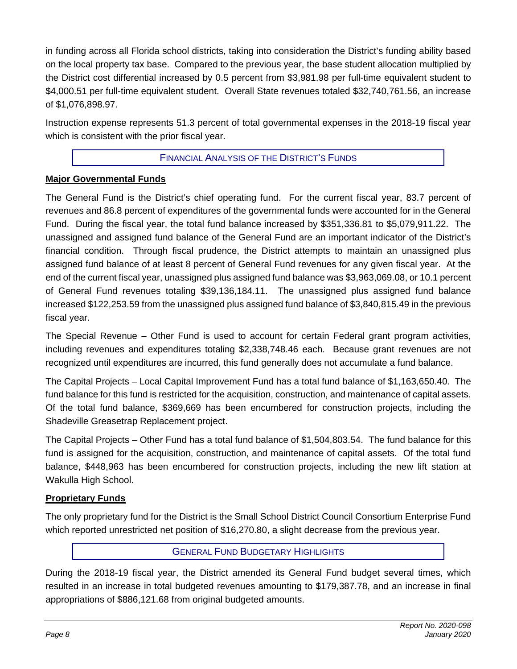in funding across all Florida school districts, taking into consideration the District's funding ability based on the local property tax base. Compared to the previous year, the base student allocation multiplied by the District cost differential increased by 0.5 percent from \$3,981.98 per full-time equivalent student to \$4,000.51 per full-time equivalent student. Overall State revenues totaled \$32,740,761.56, an increase of \$1,076,898.97.

Instruction expense represents 51.3 percent of total governmental expenses in the 2018-19 fiscal year which is consistent with the prior fiscal year.

### FINANCIAL ANALYSIS OF THE DISTRICT'S FUNDS

### **Major Governmental Funds**

The General Fund is the District's chief operating fund. For the current fiscal year, 83.7 percent of revenues and 86.8 percent of expenditures of the governmental funds were accounted for in the General Fund. During the fiscal year, the total fund balance increased by \$351,336.81 to \$5,079,911.22. The unassigned and assigned fund balance of the General Fund are an important indicator of the District's financial condition. Through fiscal prudence, the District attempts to maintain an unassigned plus assigned fund balance of at least 8 percent of General Fund revenues for any given fiscal year. At the end of the current fiscal year, unassigned plus assigned fund balance was \$3,963,069.08, or 10.1 percent of General Fund revenues totaling \$39,136,184.11. The unassigned plus assigned fund balance increased \$122,253.59 from the unassigned plus assigned fund balance of \$3,840,815.49 in the previous fiscal year.

The Special Revenue – Other Fund is used to account for certain Federal grant program activities, including revenues and expenditures totaling \$2,338,748.46 each. Because grant revenues are not recognized until expenditures are incurred, this fund generally does not accumulate a fund balance.

The Capital Projects – Local Capital Improvement Fund has a total fund balance of \$1,163,650.40. The fund balance for this fund is restricted for the acquisition, construction, and maintenance of capital assets. Of the total fund balance, \$369,669 has been encumbered for construction projects, including the Shadeville Greasetrap Replacement project.

The Capital Projects – Other Fund has a total fund balance of \$1,504,803.54. The fund balance for this fund is assigned for the acquisition, construction, and maintenance of capital assets. Of the total fund balance, \$448,963 has been encumbered for construction projects, including the new lift station at Wakulla High School.

### **Proprietary Funds**

The only proprietary fund for the District is the Small School District Council Consortium Enterprise Fund which reported unrestricted net position of \$16,270.80, a slight decrease from the previous year.

GENERAL FUND BUDGETARY HIGHLIGHTS

During the 2018-19 fiscal year, the District amended its General Fund budget several times, which resulted in an increase in total budgeted revenues amounting to \$179,387.78, and an increase in final appropriations of \$886,121.68 from original budgeted amounts.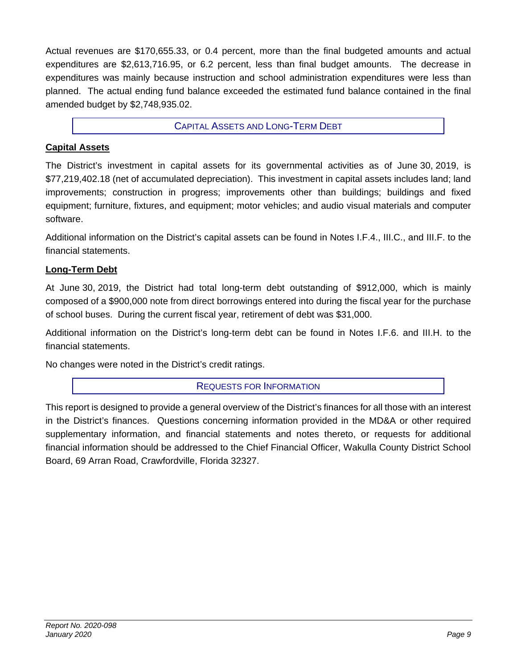Actual revenues are \$170,655.33, or 0.4 percent, more than the final budgeted amounts and actual expenditures are \$2,613,716.95, or 6.2 percent, less than final budget amounts. The decrease in expenditures was mainly because instruction and school administration expenditures were less than planned. The actual ending fund balance exceeded the estimated fund balance contained in the final amended budget by \$2,748,935.02.

### CAPITAL ASSETS AND LONG-TERM DEBT

### **Capital Assets**

The District's investment in capital assets for its governmental activities as of June 30, 2019, is \$77,219,402.18 (net of accumulated depreciation). This investment in capital assets includes land; land improvements; construction in progress; improvements other than buildings; buildings and fixed equipment; furniture, fixtures, and equipment; motor vehicles; and audio visual materials and computer software.

Additional information on the District's capital assets can be found in Notes I.F.4., III.C., and III.F. to the financial statements.

### **Long-Term Debt**

At June 30, 2019, the District had total long-term debt outstanding of \$912,000, which is mainly composed of a \$900,000 note from direct borrowings entered into during the fiscal year for the purchase of school buses. During the current fiscal year, retirement of debt was \$31,000.

Additional information on the District's long-term debt can be found in Notes I.F.6. and III.H. to the financial statements.

No changes were noted in the District's credit ratings.

REQUESTS FOR INFORMATION

This report is designed to provide a general overview of the District's finances for all those with an interest in the District's finances. Questions concerning information provided in the MD&A or other required supplementary information, and financial statements and notes thereto, or requests for additional financial information should be addressed to the Chief Financial Officer, Wakulla County District School Board, 69 Arran Road, Crawfordville, Florida 32327.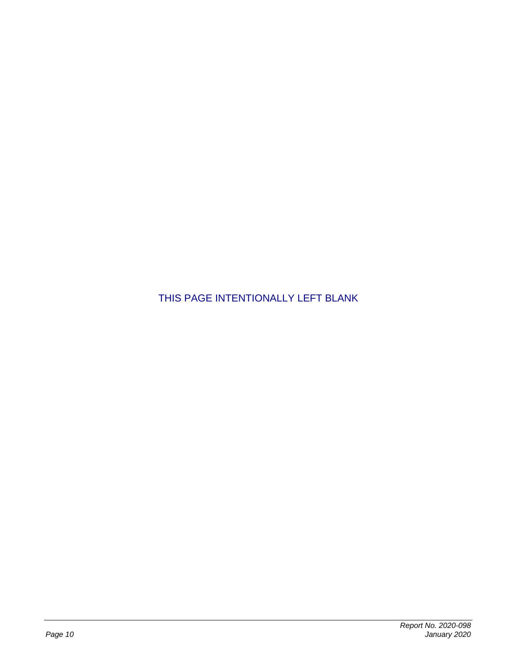THIS PAGE INTENTIONALLY LEFT BLANK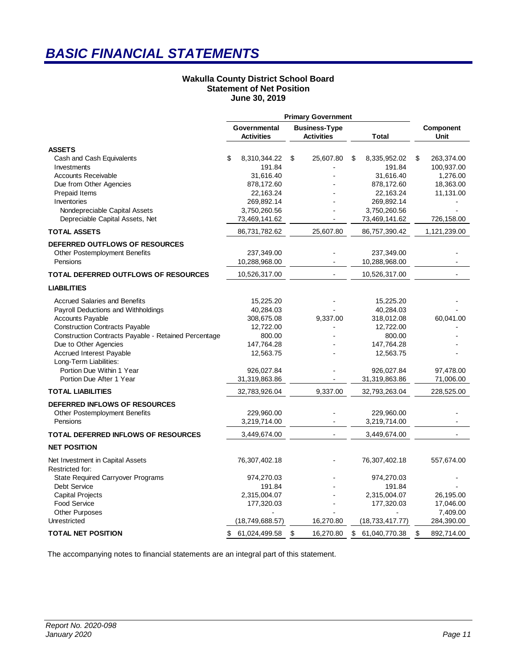# <span id="page-16-0"></span>*BASIC FINANCIAL STATEMENTS*

#### **Wakulla County District School Board Statement of Net Position June 30, 2019**

|                                                                  | <b>Primary Government</b>         |                                           |                               |                                |
|------------------------------------------------------------------|-----------------------------------|-------------------------------------------|-------------------------------|--------------------------------|
|                                                                  | Governmental<br><b>Activities</b> | <b>Business-Type</b><br><b>Activities</b> | Total                         | <b>Component</b><br>Unit       |
| <b>ASSETS</b>                                                    |                                   |                                           |                               |                                |
| Cash and Cash Equivalents<br>Investments                         | \$<br>8,310,344.22<br>191.84      | \$<br>25,607.80                           | \$<br>8,335,952.02<br>191.84  | 263,374.00<br>\$<br>100,937.00 |
| <b>Accounts Receivable</b>                                       | 31,616.40                         |                                           | 31,616.40                     | 1,276.00                       |
| Due from Other Agencies                                          | 878,172.60                        |                                           | 878,172.60                    | 18,363.00                      |
| Prepaid Items                                                    | 22,163.24                         |                                           | 22,163.24                     | 11,131.00                      |
| Inventories                                                      | 269,892.14                        |                                           | 269,892.14                    |                                |
| Nondepreciable Capital Assets<br>Depreciable Capital Assets, Net | 3,750,260.56<br>73,469,141.62     |                                           | 3,750,260.56<br>73,469,141.62 | 726,158.00                     |
| <b>TOTAL ASSETS</b>                                              | 86,731,782.62                     | 25,607.80                                 | 86,757,390.42                 | 1,121,239.00                   |
| DEFERRED OUTFLOWS OF RESOURCES                                   |                                   |                                           |                               |                                |
| Other Postemployment Benefits                                    | 237,349.00                        |                                           | 237,349.00                    |                                |
| Pensions                                                         | 10,288,968.00                     |                                           | 10,288,968.00                 |                                |
| <b>TOTAL DEFERRED OUTFLOWS OF RESOURCES</b>                      | 10,526,317.00                     | $\overline{a}$                            | 10,526,317.00                 | $\overline{a}$                 |
| <b>LIABILITIES</b>                                               |                                   |                                           |                               |                                |
| <b>Accrued Salaries and Benefits</b>                             | 15,225.20                         |                                           | 15,225.20                     |                                |
| Payroll Deductions and Withholdings                              | 40,284.03                         |                                           | 40,284.03                     |                                |
| <b>Accounts Payable</b>                                          | 308,675.08                        | 9,337.00                                  | 318,012.08                    | 60,041.00                      |
| <b>Construction Contracts Payable</b>                            | 12,722.00                         |                                           | 12,722.00                     |                                |
| <b>Construction Contracts Payable - Retained Percentage</b>      | 800.00                            |                                           | 800.00                        |                                |
| Due to Other Agencies<br><b>Accrued Interest Payable</b>         | 147,764.28<br>12,563.75           |                                           | 147,764.28<br>12,563.75       |                                |
| Long-Term Liabilities:                                           |                                   |                                           |                               |                                |
| Portion Due Within 1 Year                                        | 926,027.84                        |                                           | 926,027.84                    | 97,478.00                      |
| Portion Due After 1 Year                                         | 31,319,863.86                     |                                           | 31,319,863.86                 | 71,006.00                      |
| <b>TOTAL LIABILITIES</b>                                         | 32,783,926.04                     | 9,337.00                                  | 32,793,263.04                 | 228,525.00                     |
| DEFERRED INFLOWS OF RESOURCES                                    |                                   |                                           |                               |                                |
| Other Postemployment Benefits                                    | 229,960.00                        |                                           | 229,960.00                    |                                |
| Pensions                                                         | 3,219,714.00                      |                                           | 3,219,714.00                  |                                |
| <b>TOTAL DEFERRED INFLOWS OF RESOURCES</b>                       | 3,449,674.00                      | $\blacksquare$                            | 3,449,674.00                  |                                |
| <b>NET POSITION</b>                                              |                                   |                                           |                               |                                |
| Net Investment in Capital Assets<br>Restricted for:              | 76,307,402.18                     |                                           | 76,307,402.18                 | 557,674.00                     |
| <b>State Required Carryover Programs</b>                         | 974,270.03                        |                                           | 974,270.03                    |                                |
| Debt Service                                                     | 191.84                            |                                           | 191.84                        |                                |
| <b>Capital Projects</b>                                          | 2,315,004.07                      |                                           | 2,315,004.07                  | 26,195.00                      |
| Food Service<br><b>Other Purposes</b>                            | 177,320.03                        |                                           | 177,320.03                    | 17,046.00<br>7,409.00          |
| Unrestricted                                                     | (18, 749, 688.57)                 | 16,270.80                                 | (18, 733, 417.77)             | 284,390.00                     |
| <b>TOTAL NET POSITION</b>                                        | 61,024,499.58<br>\$               | \$<br>16,270.80                           | 61,040,770.38<br>\$           | \$<br>892,714.00               |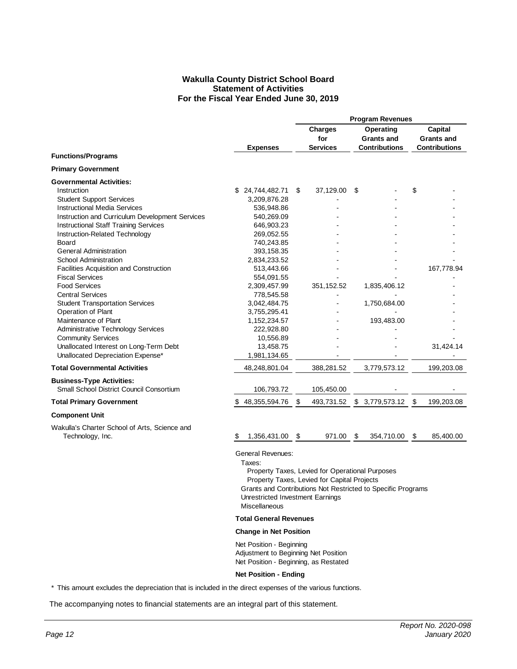#### **Wakulla County District School Board Statement of Activities For the Fiscal Year Ended June 30, 2019**

<span id="page-17-0"></span>

| <b>Charges</b><br>Capital<br>Operating<br>for<br><b>Grants and</b><br><b>Grants and</b><br><b>Services</b><br><b>Contributions</b><br><b>Contributions</b><br><b>Expenses</b><br><b>Governmental Activities:</b><br>\$<br>Instruction<br>\$24,744,482.71<br>37,129.00<br>\$<br>\$<br><b>Student Support Services</b><br>3,209,876.28<br><b>Instructional Media Services</b><br>536,948.86<br>Instruction and Curriculum Development Services<br>540,269.09<br><b>Instructional Staff Training Services</b><br>646,903.23<br>Instruction-Related Technology<br>269,052.55<br>Board<br>740,243.85<br><b>General Administration</b><br>393,158.35<br>School Administration<br>2,834,233.52<br>Facilities Acquisition and Construction<br>513,443.66<br>167,778.94<br><b>Fiscal Services</b><br>554,091.55<br><b>Food Services</b><br>351,152.52<br>1,835,406.12<br>2,309,457.99<br><b>Central Services</b><br>778,545.58<br>1,750,684.00<br><b>Student Transportation Services</b><br>3,042,484.75<br>Operation of Plant<br>3,755,295.41<br>Maintenance of Plant<br>1,152,234.57<br>193,483.00<br>Administrative Technology Services<br>222,928.80<br><b>Community Services</b><br>10,556.89<br>31,424.14<br>Unallocated Interest on Long-Term Debt<br>13,458.75<br>Unallocated Depreciation Expense*<br>1,981,134.65<br><b>Total Governmental Activities</b><br>388,281.52<br>48,248,801.04<br>3,779,573.12<br>199,203.08<br>Small School District Council Consortium<br>106,793.72<br>105,450.00<br>48,355,594.76<br>\$<br>493,731.52<br>$$3,779,573.12$ \$<br>199,203.08<br>971.00<br>85,400.00<br>Technology, Inc.<br>\$<br>1,356,431.00<br>\$<br>- \$<br>354,710.00<br>- \$<br>General Revenues:<br>Taxes:<br>Property Taxes, Levied for Operational Purposes<br>Property Taxes, Levied for Capital Projects<br>Grants and Contributions Not Restricted to Specific Programs<br><b>Unrestricted Investment Earnings</b><br><b>Miscellaneous</b><br><b>Total General Revenues</b><br><b>Change in Net Position</b><br>Net Position - Beginning<br>Adjustment to Beginning Net Position |                                               |  | <b>Program Revenues</b> |  |  |  |  |  |
|-----------------------------------------------------------------------------------------------------------------------------------------------------------------------------------------------------------------------------------------------------------------------------------------------------------------------------------------------------------------------------------------------------------------------------------------------------------------------------------------------------------------------------------------------------------------------------------------------------------------------------------------------------------------------------------------------------------------------------------------------------------------------------------------------------------------------------------------------------------------------------------------------------------------------------------------------------------------------------------------------------------------------------------------------------------------------------------------------------------------------------------------------------------------------------------------------------------------------------------------------------------------------------------------------------------------------------------------------------------------------------------------------------------------------------------------------------------------------------------------------------------------------------------------------------------------------------------------------------------------------------------------------------------------------------------------------------------------------------------------------------------------------------------------------------------------------------------------------------------------------------------------------------------------------------------------------------------------------------------------------------------------------------------------------------------------------------------------|-----------------------------------------------|--|-------------------------|--|--|--|--|--|
|                                                                                                                                                                                                                                                                                                                                                                                                                                                                                                                                                                                                                                                                                                                                                                                                                                                                                                                                                                                                                                                                                                                                                                                                                                                                                                                                                                                                                                                                                                                                                                                                                                                                                                                                                                                                                                                                                                                                                                                                                                                                                         |                                               |  |                         |  |  |  |  |  |
|                                                                                                                                                                                                                                                                                                                                                                                                                                                                                                                                                                                                                                                                                                                                                                                                                                                                                                                                                                                                                                                                                                                                                                                                                                                                                                                                                                                                                                                                                                                                                                                                                                                                                                                                                                                                                                                                                                                                                                                                                                                                                         |                                               |  |                         |  |  |  |  |  |
|                                                                                                                                                                                                                                                                                                                                                                                                                                                                                                                                                                                                                                                                                                                                                                                                                                                                                                                                                                                                                                                                                                                                                                                                                                                                                                                                                                                                                                                                                                                                                                                                                                                                                                                                                                                                                                                                                                                                                                                                                                                                                         | <b>Functions/Programs</b>                     |  |                         |  |  |  |  |  |
|                                                                                                                                                                                                                                                                                                                                                                                                                                                                                                                                                                                                                                                                                                                                                                                                                                                                                                                                                                                                                                                                                                                                                                                                                                                                                                                                                                                                                                                                                                                                                                                                                                                                                                                                                                                                                                                                                                                                                                                                                                                                                         | <b>Primary Government</b>                     |  |                         |  |  |  |  |  |
|                                                                                                                                                                                                                                                                                                                                                                                                                                                                                                                                                                                                                                                                                                                                                                                                                                                                                                                                                                                                                                                                                                                                                                                                                                                                                                                                                                                                                                                                                                                                                                                                                                                                                                                                                                                                                                                                                                                                                                                                                                                                                         |                                               |  |                         |  |  |  |  |  |
|                                                                                                                                                                                                                                                                                                                                                                                                                                                                                                                                                                                                                                                                                                                                                                                                                                                                                                                                                                                                                                                                                                                                                                                                                                                                                                                                                                                                                                                                                                                                                                                                                                                                                                                                                                                                                                                                                                                                                                                                                                                                                         |                                               |  |                         |  |  |  |  |  |
|                                                                                                                                                                                                                                                                                                                                                                                                                                                                                                                                                                                                                                                                                                                                                                                                                                                                                                                                                                                                                                                                                                                                                                                                                                                                                                                                                                                                                                                                                                                                                                                                                                                                                                                                                                                                                                                                                                                                                                                                                                                                                         |                                               |  |                         |  |  |  |  |  |
|                                                                                                                                                                                                                                                                                                                                                                                                                                                                                                                                                                                                                                                                                                                                                                                                                                                                                                                                                                                                                                                                                                                                                                                                                                                                                                                                                                                                                                                                                                                                                                                                                                                                                                                                                                                                                                                                                                                                                                                                                                                                                         |                                               |  |                         |  |  |  |  |  |
|                                                                                                                                                                                                                                                                                                                                                                                                                                                                                                                                                                                                                                                                                                                                                                                                                                                                                                                                                                                                                                                                                                                                                                                                                                                                                                                                                                                                                                                                                                                                                                                                                                                                                                                                                                                                                                                                                                                                                                                                                                                                                         |                                               |  |                         |  |  |  |  |  |
|                                                                                                                                                                                                                                                                                                                                                                                                                                                                                                                                                                                                                                                                                                                                                                                                                                                                                                                                                                                                                                                                                                                                                                                                                                                                                                                                                                                                                                                                                                                                                                                                                                                                                                                                                                                                                                                                                                                                                                                                                                                                                         |                                               |  |                         |  |  |  |  |  |
|                                                                                                                                                                                                                                                                                                                                                                                                                                                                                                                                                                                                                                                                                                                                                                                                                                                                                                                                                                                                                                                                                                                                                                                                                                                                                                                                                                                                                                                                                                                                                                                                                                                                                                                                                                                                                                                                                                                                                                                                                                                                                         |                                               |  |                         |  |  |  |  |  |
|                                                                                                                                                                                                                                                                                                                                                                                                                                                                                                                                                                                                                                                                                                                                                                                                                                                                                                                                                                                                                                                                                                                                                                                                                                                                                                                                                                                                                                                                                                                                                                                                                                                                                                                                                                                                                                                                                                                                                                                                                                                                                         |                                               |  |                         |  |  |  |  |  |
|                                                                                                                                                                                                                                                                                                                                                                                                                                                                                                                                                                                                                                                                                                                                                                                                                                                                                                                                                                                                                                                                                                                                                                                                                                                                                                                                                                                                                                                                                                                                                                                                                                                                                                                                                                                                                                                                                                                                                                                                                                                                                         |                                               |  |                         |  |  |  |  |  |
|                                                                                                                                                                                                                                                                                                                                                                                                                                                                                                                                                                                                                                                                                                                                                                                                                                                                                                                                                                                                                                                                                                                                                                                                                                                                                                                                                                                                                                                                                                                                                                                                                                                                                                                                                                                                                                                                                                                                                                                                                                                                                         |                                               |  |                         |  |  |  |  |  |
|                                                                                                                                                                                                                                                                                                                                                                                                                                                                                                                                                                                                                                                                                                                                                                                                                                                                                                                                                                                                                                                                                                                                                                                                                                                                                                                                                                                                                                                                                                                                                                                                                                                                                                                                                                                                                                                                                                                                                                                                                                                                                         |                                               |  |                         |  |  |  |  |  |
|                                                                                                                                                                                                                                                                                                                                                                                                                                                                                                                                                                                                                                                                                                                                                                                                                                                                                                                                                                                                                                                                                                                                                                                                                                                                                                                                                                                                                                                                                                                                                                                                                                                                                                                                                                                                                                                                                                                                                                                                                                                                                         |                                               |  |                         |  |  |  |  |  |
|                                                                                                                                                                                                                                                                                                                                                                                                                                                                                                                                                                                                                                                                                                                                                                                                                                                                                                                                                                                                                                                                                                                                                                                                                                                                                                                                                                                                                                                                                                                                                                                                                                                                                                                                                                                                                                                                                                                                                                                                                                                                                         |                                               |  |                         |  |  |  |  |  |
|                                                                                                                                                                                                                                                                                                                                                                                                                                                                                                                                                                                                                                                                                                                                                                                                                                                                                                                                                                                                                                                                                                                                                                                                                                                                                                                                                                                                                                                                                                                                                                                                                                                                                                                                                                                                                                                                                                                                                                                                                                                                                         |                                               |  |                         |  |  |  |  |  |
|                                                                                                                                                                                                                                                                                                                                                                                                                                                                                                                                                                                                                                                                                                                                                                                                                                                                                                                                                                                                                                                                                                                                                                                                                                                                                                                                                                                                                                                                                                                                                                                                                                                                                                                                                                                                                                                                                                                                                                                                                                                                                         |                                               |  |                         |  |  |  |  |  |
|                                                                                                                                                                                                                                                                                                                                                                                                                                                                                                                                                                                                                                                                                                                                                                                                                                                                                                                                                                                                                                                                                                                                                                                                                                                                                                                                                                                                                                                                                                                                                                                                                                                                                                                                                                                                                                                                                                                                                                                                                                                                                         |                                               |  |                         |  |  |  |  |  |
|                                                                                                                                                                                                                                                                                                                                                                                                                                                                                                                                                                                                                                                                                                                                                                                                                                                                                                                                                                                                                                                                                                                                                                                                                                                                                                                                                                                                                                                                                                                                                                                                                                                                                                                                                                                                                                                                                                                                                                                                                                                                                         |                                               |  |                         |  |  |  |  |  |
|                                                                                                                                                                                                                                                                                                                                                                                                                                                                                                                                                                                                                                                                                                                                                                                                                                                                                                                                                                                                                                                                                                                                                                                                                                                                                                                                                                                                                                                                                                                                                                                                                                                                                                                                                                                                                                                                                                                                                                                                                                                                                         |                                               |  |                         |  |  |  |  |  |
|                                                                                                                                                                                                                                                                                                                                                                                                                                                                                                                                                                                                                                                                                                                                                                                                                                                                                                                                                                                                                                                                                                                                                                                                                                                                                                                                                                                                                                                                                                                                                                                                                                                                                                                                                                                                                                                                                                                                                                                                                                                                                         |                                               |  |                         |  |  |  |  |  |
|                                                                                                                                                                                                                                                                                                                                                                                                                                                                                                                                                                                                                                                                                                                                                                                                                                                                                                                                                                                                                                                                                                                                                                                                                                                                                                                                                                                                                                                                                                                                                                                                                                                                                                                                                                                                                                                                                                                                                                                                                                                                                         |                                               |  |                         |  |  |  |  |  |
|                                                                                                                                                                                                                                                                                                                                                                                                                                                                                                                                                                                                                                                                                                                                                                                                                                                                                                                                                                                                                                                                                                                                                                                                                                                                                                                                                                                                                                                                                                                                                                                                                                                                                                                                                                                                                                                                                                                                                                                                                                                                                         |                                               |  |                         |  |  |  |  |  |
|                                                                                                                                                                                                                                                                                                                                                                                                                                                                                                                                                                                                                                                                                                                                                                                                                                                                                                                                                                                                                                                                                                                                                                                                                                                                                                                                                                                                                                                                                                                                                                                                                                                                                                                                                                                                                                                                                                                                                                                                                                                                                         |                                               |  |                         |  |  |  |  |  |
|                                                                                                                                                                                                                                                                                                                                                                                                                                                                                                                                                                                                                                                                                                                                                                                                                                                                                                                                                                                                                                                                                                                                                                                                                                                                                                                                                                                                                                                                                                                                                                                                                                                                                                                                                                                                                                                                                                                                                                                                                                                                                         | <b>Business-Type Activities:</b>              |  |                         |  |  |  |  |  |
|                                                                                                                                                                                                                                                                                                                                                                                                                                                                                                                                                                                                                                                                                                                                                                                                                                                                                                                                                                                                                                                                                                                                                                                                                                                                                                                                                                                                                                                                                                                                                                                                                                                                                                                                                                                                                                                                                                                                                                                                                                                                                         |                                               |  |                         |  |  |  |  |  |
|                                                                                                                                                                                                                                                                                                                                                                                                                                                                                                                                                                                                                                                                                                                                                                                                                                                                                                                                                                                                                                                                                                                                                                                                                                                                                                                                                                                                                                                                                                                                                                                                                                                                                                                                                                                                                                                                                                                                                                                                                                                                                         | <b>Total Primary Government</b>               |  |                         |  |  |  |  |  |
|                                                                                                                                                                                                                                                                                                                                                                                                                                                                                                                                                                                                                                                                                                                                                                                                                                                                                                                                                                                                                                                                                                                                                                                                                                                                                                                                                                                                                                                                                                                                                                                                                                                                                                                                                                                                                                                                                                                                                                                                                                                                                         | <b>Component Unit</b>                         |  |                         |  |  |  |  |  |
|                                                                                                                                                                                                                                                                                                                                                                                                                                                                                                                                                                                                                                                                                                                                                                                                                                                                                                                                                                                                                                                                                                                                                                                                                                                                                                                                                                                                                                                                                                                                                                                                                                                                                                                                                                                                                                                                                                                                                                                                                                                                                         | Wakulla's Charter School of Arts, Science and |  |                         |  |  |  |  |  |
|                                                                                                                                                                                                                                                                                                                                                                                                                                                                                                                                                                                                                                                                                                                                                                                                                                                                                                                                                                                                                                                                                                                                                                                                                                                                                                                                                                                                                                                                                                                                                                                                                                                                                                                                                                                                                                                                                                                                                                                                                                                                                         |                                               |  |                         |  |  |  |  |  |
|                                                                                                                                                                                                                                                                                                                                                                                                                                                                                                                                                                                                                                                                                                                                                                                                                                                                                                                                                                                                                                                                                                                                                                                                                                                                                                                                                                                                                                                                                                                                                                                                                                                                                                                                                                                                                                                                                                                                                                                                                                                                                         |                                               |  |                         |  |  |  |  |  |
|                                                                                                                                                                                                                                                                                                                                                                                                                                                                                                                                                                                                                                                                                                                                                                                                                                                                                                                                                                                                                                                                                                                                                                                                                                                                                                                                                                                                                                                                                                                                                                                                                                                                                                                                                                                                                                                                                                                                                                                                                                                                                         |                                               |  |                         |  |  |  |  |  |
|                                                                                                                                                                                                                                                                                                                                                                                                                                                                                                                                                                                                                                                                                                                                                                                                                                                                                                                                                                                                                                                                                                                                                                                                                                                                                                                                                                                                                                                                                                                                                                                                                                                                                                                                                                                                                                                                                                                                                                                                                                                                                         |                                               |  |                         |  |  |  |  |  |
| Net Position - Beginning, as Restated                                                                                                                                                                                                                                                                                                                                                                                                                                                                                                                                                                                                                                                                                                                                                                                                                                                                                                                                                                                                                                                                                                                                                                                                                                                                                                                                                                                                                                                                                                                                                                                                                                                                                                                                                                                                                                                                                                                                                                                                                                                   |                                               |  |                         |  |  |  |  |  |
| <b>Net Position - Ending</b>                                                                                                                                                                                                                                                                                                                                                                                                                                                                                                                                                                                                                                                                                                                                                                                                                                                                                                                                                                                                                                                                                                                                                                                                                                                                                                                                                                                                                                                                                                                                                                                                                                                                                                                                                                                                                                                                                                                                                                                                                                                            |                                               |  |                         |  |  |  |  |  |

\* This amount excludes the depreciation that is included in the direct expenses of the various functions.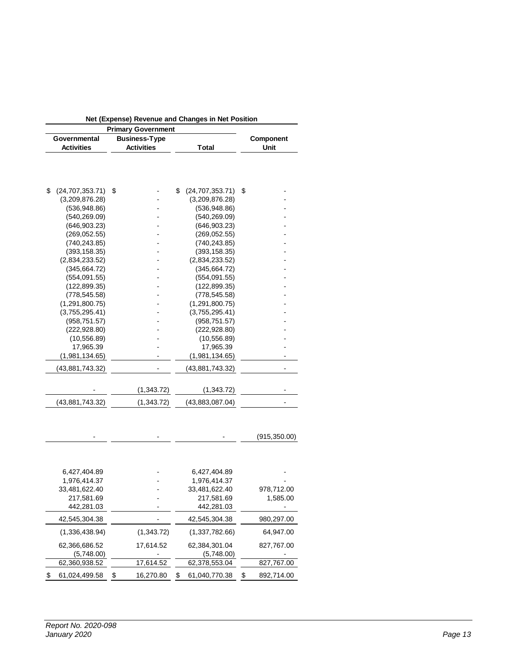|                                   |                |                                           | Net (Expense) Revenue and Changes in Net Position |                |                   |
|-----------------------------------|----------------|-------------------------------------------|---------------------------------------------------|----------------|-------------------|
|                                   |                | <b>Primary Government</b>                 |                                                   |                |                   |
| Governmental<br><b>Activities</b> |                | <b>Business-Type</b><br><b>Activities</b> | <b>Total</b>                                      |                | Component<br>Unit |
|                                   |                |                                           |                                                   |                |                   |
| \$<br>(24, 707, 353.71)           | \$             |                                           | \$<br>(24, 707, 353.71)                           | \$             |                   |
| (3,209,876.28)                    |                |                                           | (3,209,876.28)                                    |                |                   |
| (536, 948.86)                     |                |                                           | (536,948.86)                                      |                |                   |
| (540, 269.09)                     |                |                                           | (540, 269.09)                                     |                |                   |
| (646, 903.23)                     |                |                                           | (646, 903.23)                                     |                |                   |
| (269, 052.55)                     |                |                                           | (269, 052.55)                                     |                |                   |
| (740, 243.85)                     |                |                                           | (740, 243.85)                                     |                |                   |
| (393, 158.35)                     |                |                                           | (393, 158.35)                                     |                |                   |
| (2,834,233.52)                    |                |                                           | (2,834,233.52)                                    |                |                   |
| (345, 664.72)                     |                |                                           | (345, 664.72)                                     |                |                   |
| (554,091.55)                      |                |                                           | (554,091.55)                                      |                |                   |
| (122, 899.35)                     |                |                                           | (122, 899.35)                                     |                |                   |
| (778, 545.58)                     |                |                                           | (778, 545.58)                                     |                |                   |
| (1, 291, 800.75)                  |                |                                           | (1,291,800.75)                                    |                |                   |
| (3,755,295.41)                    |                |                                           | (3,755,295.41)                                    |                |                   |
| (958, 751.57)                     |                |                                           | (958, 751.57)                                     |                |                   |
| (222, 928.80)                     |                |                                           | (222, 928.80)                                     |                |                   |
| (10, 556.89)                      |                |                                           | (10, 556.89)                                      |                |                   |
| 17,965.39                         |                |                                           | 17,965.39                                         |                |                   |
| (1,981,134.65)                    |                |                                           | (1,981,134.65)                                    |                |                   |
| (43,881,743.32)                   |                |                                           | (43,881,743.32)                                   |                |                   |
|                                   |                | (1,343.72)                                | (1,343.72)                                        |                |                   |
| (43,881,743.32)                   |                | (1,343.72)                                | (43,883,087.04)                                   |                |                   |
|                                   |                |                                           |                                                   |                |                   |
|                                   |                |                                           |                                                   |                | (915, 350.00)     |
|                                   |                |                                           |                                                   |                |                   |
| 6,427,404.89                      |                |                                           | 6,427,404.89                                      |                |                   |
| 1,976,414.37                      |                |                                           | 1,976,414.37                                      |                |                   |
| 33,481,622.40                     |                |                                           | 33,481,622.40                                     |                | 978.712.00        |
| 217,581.69                        |                |                                           | 217,581.69                                        |                | 1,585.00          |
| 442,281.03                        |                |                                           | 442,281.03                                        |                |                   |
| 42,545,304.38                     |                |                                           | 42,545,304.38                                     |                | 980,297.00        |
| (1,336,438.94)                    |                | (1,343.72)                                | (1,337,782.66)                                    |                | 64,947.00         |
| 62,366,686.52                     |                | 17,614.52                                 | 62,384,301.04                                     |                | 827,767.00        |
| (5,748.00)                        |                |                                           | (5,748.00)                                        |                |                   |
| 62,360,938.52                     |                | 17,614.52                                 | 62,378,553.04                                     |                | 827,767.00        |
| \$<br>61,024,499.58               | $\overline{e}$ | 16,270.80                                 | \$<br>61,040,770.38                               | $\overline{v}$ | 892,714.00        |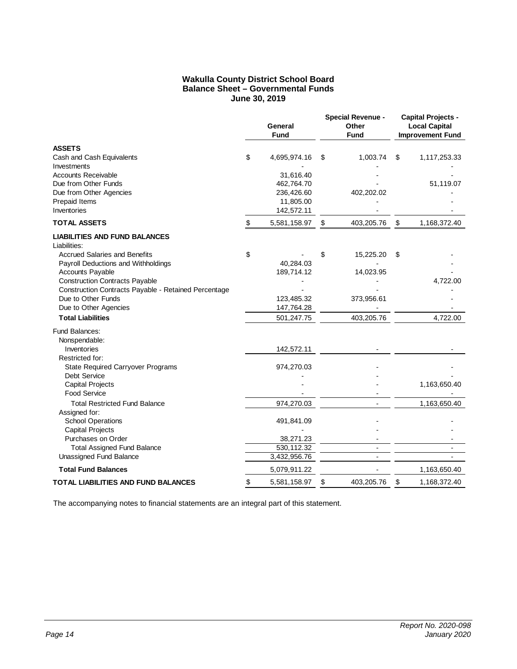#### **Wakulla County District School Board Balance Sheet – Governmental Funds June 30, 2019**

<span id="page-19-0"></span>

|                                                                            | General<br><b>Fund</b> | <b>Special Revenue -</b><br>Other<br><b>Fund</b> | <b>Capital Projects -</b><br><b>Local Capital</b><br><b>Improvement Fund</b> |
|----------------------------------------------------------------------------|------------------------|--------------------------------------------------|------------------------------------------------------------------------------|
| <b>ASSETS</b>                                                              |                        |                                                  |                                                                              |
| Cash and Cash Equivalents                                                  | \$<br>4,695,974.16     | \$<br>1,003.74                                   | \$<br>1,117,253.33                                                           |
| Investments                                                                |                        |                                                  |                                                                              |
| <b>Accounts Receivable</b>                                                 | 31,616.40              |                                                  |                                                                              |
| Due from Other Funds                                                       | 462,764.70             |                                                  | 51,119.07                                                                    |
| Due from Other Agencies                                                    | 236,426.60             | 402,202.02                                       |                                                                              |
| Prepaid Items                                                              | 11,805.00              |                                                  |                                                                              |
| Inventories                                                                | 142,572.11             |                                                  |                                                                              |
| <b>TOTAL ASSETS</b>                                                        | \$<br>5,581,158.97     | \$<br>403,205.76                                 | \$<br>1,168,372.40                                                           |
| <b>LIABILITIES AND FUND BALANCES</b>                                       |                        |                                                  |                                                                              |
| Liabilities:                                                               |                        |                                                  |                                                                              |
| <b>Accrued Salaries and Benefits</b>                                       | \$                     | \$<br>15,225.20                                  | \$                                                                           |
| Payroll Deductions and Withholdings                                        | 40,284.03              |                                                  |                                                                              |
| <b>Accounts Payable</b>                                                    | 189,714.12             | 14,023.95                                        |                                                                              |
| <b>Construction Contracts Payable</b>                                      |                        |                                                  | 4,722.00                                                                     |
| Construction Contracts Payable - Retained Percentage<br>Due to Other Funds | 123,485.32             | 373,956.61                                       |                                                                              |
| Due to Other Agencies                                                      | 147,764.28             |                                                  |                                                                              |
| <b>Total Liabilities</b>                                                   | 501,247.75             | 403,205.76                                       | 4,722.00                                                                     |
| Fund Balances:                                                             |                        |                                                  |                                                                              |
| Nonspendable:                                                              |                        |                                                  |                                                                              |
| Inventories                                                                | 142,572.11             |                                                  |                                                                              |
| Restricted for:                                                            |                        |                                                  |                                                                              |
| <b>State Required Carryover Programs</b>                                   | 974,270.03             |                                                  |                                                                              |
| <b>Debt Service</b>                                                        |                        |                                                  |                                                                              |
| <b>Capital Projects</b>                                                    |                        |                                                  | 1,163,650.40                                                                 |
| <b>Food Service</b>                                                        |                        |                                                  |                                                                              |
| <b>Total Restricted Fund Balance</b>                                       | 974,270.03             |                                                  | 1,163,650.40                                                                 |
| Assigned for:                                                              |                        |                                                  |                                                                              |
| <b>School Operations</b>                                                   | 491,841.09             |                                                  |                                                                              |
| <b>Capital Projects</b>                                                    |                        |                                                  |                                                                              |
| Purchases on Order                                                         | 38,271.23              |                                                  |                                                                              |
| <b>Total Assigned Fund Balance</b>                                         | 530,112.32             |                                                  |                                                                              |
| Unassigned Fund Balance                                                    | 3,432,956.76           |                                                  |                                                                              |
| <b>Total Fund Balances</b>                                                 | 5,079,911.22           |                                                  | 1,163,650.40                                                                 |
| TOTAL LIABILITIES AND FUND BALANCES                                        | \$<br>5,581,158.97     | \$<br>403,205.76                                 | \$<br>1,168,372.40                                                           |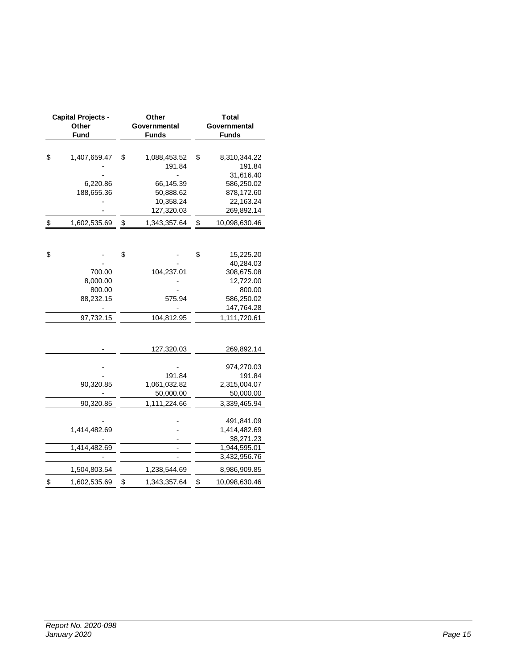| <b>Capital Projects -</b><br>Other<br><b>Fund</b> | Other<br>Governmental<br><b>Funds</b> | Total<br>Governmental<br><b>Funds</b> |
|---------------------------------------------------|---------------------------------------|---------------------------------------|
|                                                   |                                       |                                       |
| \$<br>1,407,659.47                                | \$<br>1,088,453.52                    | \$<br>8,310,344.22                    |
|                                                   | 191.84                                | 191.84                                |
|                                                   | $\overline{a}$                        | 31,616.40                             |
| 6,220.86                                          | 66,145.39                             | 586,250.02<br>878,172.60              |
| 188,655.36                                        | 50,888.62<br>10,358.24                | 22,163.24                             |
|                                                   | 127,320.03                            | 269,892.14                            |
|                                                   |                                       |                                       |
| \$<br>1,602,535.69                                | \$<br>1,343,357.64                    | \$<br>10,098,630.46                   |
| \$                                                | \$                                    | \$<br>15,225.20                       |
|                                                   |                                       | 40,284.03                             |
| 700.00                                            | 104,237.01                            | 308,675.08                            |
| 8,000.00                                          |                                       | 12,722.00                             |
| 800.00                                            |                                       | 800.00                                |
| 88,232.15                                         | 575.94                                | 586,250.02                            |
|                                                   |                                       | 147,764.28                            |
| 97,732.15                                         | 104,812.95                            | 1,111,720.61                          |
|                                                   |                                       |                                       |
|                                                   | 127,320.03                            | 269,892.14                            |
|                                                   |                                       | 974,270.03                            |
|                                                   | 191.84                                | 191.84                                |
| 90,320.85                                         | 1,061,032.82                          | 2,315,004.07                          |
|                                                   | 50,000.00                             | 50,000.00                             |
| 90,320.85                                         | 1,111,224.66                          | 3,339,465.94                          |
|                                                   |                                       | 491,841.09                            |
| 1,414,482.69                                      |                                       | 1,414,482.69                          |
|                                                   |                                       | 38,271.23                             |
| 1,414,482.69                                      |                                       | 1,944,595.01                          |
|                                                   |                                       | 3,432,956.76                          |
| 1,504,803.54                                      | 1,238,544.69                          | 8,986,909.85                          |
| \$<br>1,602,535.69                                | \$<br>1,343,357.64                    | \$<br>10,098,630.46                   |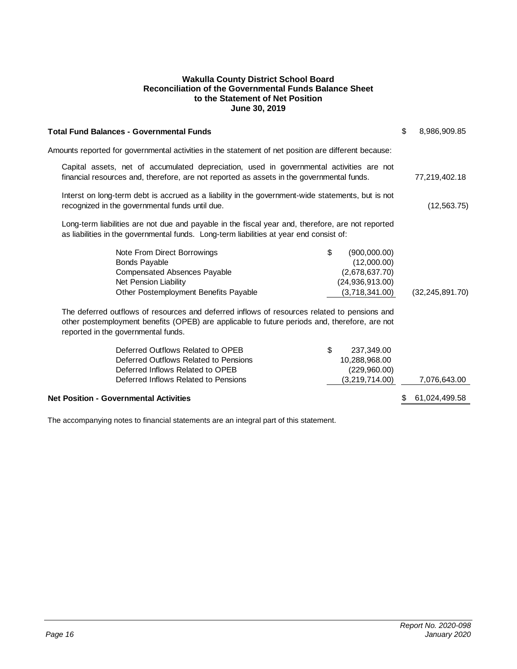#### **Wakulla County District School Board Reconciliation of the Governmental Funds Balance Sheet to the Statement of Net Position June 30, 2019**

<span id="page-21-0"></span>

|                                                                                                                                                                                                                                      | Total Fund Balances - Governmental Funds                                                                                                                                                     |                                                                                            | \$<br>8,986,909.85 |
|--------------------------------------------------------------------------------------------------------------------------------------------------------------------------------------------------------------------------------------|----------------------------------------------------------------------------------------------------------------------------------------------------------------------------------------------|--------------------------------------------------------------------------------------------|--------------------|
|                                                                                                                                                                                                                                      | Amounts reported for governmental activities in the statement of net position are different because:                                                                                         |                                                                                            |                    |
| Capital assets, net of accumulated depreciation, used in governmental activities are not<br>financial resources and, therefore, are not reported as assets in the governmental funds.                                                | 77,219,402.18                                                                                                                                                                                |                                                                                            |                    |
| Interst on long-term debt is accrued as a liability in the government-wide statements, but is not<br>recognized in the governmental funds until due.                                                                                 | (12, 563.75)                                                                                                                                                                                 |                                                                                            |                    |
|                                                                                                                                                                                                                                      | Long-term liabilities are not due and payable in the fiscal year and, therefore, are not reported<br>as liabilities in the governmental funds. Long-term liabilities at year end consist of: |                                                                                            |                    |
|                                                                                                                                                                                                                                      | Note From Direct Borrowings<br><b>Bonds Payable</b><br><b>Compensated Absences Payable</b><br>Net Pension Liability<br>Other Postemployment Benefits Payable                                 | \$<br>(900,000.00)<br>(12,000.00)<br>(2,678,637.70)<br>(24, 936, 913.00)<br>(3,718,341.00) |                    |
| The deferred outflows of resources and deferred inflows of resources related to pensions and<br>other postemployment benefits (OPEB) are applicable to future periods and, therefore, are not<br>reported in the governmental funds. | (32, 245, 891.70)                                                                                                                                                                            |                                                                                            |                    |
|                                                                                                                                                                                                                                      | Deferred Outflows Related to OPEB<br>Deferred Outflows Related to Pensions<br>Deferred Inflows Related to OPEB<br>Deferred Inflows Related to Pensions                                       | \$<br>237,349.00<br>10,288,968.00<br>(229,960.00)<br>(3,219,714.00)                        | 7,076,643.00       |
|                                                                                                                                                                                                                                      | <b>Net Position - Governmental Activities</b>                                                                                                                                                |                                                                                            | 61,024,499.58      |
|                                                                                                                                                                                                                                      |                                                                                                                                                                                              |                                                                                            |                    |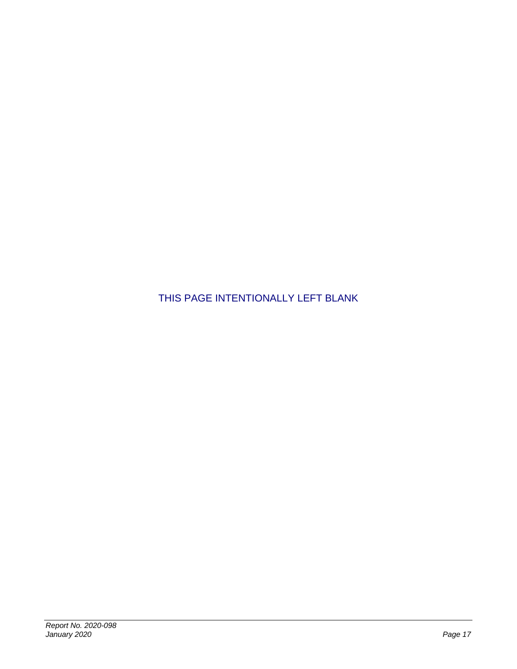THIS PAGE INTENTIONALLY LEFT BLANK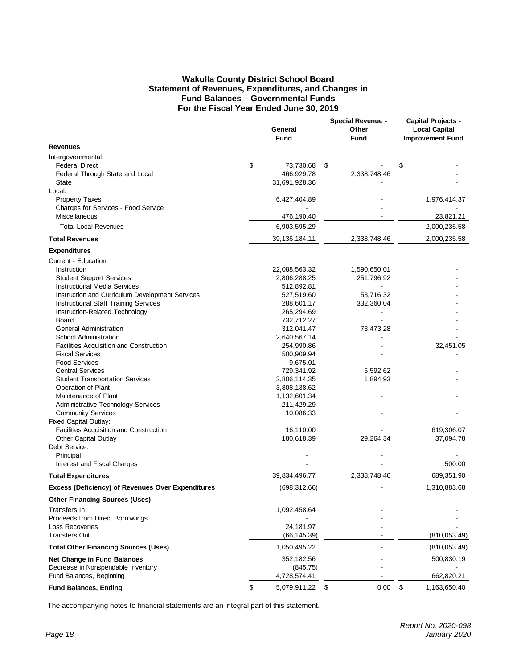#### **Wakulla County District School Board Statement of Revenues, Expenditures, and Changes in Fund Balances – Governmental Funds For the Fiscal Year Ended June 30, 2019**

<span id="page-23-0"></span>

|                                                                                                                                                                                                                                                                                                                                                                                                                                                                                                                                                                                                                                                                                                                                                  | General<br><b>Fund</b>                                                                                                                                                                                                                                                                        | <b>Special Revenue -</b><br>Other<br><b>Fund</b>                                                        | <b>Capital Projects -</b><br><b>Local Capital</b><br><b>Improvement Fund</b> |
|--------------------------------------------------------------------------------------------------------------------------------------------------------------------------------------------------------------------------------------------------------------------------------------------------------------------------------------------------------------------------------------------------------------------------------------------------------------------------------------------------------------------------------------------------------------------------------------------------------------------------------------------------------------------------------------------------------------------------------------------------|-----------------------------------------------------------------------------------------------------------------------------------------------------------------------------------------------------------------------------------------------------------------------------------------------|---------------------------------------------------------------------------------------------------------|------------------------------------------------------------------------------|
| <b>Revenues</b>                                                                                                                                                                                                                                                                                                                                                                                                                                                                                                                                                                                                                                                                                                                                  |                                                                                                                                                                                                                                                                                               |                                                                                                         |                                                                              |
| Intergovernmental:<br><b>Federal Direct</b><br>Federal Through State and Local<br>State                                                                                                                                                                                                                                                                                                                                                                                                                                                                                                                                                                                                                                                          | \$<br>73,730.68<br>466,929.78<br>31,691,928.36                                                                                                                                                                                                                                                | \$<br>2,338,748.46                                                                                      | \$                                                                           |
| Local:<br><b>Property Taxes</b><br>Charges for Services - Food Service<br><b>Miscellaneous</b>                                                                                                                                                                                                                                                                                                                                                                                                                                                                                                                                                                                                                                                   | 6,427,404.89<br>476,190.40                                                                                                                                                                                                                                                                    |                                                                                                         | 1,976,414.37<br>23,821.21                                                    |
| <b>Total Local Revenues</b>                                                                                                                                                                                                                                                                                                                                                                                                                                                                                                                                                                                                                                                                                                                      | 6,903,595.29                                                                                                                                                                                                                                                                                  |                                                                                                         | 2,000,235.58                                                                 |
| <b>Total Revenues</b>                                                                                                                                                                                                                                                                                                                                                                                                                                                                                                                                                                                                                                                                                                                            | 39, 136, 184. 11                                                                                                                                                                                                                                                                              | 2,338,748.46                                                                                            | 2,000,235.58                                                                 |
| <b>Expenditures</b>                                                                                                                                                                                                                                                                                                                                                                                                                                                                                                                                                                                                                                                                                                                              |                                                                                                                                                                                                                                                                                               |                                                                                                         |                                                                              |
| Current - Education:<br>Instruction<br><b>Student Support Services</b><br><b>Instructional Media Services</b><br>Instruction and Curriculum Development Services<br><b>Instructional Staff Training Services</b><br>Instruction-Related Technology<br>Board<br><b>General Administration</b><br>School Administration<br><b>Facilities Acquisition and Construction</b><br><b>Fiscal Services</b><br><b>Food Services</b><br><b>Central Services</b><br><b>Student Transportation Services</b><br>Operation of Plant<br>Maintenance of Plant<br><b>Administrative Technology Services</b><br><b>Community Services</b><br>Fixed Capital Outlay:<br>Facilities Acquisition and Construction<br>Other Capital Outlay<br>Debt Service:<br>Principal | 22,088,563.32<br>2,806,288.25<br>512,892.81<br>527,519.60<br>288,601.17<br>265,294.69<br>732,712.27<br>312,041.47<br>2,640,567.14<br>254,990.86<br>500,909.94<br>9,675.01<br>729,341.92<br>2,806,114.35<br>3,808,138.62<br>1,132,601.34<br>211,429.29<br>10,086.33<br>16,110.00<br>180,618.39 | 1,590,650.01<br>251,796.92<br>53,716.32<br>332,360.04<br>73,473.28<br>5,592.62<br>1,894.93<br>29,264.34 | 32,451.05<br>619,306.07<br>37,094.78                                         |
| Interest and Fiscal Charges                                                                                                                                                                                                                                                                                                                                                                                                                                                                                                                                                                                                                                                                                                                      |                                                                                                                                                                                                                                                                                               |                                                                                                         | 500.00                                                                       |
| <b>Total Expenditures</b>                                                                                                                                                                                                                                                                                                                                                                                                                                                                                                                                                                                                                                                                                                                        | 39,834,496.77                                                                                                                                                                                                                                                                                 | 2,338,748.46                                                                                            | 689,351.90                                                                   |
| <b>Excess (Deficiency) of Revenues Over Expenditures</b>                                                                                                                                                                                                                                                                                                                                                                                                                                                                                                                                                                                                                                                                                         | (698, 312.66)                                                                                                                                                                                                                                                                                 |                                                                                                         | 1,310,883.68                                                                 |
| <b>Other Financing Sources (Uses)</b>                                                                                                                                                                                                                                                                                                                                                                                                                                                                                                                                                                                                                                                                                                            |                                                                                                                                                                                                                                                                                               |                                                                                                         |                                                                              |
| Transfers In<br>Proceeds from Direct Borrowings<br>Loss Recoveries<br><b>Transfers Out</b>                                                                                                                                                                                                                                                                                                                                                                                                                                                                                                                                                                                                                                                       | 1,092,458.64<br>24,181.97<br>(66, 145.39)                                                                                                                                                                                                                                                     |                                                                                                         | (810, 053.49)                                                                |
| <b>Total Other Financing Sources (Uses)</b>                                                                                                                                                                                                                                                                                                                                                                                                                                                                                                                                                                                                                                                                                                      | 1,050,495.22                                                                                                                                                                                                                                                                                  |                                                                                                         | (810, 053.49)                                                                |
| Net Change in Fund Balances<br>Decrease in Nonspendable Inventory<br>Fund Balances, Beginning                                                                                                                                                                                                                                                                                                                                                                                                                                                                                                                                                                                                                                                    | 352,182.56<br>(845.75)<br>4,728,574.41                                                                                                                                                                                                                                                        |                                                                                                         | 500,830.19<br>662,820.21                                                     |
| <b>Fund Balances, Ending</b>                                                                                                                                                                                                                                                                                                                                                                                                                                                                                                                                                                                                                                                                                                                     | \$<br>5,079,911.22                                                                                                                                                                                                                                                                            | 0.00<br>\$                                                                                              | \$<br>1,163,650.40                                                           |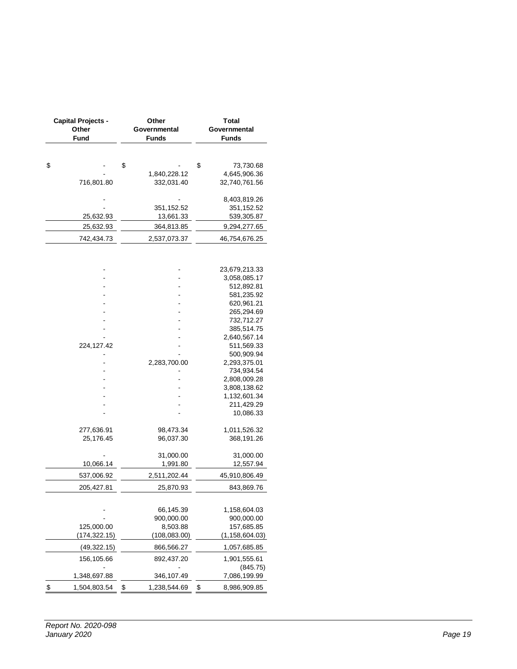| <b>Capital Projects -</b><br>Other<br>Fund | Other<br>Governmental<br><b>Funds</b>                | Total<br>Governmental<br><b>Funds</b>                                                                                                                                                                                                                                  |
|--------------------------------------------|------------------------------------------------------|------------------------------------------------------------------------------------------------------------------------------------------------------------------------------------------------------------------------------------------------------------------------|
| \$<br>716,801.80                           | \$<br>1,840,228.12<br>332,031.40                     | \$<br>73,730.68<br>4,645,906.36<br>32,740,761.56                                                                                                                                                                                                                       |
| 25,632.93                                  | 351, 152.52<br>13,661.33                             | 8,403,819.26<br>351,152.52<br>539,305.87                                                                                                                                                                                                                               |
| 25,632.93                                  | 364,813.85                                           | 9,294,277.65                                                                                                                                                                                                                                                           |
| 742,434.73                                 | 2,537,073.37                                         | 46,754,676.25                                                                                                                                                                                                                                                          |
| 224,127.42                                 | 2,283,700.00                                         | 23,679,213.33<br>3,058,085.17<br>512,892.81<br>581,235.92<br>620,961.21<br>265,294.69<br>732,712.27<br>385,514.75<br>2,640,567.14<br>511,569.33<br>500,909.94<br>2,293,375.01<br>734,934.54<br>2,808,009.28<br>3,808,138.62<br>1,132,601.34<br>211,429.29<br>10,086.33 |
| 277,636.91<br>25,176.45                    | 98,473.34<br>96,037.30                               | 1,011,526.32<br>368,191.26                                                                                                                                                                                                                                             |
| 10,066.14<br>537,006.92<br>205,427.81      | 31,000.00<br>1,991.80<br>2,511,202.44<br>25,870.93   | 31,000.00<br>12,557.94<br>45,910,806.49<br>843,869.76                                                                                                                                                                                                                  |
| 125,000.00<br>(174, 322.15)                | 66,145.39<br>900,000.00<br>8,503.88<br>(108, 083.00) | 1,158,604.03<br>900,000.00<br>157,685.85<br>(1, 158, 604.03)                                                                                                                                                                                                           |
| (49, 322.15)                               | 866,566.27                                           | 1,057,685.85                                                                                                                                                                                                                                                           |
| 156,105.66<br>1,348,697.88                 | 892,437.20<br>346,107.49                             | 1,901,555.61<br>(845.75)<br>7,086,199.99                                                                                                                                                                                                                               |
| \$<br>1,504,803.54                         | \$<br>1,238,544.69                                   | \$<br>8,986,909.85                                                                                                                                                                                                                                                     |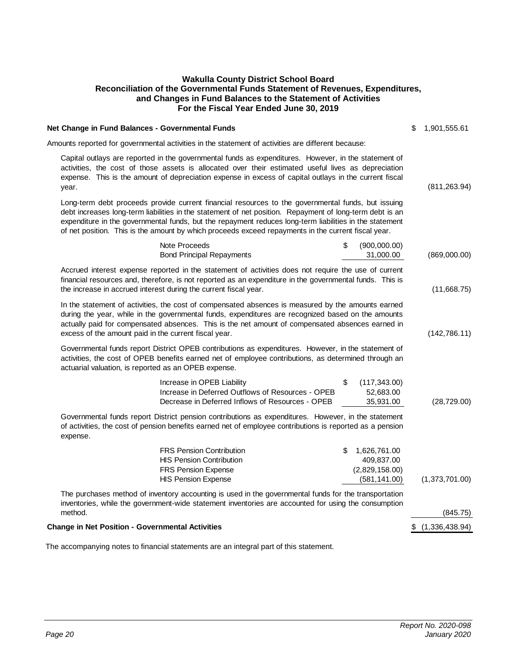#### <span id="page-25-0"></span>**Wakulla County District School Board Reconciliation of the Governmental Funds Statement of Revenues, Expenditures, and Changes in Fund Balances to the Statement of Activities For the Fiscal Year Ended June 30, 2019**

### **Net Change in Fund Balances - Governmental Funds 1,901,555.61 \$** 1,901,555.61 (811,263.94) Note Proceeds 6 (900,000,00) Bond Principal Repayments 31,000.00 (869,000.00) (142,786.11) Increase in OPEB Liability  $$(117,343.00)$ Increase in Deferred Outflows of Resources - OPEB 52,683,00 Decrease in Deferred Inflows of Resources - OPEB 35,931.00 (28,729.00) Amounts reported for governmental activities in the statement of activities are different because: Long-term debt proceeds provide current financial resources to the governmental funds, but issuing debt increases long-term liabilities in the statement of net position. Repayment of long-term debt is an expenditure in the governmental funds, but the repayment reduces long-term liabilities in the statement of net position. This is the amount by which proceeds exceed repayments in the current fiscal year. Accrued interest expense reported in the statement of activities does not require the use of current financial resources and, therefore, is not reported as an expenditure in the governmental funds. This is the increase in accrued interest during the current fiscal year. Capital outlays are reported in the governmental funds as expenditures. However, in the statement of activities, the cost of those assets is allocated over their estimated useful lives as depreciation expense. This is the amount of depreciation expense in excess of capital outlays in the current fiscal year. In the statement of activities, the cost of compensated absences is measured by the amounts earned during the year, while in the governmental funds, expenditures are recognized based on the amounts actually paid for compensated absences. This is the net amount of compensated absences earned in excess of the amount paid in the current fiscal year. Governmental funds report District pension contributions as expenditures. However, in the statement Governmental funds report District OPEB contributions as expenditures. However, in the statement of activities, the cost of OPEB benefits earned net of employee contributions, as determined through an actuarial valuation, is reported as an OPEB expense.

of activities, the cost of pension benefits earned net of employee contributions is reported as a pension expense.

| FRS Pension Contribution   | \$ 1.626,761.00 |                |
|----------------------------|-----------------|----------------|
| HIS Pension Contribution   | 409.837.00      |                |
| <b>FRS Pension Expense</b> | (2.829.158.00)  |                |
| <b>HIS Pension Expense</b> | (581, 141.00)   | (1,373,701.00) |
|                            |                 |                |

The purchases method of inventory accounting is used in the governmental funds for the transportation inventories, while the government-wide statement inventories are accounted for using the consumption method.

#### **Change in Net Position - Governmental Activities 5 (1,336,438.94) 5 (1,336,438.94)**

The accompanying notes to financial statements are an integral part of this statement.

(845.75)

(11,668.75)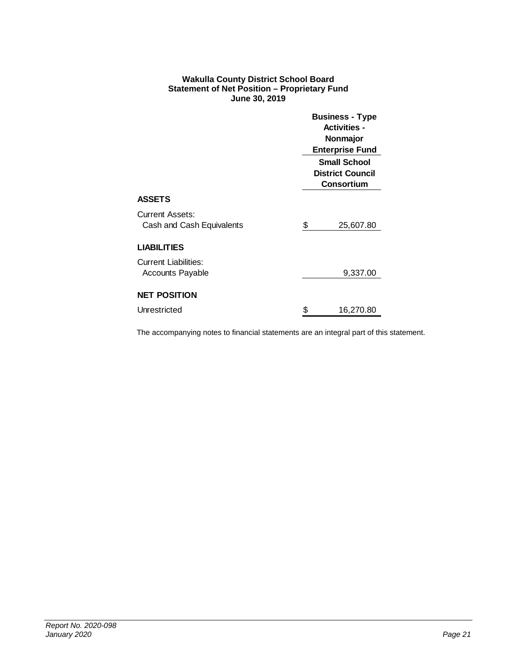#### **Wakulla County District School Board Statement of Net Position – Proprietary Fund June 30, 2019**

<span id="page-26-0"></span>

|                                                 | <b>Business - Type</b><br><b>Activities -</b><br>Nonmajor<br><b>Enterprise Fund</b> |  |
|-------------------------------------------------|-------------------------------------------------------------------------------------|--|
|                                                 | <b>Small School</b><br><b>District Council</b><br>Consortium                        |  |
| ASSETS                                          |                                                                                     |  |
| Current Assets:<br>Cash and Cash Equivalents    | \$<br>25,607.80                                                                     |  |
| LIABILITIES                                     |                                                                                     |  |
| Current Liabilities:<br><b>Accounts Payable</b> | 9,337.00                                                                            |  |
| NET POSITION                                    |                                                                                     |  |
| Unrestricted                                    | \$<br>16,270.80                                                                     |  |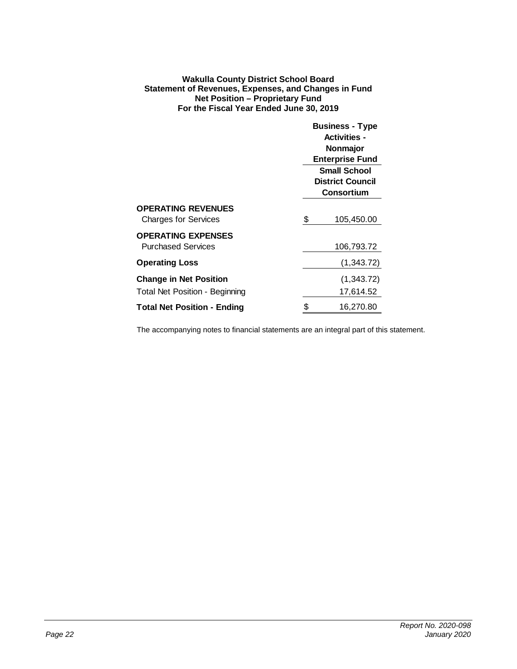#### <span id="page-27-0"></span>**Wakulla County District School Board Statement of Revenues, Expenses, and Changes in Fund Net Position – Proprietary Fund For the Fiscal Year Ended June 30, 2019**

|                                                                 | <b>Business - Type</b><br><b>Activities -</b><br><b>Nonmajor</b><br><b>Enterprise Fund</b><br><b>Small School</b><br><b>District Council</b><br><b>Consortium</b> |
|-----------------------------------------------------------------|-------------------------------------------------------------------------------------------------------------------------------------------------------------------|
| <b>OPERATING REVENUES</b><br><b>Charges for Services</b>        | \$<br>105,450.00                                                                                                                                                  |
| <b>OPERATING EXPENSES</b><br><b>Purchased Services</b>          | 106,793.72                                                                                                                                                        |
| <b>Operating Loss</b>                                           | (1,343.72)                                                                                                                                                        |
| <b>Change in Net Position</b><br>Total Net Position - Beginning | (1,343.72)<br>17,614.52                                                                                                                                           |
| <b>Total Net Position - Ending</b>                              | 16,270.80                                                                                                                                                         |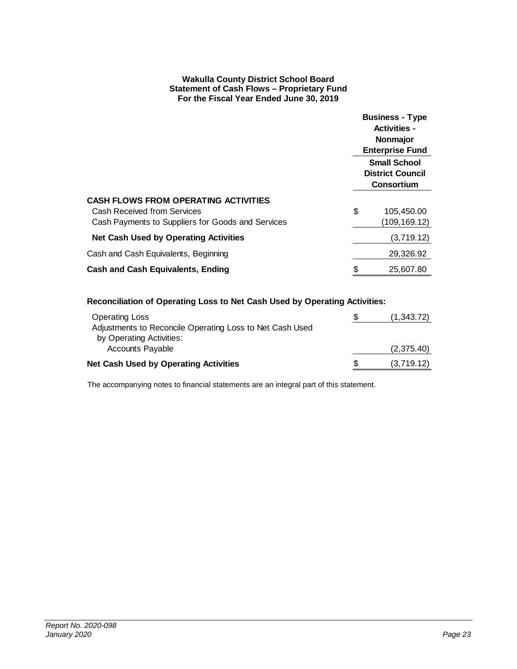#### **Wakulla County District School Board Statement of Cash Flows – Proprietary Fund For the Fiscal Year Ended June 30, 2019**

<span id="page-28-0"></span>

|                                                                                                                                 | <b>Business - Type</b><br><b>Activities -</b><br>Nonmajor<br><b>Enterprise Fund</b> |  |
|---------------------------------------------------------------------------------------------------------------------------------|-------------------------------------------------------------------------------------|--|
|                                                                                                                                 | <b>Small School</b><br><b>District Council</b><br><b>Consortium</b>                 |  |
| <b>CASH FLOWS FROM OPERATING ACTIVITIES</b><br>Cash Received from Services<br>Cash Payments to Suppliers for Goods and Services | \$<br>105,450.00<br>(109,169.12)                                                    |  |
| <b>Net Cash Used by Operating Activities</b>                                                                                    | (3,719.12)                                                                          |  |
| Cash and Cash Equivalents, Beginning                                                                                            | 29,326.92                                                                           |  |
| <b>Cash and Cash Equivalents, Ending</b>                                                                                        | 25,607.80                                                                           |  |

#### **Reconciliation of Operating Loss to Net Cash Used by Operating Activities:**

| <b>Operating Loss</b>                                    |    | (1,343.72) |
|----------------------------------------------------------|----|------------|
| Adjustments to Reconcile Operating Loss to Net Cash Used |    |            |
| by Operating Activities:                                 |    |            |
| <b>Accounts Payable</b>                                  |    | (2,375.40) |
| <b>Net Cash Used by Operating Activities</b>             | S. | (3,719.12) |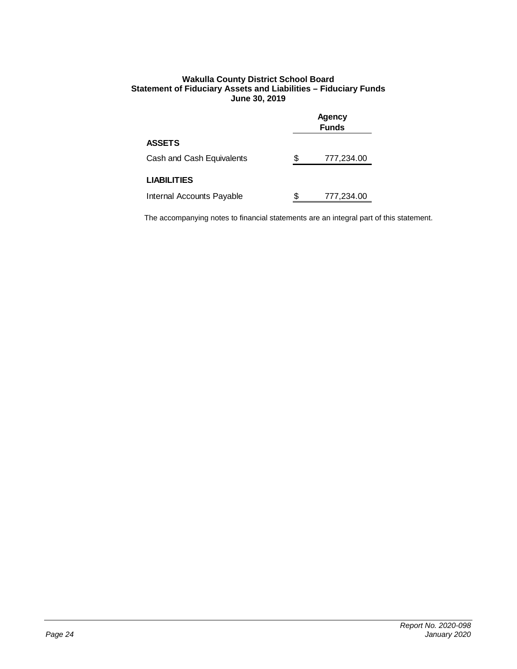#### <span id="page-29-0"></span>**Wakulla County District School Board Statement of Fiduciary Assets and Liabilities – Fiduciary Funds June 30, 2019**

|                           |    | <b>Agency</b><br><b>Funds</b> |
|---------------------------|----|-------------------------------|
| <b>ASSETS</b>             |    |                               |
| Cash and Cash Equivalents | \$ | 777,234.00                    |
| <b>LIABILITIES</b>        |    |                               |
| Internal Accounts Payable | S  | 777,234.00                    |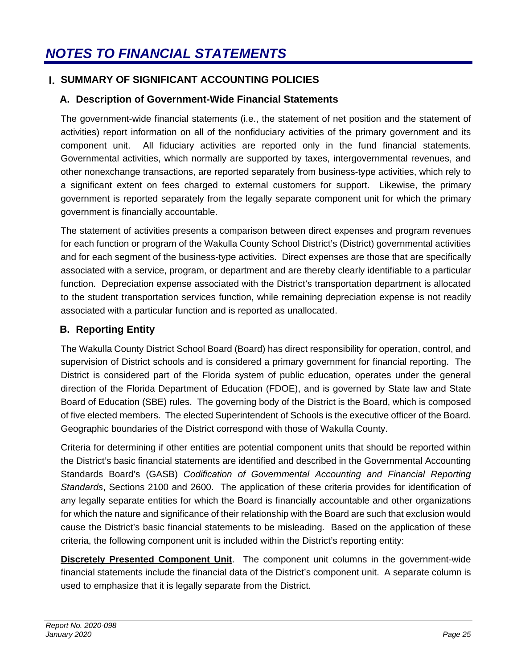### <span id="page-30-0"></span> **SUMMARY OF SIGNIFICANT ACCOUNTING POLICIES**

### **A. Description of Government-Wide Financial Statements**

The government-wide financial statements (i.e., the statement of net position and the statement of activities) report information on all of the nonfiduciary activities of the primary government and its component unit. All fiduciary activities are reported only in the fund financial statements. Governmental activities, which normally are supported by taxes, intergovernmental revenues, and other nonexchange transactions, are reported separately from business-type activities, which rely to a significant extent on fees charged to external customers for support. Likewise, the primary government is reported separately from the legally separate component unit for which the primary government is financially accountable.

The statement of activities presents a comparison between direct expenses and program revenues for each function or program of the Wakulla County School District's (District) governmental activities and for each segment of the business-type activities. Direct expenses are those that are specifically associated with a service, program, or department and are thereby clearly identifiable to a particular function. Depreciation expense associated with the District's transportation department is allocated to the student transportation services function, while remaining depreciation expense is not readily associated with a particular function and is reported as unallocated.

### **B. Reporting Entity**

The Wakulla County District School Board (Board) has direct responsibility for operation, control, and supervision of District schools and is considered a primary government for financial reporting. The District is considered part of the Florida system of public education, operates under the general direction of the Florida Department of Education (FDOE), and is governed by State law and State Board of Education (SBE) rules. The governing body of the District is the Board, which is composed of five elected members. The elected Superintendent of Schools is the executive officer of the Board. Geographic boundaries of the District correspond with those of Wakulla County.

Criteria for determining if other entities are potential component units that should be reported within the District's basic financial statements are identified and described in the Governmental Accounting Standards Board's (GASB) *Codification of Governmental Accounting and Financial Reporting Standards*, Sections 2100 and 2600. The application of these criteria provides for identification of any legally separate entities for which the Board is financially accountable and other organizations for which the nature and significance of their relationship with the Board are such that exclusion would cause the District's basic financial statements to be misleading. Based on the application of these criteria, the following component unit is included within the District's reporting entity:

**Discretely Presented Component Unit**. The component unit columns in the government-wide financial statements include the financial data of the District's component unit. A separate column is used to emphasize that it is legally separate from the District.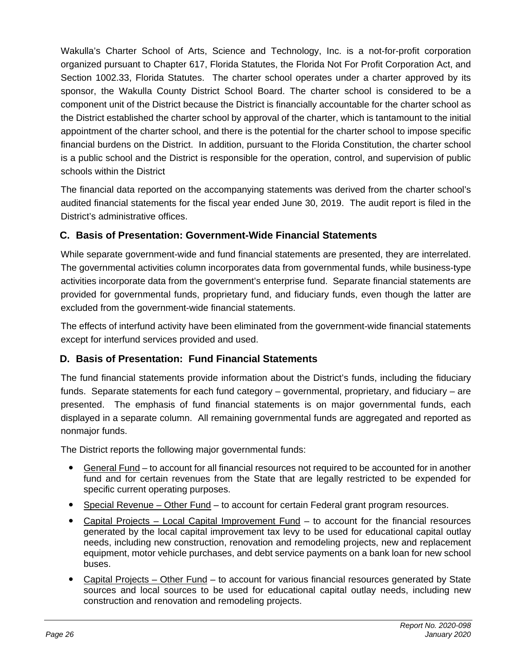Wakulla's Charter School of Arts, Science and Technology, Inc. is a not-for-profit corporation organized pursuant to Chapter 617, Florida Statutes, the Florida Not For Profit Corporation Act, and Section 1002.33, Florida Statutes. The charter school operates under a charter approved by its sponsor, the Wakulla County District School Board. The charter school is considered to be a component unit of the District because the District is financially accountable for the charter school as the District established the charter school by approval of the charter, which is tantamount to the initial appointment of the charter school, and there is the potential for the charter school to impose specific financial burdens on the District. In addition, pursuant to the Florida Constitution, the charter school is a public school and the District is responsible for the operation, control, and supervision of public schools within the District

The financial data reported on the accompanying statements was derived from the charter school's audited financial statements for the fiscal year ended June 30, 2019. The audit report is filed in the District's administrative offices.

### **C. Basis of Presentation: Government-Wide Financial Statements**

While separate government-wide and fund financial statements are presented, they are interrelated. The governmental activities column incorporates data from governmental funds, while business-type activities incorporate data from the government's enterprise fund. Separate financial statements are provided for governmental funds, proprietary fund, and fiduciary funds, even though the latter are excluded from the government-wide financial statements.

The effects of interfund activity have been eliminated from the government-wide financial statements except for interfund services provided and used.

### **D. Basis of Presentation: Fund Financial Statements**

The fund financial statements provide information about the District's funds, including the fiduciary funds. Separate statements for each fund category – governmental, proprietary, and fiduciary – are presented. The emphasis of fund financial statements is on major governmental funds, each displayed in a separate column. All remaining governmental funds are aggregated and reported as nonmajor funds.

The District reports the following major governmental funds:

- General Fund to account for all financial resources not required to be accounted for in another fund and for certain revenues from the State that are legally restricted to be expended for specific current operating purposes.
- Special Revenue Other Fund to account for certain Federal grant program resources.
- Capital Projects Local Capital Improvement Fund to account for the financial resources generated by the local capital improvement tax levy to be used for educational capital outlay needs, including new construction, renovation and remodeling projects, new and replacement equipment, motor vehicle purchases, and debt service payments on a bank loan for new school buses.
- Capital Projects Other Fund to account for various financial resources generated by State sources and local sources to be used for educational capital outlay needs, including new construction and renovation and remodeling projects.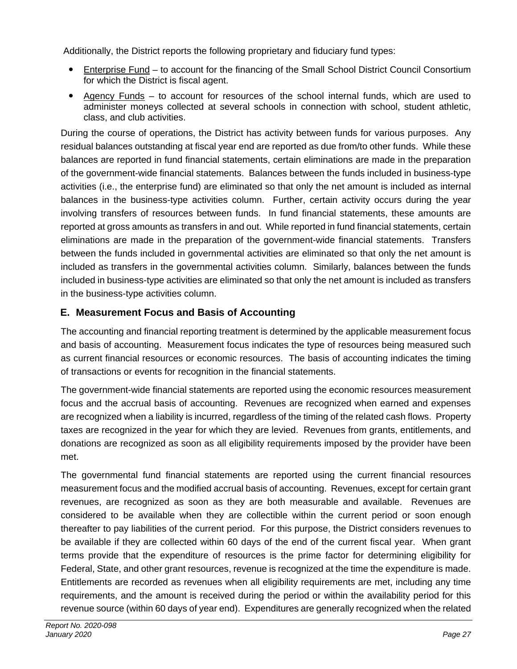Additionally, the District reports the following proprietary and fiduciary fund types:

- Enterprise Fund to account for the financing of the Small School District Council Consortium for which the District is fiscal agent.
- Agency Funds to account for resources of the school internal funds, which are used to administer moneys collected at several schools in connection with school, student athletic, class, and club activities.

During the course of operations, the District has activity between funds for various purposes. Any residual balances outstanding at fiscal year end are reported as due from/to other funds. While these balances are reported in fund financial statements, certain eliminations are made in the preparation of the government-wide financial statements. Balances between the funds included in business-type activities (i.e., the enterprise fund) are eliminated so that only the net amount is included as internal balances in the business-type activities column. Further, certain activity occurs during the year involving transfers of resources between funds. In fund financial statements, these amounts are reported at gross amounts as transfers in and out. While reported in fund financial statements, certain eliminations are made in the preparation of the government-wide financial statements. Transfers between the funds included in governmental activities are eliminated so that only the net amount is included as transfers in the governmental activities column. Similarly, balances between the funds included in business-type activities are eliminated so that only the net amount is included as transfers in the business-type activities column.

### **E. Measurement Focus and Basis of Accounting**

The accounting and financial reporting treatment is determined by the applicable measurement focus and basis of accounting. Measurement focus indicates the type of resources being measured such as current financial resources or economic resources. The basis of accounting indicates the timing of transactions or events for recognition in the financial statements.

The government-wide financial statements are reported using the economic resources measurement focus and the accrual basis of accounting. Revenues are recognized when earned and expenses are recognized when a liability is incurred, regardless of the timing of the related cash flows. Property taxes are recognized in the year for which they are levied. Revenues from grants, entitlements, and donations are recognized as soon as all eligibility requirements imposed by the provider have been met.

The governmental fund financial statements are reported using the current financial resources measurement focus and the modified accrual basis of accounting. Revenues, except for certain grant revenues, are recognized as soon as they are both measurable and available. Revenues are considered to be available when they are collectible within the current period or soon enough thereafter to pay liabilities of the current period. For this purpose, the District considers revenues to be available if they are collected within 60 days of the end of the current fiscal year. When grant terms provide that the expenditure of resources is the prime factor for determining eligibility for Federal, State, and other grant resources, revenue is recognized at the time the expenditure is made. Entitlements are recorded as revenues when all eligibility requirements are met, including any time requirements, and the amount is received during the period or within the availability period for this revenue source (within 60 days of year end). Expenditures are generally recognized when the related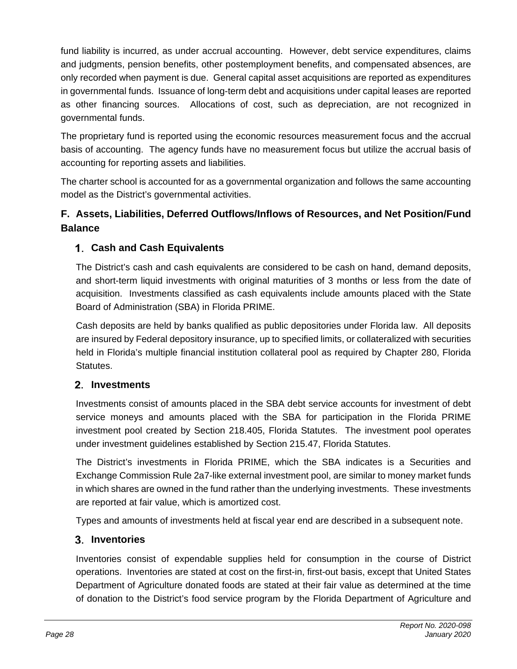fund liability is incurred, as under accrual accounting. However, debt service expenditures, claims and judgments, pension benefits, other postemployment benefits, and compensated absences, are only recorded when payment is due. General capital asset acquisitions are reported as expenditures in governmental funds. Issuance of long-term debt and acquisitions under capital leases are reported as other financing sources. Allocations of cost, such as depreciation, are not recognized in governmental funds.

The proprietary fund is reported using the economic resources measurement focus and the accrual basis of accounting. The agency funds have no measurement focus but utilize the accrual basis of accounting for reporting assets and liabilities.

The charter school is accounted for as a governmental organization and follows the same accounting model as the District's governmental activities.

### **F. Assets, Liabilities, Deferred Outflows/Inflows of Resources, and Net Position/Fund Balance**

### **Cash and Cash Equivalents**

The District's cash and cash equivalents are considered to be cash on hand, demand deposits, and short-term liquid investments with original maturities of 3 months or less from the date of acquisition. Investments classified as cash equivalents include amounts placed with the State Board of Administration (SBA) in Florida PRIME.

Cash deposits are held by banks qualified as public depositories under Florida law. All deposits are insured by Federal depository insurance, up to specified limits, or collateralized with securities held in Florida's multiple financial institution collateral pool as required by Chapter 280, Florida Statutes.

### **Investments**

Investments consist of amounts placed in the SBA debt service accounts for investment of debt service moneys and amounts placed with the SBA for participation in the Florida PRIME investment pool created by Section 218.405, Florida Statutes. The investment pool operates under investment guidelines established by Section 215.47, Florida Statutes.

The District's investments in Florida PRIME, which the SBA indicates is a Securities and Exchange Commission Rule 2a7-like external investment pool, are similar to money market funds in which shares are owned in the fund rather than the underlying investments. These investments are reported at fair value, which is amortized cost.

Types and amounts of investments held at fiscal year end are described in a subsequent note.

### **Inventories**

Inventories consist of expendable supplies held for consumption in the course of District operations. Inventories are stated at cost on the first-in, first-out basis, except that United States Department of Agriculture donated foods are stated at their fair value as determined at the time of donation to the District's food service program by the Florida Department of Agriculture and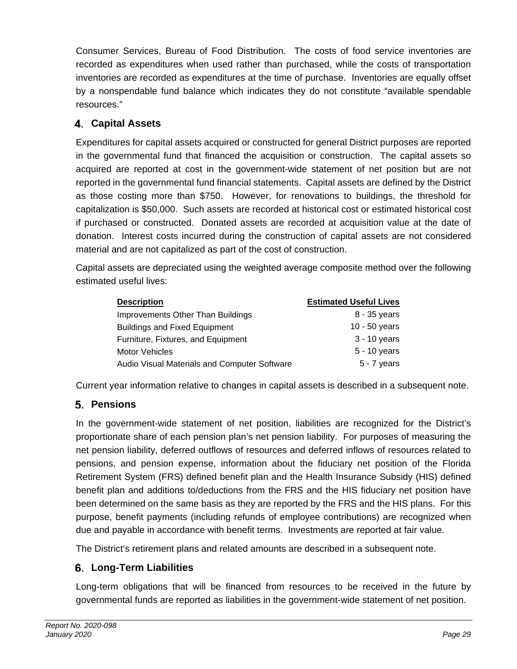Consumer Services, Bureau of Food Distribution. The costs of food service inventories are recorded as expenditures when used rather than purchased, while the costs of transportation inventories are recorded as expenditures at the time of purchase. Inventories are equally offset by a nonspendable fund balance which indicates they do not constitute "available spendable resources."

# **Capital Assets**

Expenditures for capital assets acquired or constructed for general District purposes are reported in the governmental fund that financed the acquisition or construction. The capital assets so acquired are reported at cost in the government-wide statement of net position but are not reported in the governmental fund financial statements. Capital assets are defined by the District as those costing more than \$750. However, for renovations to buildings, the threshold for capitalization is \$50,000. Such assets are recorded at historical cost or estimated historical cost if purchased or constructed. Donated assets are recorded at acquisition value at the date of donation. Interest costs incurred during the construction of capital assets are not considered material and are not capitalized as part of the cost of construction.

Capital assets are depreciated using the weighted average composite method over the following estimated useful lives:

| <b>Description</b>                           | <b>Estimated Useful Lives</b> |
|----------------------------------------------|-------------------------------|
| Improvements Other Than Buildings            | 8 - 35 years                  |
| <b>Buildings and Fixed Equipment</b>         | 10 - 50 years                 |
| Furniture, Fixtures, and Equipment           | $3 - 10$ years                |
| <b>Motor Vehicles</b>                        | 5 - 10 years                  |
| Audio Visual Materials and Computer Software | $5 - 7$ years                 |

Current year information relative to changes in capital assets is described in a subsequent note.

# **Pensions**

In the government-wide statement of net position, liabilities are recognized for the District's proportionate share of each pension plan's net pension liability. For purposes of measuring the net pension liability, deferred outflows of resources and deferred inflows of resources related to pensions, and pension expense, information about the fiduciary net position of the Florida Retirement System (FRS) defined benefit plan and the Health Insurance Subsidy (HIS) defined benefit plan and additions to/deductions from the FRS and the HIS fiduciary net position have been determined on the same basis as they are reported by the FRS and the HIS plans. For this purpose, benefit payments (including refunds of employee contributions) are recognized when due and payable in accordance with benefit terms. Investments are reported at fair value.

The District's retirement plans and related amounts are described in a subsequent note.

# **Long-Term Liabilities**

Long-term obligations that will be financed from resources to be received in the future by governmental funds are reported as liabilities in the government-wide statement of net position.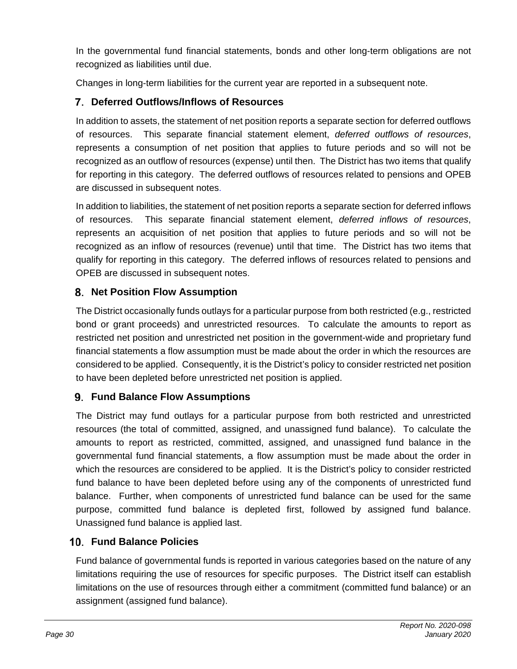In the governmental fund financial statements, bonds and other long-term obligations are not recognized as liabilities until due.

Changes in long-term liabilities for the current year are reported in a subsequent note.

# **Deferred Outflows/Inflows of Resources**

In addition to assets, the statement of net position reports a separate section for deferred outflows of resources. This separate financial statement element, *deferred outflows of resources*, represents a consumption of net position that applies to future periods and so will not be recognized as an outflow of resources (expense) until then. The District has two items that qualify for reporting in this category. The deferred outflows of resources related to pensions and OPEB are discussed in subsequent notes.

In addition to liabilities, the statement of net position reports a separate section for deferred inflows of resources. This separate financial statement element, *deferred inflows of resources*, represents an acquisition of net position that applies to future periods and so will not be recognized as an inflow of resources (revenue) until that time. The District has two items that qualify for reporting in this category. The deferred inflows of resources related to pensions and OPEB are discussed in subsequent notes.

# **Net Position Flow Assumption**

The District occasionally funds outlays for a particular purpose from both restricted (e.g., restricted bond or grant proceeds) and unrestricted resources. To calculate the amounts to report as restricted net position and unrestricted net position in the government-wide and proprietary fund financial statements a flow assumption must be made about the order in which the resources are considered to be applied. Consequently, it is the District's policy to consider restricted net position to have been depleted before unrestricted net position is applied.

# **Fund Balance Flow Assumptions**

The District may fund outlays for a particular purpose from both restricted and unrestricted resources (the total of committed, assigned, and unassigned fund balance). To calculate the amounts to report as restricted, committed, assigned, and unassigned fund balance in the governmental fund financial statements, a flow assumption must be made about the order in which the resources are considered to be applied. It is the District's policy to consider restricted fund balance to have been depleted before using any of the components of unrestricted fund balance. Further, when components of unrestricted fund balance can be used for the same purpose, committed fund balance is depleted first, followed by assigned fund balance. Unassigned fund balance is applied last.

### **Fund Balance Policies**

Fund balance of governmental funds is reported in various categories based on the nature of any limitations requiring the use of resources for specific purposes. The District itself can establish limitations on the use of resources through either a commitment (committed fund balance) or an assignment (assigned fund balance).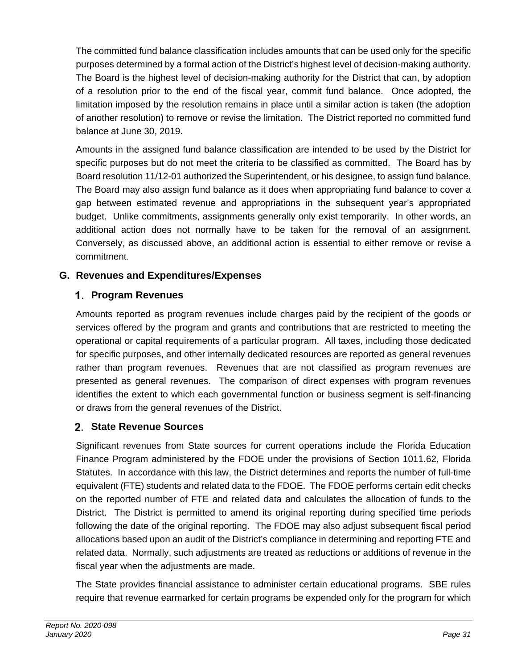The committed fund balance classification includes amounts that can be used only for the specific purposes determined by a formal action of the District's highest level of decision-making authority. The Board is the highest level of decision-making authority for the District that can, by adoption of a resolution prior to the end of the fiscal year, commit fund balance. Once adopted, the limitation imposed by the resolution remains in place until a similar action is taken (the adoption of another resolution) to remove or revise the limitation. The District reported no committed fund balance at June 30, 2019.

Amounts in the assigned fund balance classification are intended to be used by the District for specific purposes but do not meet the criteria to be classified as committed. The Board has by Board resolution 11/12-01 authorized the Superintendent, or his designee, to assign fund balance. The Board may also assign fund balance as it does when appropriating fund balance to cover a gap between estimated revenue and appropriations in the subsequent year's appropriated budget. Unlike commitments, assignments generally only exist temporarily. In other words, an additional action does not normally have to be taken for the removal of an assignment. Conversely, as discussed above, an additional action is essential to either remove or revise a commitment.

## **G. Revenues and Expenditures/Expenses**

## **Program Revenues**

Amounts reported as program revenues include charges paid by the recipient of the goods or services offered by the program and grants and contributions that are restricted to meeting the operational or capital requirements of a particular program. All taxes, including those dedicated for specific purposes, and other internally dedicated resources are reported as general revenues rather than program revenues. Revenues that are not classified as program revenues are presented as general revenues. The comparison of direct expenses with program revenues identifies the extent to which each governmental function or business segment is self-financing or draws from the general revenues of the District.

## **State Revenue Sources**

Significant revenues from State sources for current operations include the Florida Education Finance Program administered by the FDOE under the provisions of Section 1011.62, Florida Statutes. In accordance with this law, the District determines and reports the number of full-time equivalent (FTE) students and related data to the FDOE. The FDOE performs certain edit checks on the reported number of FTE and related data and calculates the allocation of funds to the District. The District is permitted to amend its original reporting during specified time periods following the date of the original reporting. The FDOE may also adjust subsequent fiscal period allocations based upon an audit of the District's compliance in determining and reporting FTE and related data. Normally, such adjustments are treated as reductions or additions of revenue in the fiscal year when the adjustments are made.

The State provides financial assistance to administer certain educational programs. SBE rules require that revenue earmarked for certain programs be expended only for the program for which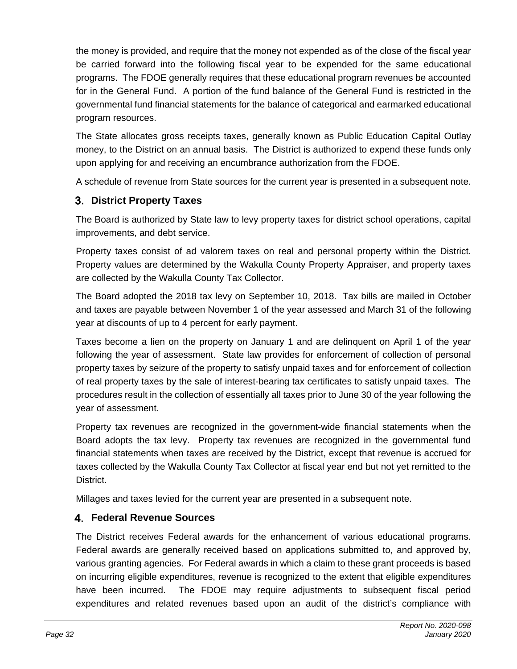the money is provided, and require that the money not expended as of the close of the fiscal year be carried forward into the following fiscal year to be expended for the same educational programs. The FDOE generally requires that these educational program revenues be accounted for in the General Fund. A portion of the fund balance of the General Fund is restricted in the governmental fund financial statements for the balance of categorical and earmarked educational program resources.

The State allocates gross receipts taxes, generally known as Public Education Capital Outlay money, to the District on an annual basis. The District is authorized to expend these funds only upon applying for and receiving an encumbrance authorization from the FDOE.

A schedule of revenue from State sources for the current year is presented in a subsequent note.

#### **District Property Taxes**

The Board is authorized by State law to levy property taxes for district school operations, capital improvements, and debt service.

Property taxes consist of ad valorem taxes on real and personal property within the District. Property values are determined by the Wakulla County Property Appraiser, and property taxes are collected by the Wakulla County Tax Collector.

The Board adopted the 2018 tax levy on September 10, 2018. Tax bills are mailed in October and taxes are payable between November 1 of the year assessed and March 31 of the following year at discounts of up to 4 percent for early payment.

Taxes become a lien on the property on January 1 and are delinquent on April 1 of the year following the year of assessment. State law provides for enforcement of collection of personal property taxes by seizure of the property to satisfy unpaid taxes and for enforcement of collection of real property taxes by the sale of interest-bearing tax certificates to satisfy unpaid taxes. The procedures result in the collection of essentially all taxes prior to June 30 of the year following the year of assessment.

Property tax revenues are recognized in the government-wide financial statements when the Board adopts the tax levy. Property tax revenues are recognized in the governmental fund financial statements when taxes are received by the District, except that revenue is accrued for taxes collected by the Wakulla County Tax Collector at fiscal year end but not yet remitted to the District.

Millages and taxes levied for the current year are presented in a subsequent note.

#### **Federal Revenue Sources**

The District receives Federal awards for the enhancement of various educational programs. Federal awards are generally received based on applications submitted to, and approved by, various granting agencies. For Federal awards in which a claim to these grant proceeds is based on incurring eligible expenditures, revenue is recognized to the extent that eligible expenditures have been incurred. The FDOE may require adjustments to subsequent fiscal period expenditures and related revenues based upon an audit of the district's compliance with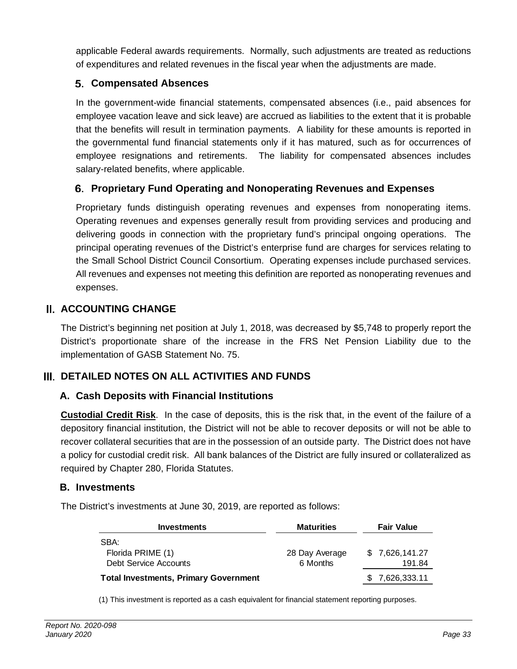applicable Federal awards requirements. Normally, such adjustments are treated as reductions of expenditures and related revenues in the fiscal year when the adjustments are made.

### **Compensated Absences**

In the government-wide financial statements, compensated absences (i.e., paid absences for employee vacation leave and sick leave) are accrued as liabilities to the extent that it is probable that the benefits will result in termination payments. A liability for these amounts is reported in the governmental fund financial statements only if it has matured, such as for occurrences of employee resignations and retirements. The liability for compensated absences includes salary-related benefits, where applicable.

## **Proprietary Fund Operating and Nonoperating Revenues and Expenses**

Proprietary funds distinguish operating revenues and expenses from nonoperating items. Operating revenues and expenses generally result from providing services and producing and delivering goods in connection with the proprietary fund's principal ongoing operations. The principal operating revenues of the District's enterprise fund are charges for services relating to the Small School District Council Consortium. Operating expenses include purchased services. All revenues and expenses not meeting this definition are reported as nonoperating revenues and expenses.

### **II. ACCOUNTING CHANGE**

The District's beginning net position at July 1, 2018, was decreased by \$5,748 to properly report the District's proportionate share of the increase in the FRS Net Pension Liability due to the implementation of GASB Statement No. 75.

### **DETAILED NOTES ON ALL ACTIVITIES AND FUNDS**

### **A. Cash Deposits with Financial Institutions**

**Custodial Credit Risk**. In the case of deposits, this is the risk that, in the event of the failure of a depository financial institution, the District will not be able to recover deposits or will not be able to recover collateral securities that are in the possession of an outside party. The District does not have a policy for custodial credit risk. All bank balances of the District are fully insured or collateralized as required by Chapter 280, Florida Statutes.

#### **B. Investments**

The District's investments at June 30, 2019, are reported as follows:

| <b>Investments</b>                                 | <b>Maturities</b>          | <b>Fair Value</b>        |
|----------------------------------------------------|----------------------------|--------------------------|
| SBA:<br>Florida PRIME (1)<br>Debt Service Accounts | 28 Day Average<br>6 Months | \$7,626,141.27<br>191.84 |
| <b>Total Investments, Primary Government</b>       |                            | \$7,626,333.11           |

(1) This investment is reported as a cash equivalent for financial statement reporting purposes.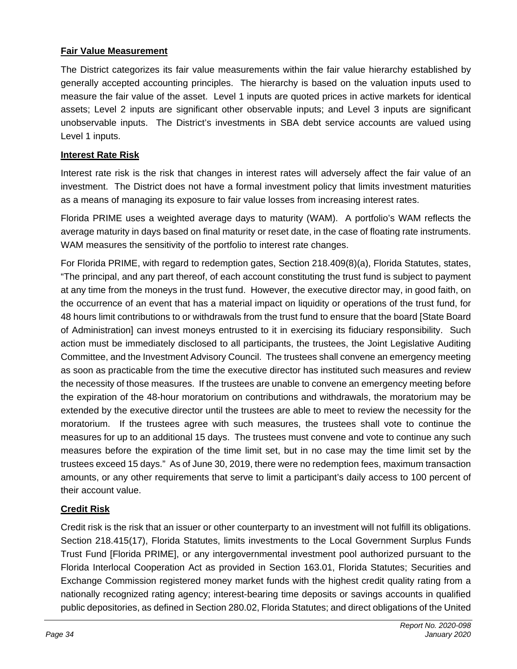#### **Fair Value Measurement**

The District categorizes its fair value measurements within the fair value hierarchy established by generally accepted accounting principles. The hierarchy is based on the valuation inputs used to measure the fair value of the asset. Level 1 inputs are quoted prices in active markets for identical assets; Level 2 inputs are significant other observable inputs; and Level 3 inputs are significant unobservable inputs. The District's investments in SBA debt service accounts are valued using Level 1 inputs.

#### **Interest Rate Risk**

Interest rate risk is the risk that changes in interest rates will adversely affect the fair value of an investment. The District does not have a formal investment policy that limits investment maturities as a means of managing its exposure to fair value losses from increasing interest rates.

Florida PRIME uses a weighted average days to maturity (WAM). A portfolio's WAM reflects the average maturity in days based on final maturity or reset date, in the case of floating rate instruments. WAM measures the sensitivity of the portfolio to interest rate changes.

For Florida PRIME, with regard to redemption gates, Section 218.409(8)(a), Florida Statutes, states, "The principal, and any part thereof, of each account constituting the trust fund is subject to payment at any time from the moneys in the trust fund. However, the executive director may, in good faith, on the occurrence of an event that has a material impact on liquidity or operations of the trust fund, for 48 hours limit contributions to or withdrawals from the trust fund to ensure that the board [State Board of Administration] can invest moneys entrusted to it in exercising its fiduciary responsibility. Such action must be immediately disclosed to all participants, the trustees, the Joint Legislative Auditing Committee, and the Investment Advisory Council. The trustees shall convene an emergency meeting as soon as practicable from the time the executive director has instituted such measures and review the necessity of those measures. If the trustees are unable to convene an emergency meeting before the expiration of the 48-hour moratorium on contributions and withdrawals, the moratorium may be extended by the executive director until the trustees are able to meet to review the necessity for the moratorium. If the trustees agree with such measures, the trustees shall vote to continue the measures for up to an additional 15 days. The trustees must convene and vote to continue any such measures before the expiration of the time limit set, but in no case may the time limit set by the trustees exceed 15 days." As of June 30, 2019, there were no redemption fees, maximum transaction amounts, or any other requirements that serve to limit a participant's daily access to 100 percent of their account value.

#### **Credit Risk**

Credit risk is the risk that an issuer or other counterparty to an investment will not fulfill its obligations. Section 218.415(17), Florida Statutes, limits investments to the Local Government Surplus Funds Trust Fund [Florida PRIME], or any intergovernmental investment pool authorized pursuant to the Florida Interlocal Cooperation Act as provided in Section 163.01, Florida Statutes; Securities and Exchange Commission registered money market funds with the highest credit quality rating from a nationally recognized rating agency; interest-bearing time deposits or savings accounts in qualified public depositories, as defined in Section 280.02, Florida Statutes; and direct obligations of the United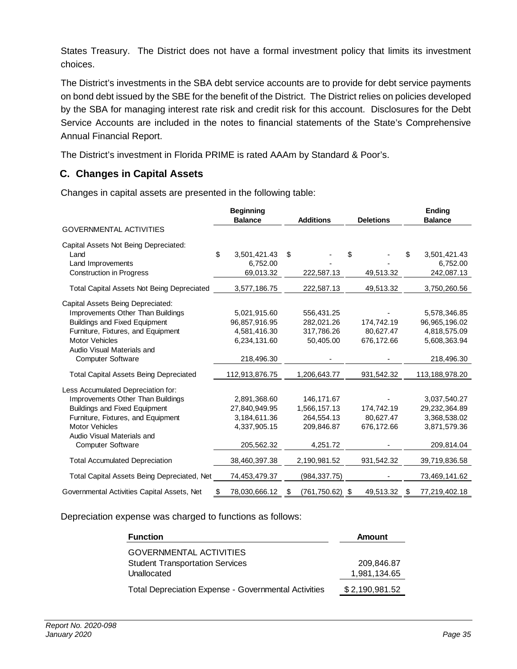States Treasury. The District does not have a formal investment policy that limits its investment choices.

The District's investments in the SBA debt service accounts are to provide for debt service payments on bond debt issued by the SBE for the benefit of the District. The District relies on policies developed by the SBA for managing interest rate risk and credit risk for this account. Disclosures for the Debt Service Accounts are included in the notes to financial statements of the State's Comprehensive Annual Financial Report.

The District's investment in Florida PRIME is rated AAAm by Standard & Poor's.

### **C. Changes in Capital Assets**

Changes in capital assets are presented in the following table:

|                                                   | <b>Beginning</b><br><b>Balance</b> |    | <b>Additions</b> | <b>Deletions</b> | <b>Ending</b><br><b>Balance</b> |
|---------------------------------------------------|------------------------------------|----|------------------|------------------|---------------------------------|
| <b>GOVERNMENTAL ACTIVITIES</b>                    |                                    |    |                  |                  |                                 |
| Capital Assets Not Being Depreciated:<br>Land     | \$<br>3,501,421.43                 | \$ |                  | \$               | \$<br>3,501,421.43              |
| Land Improvements                                 | 6.752.00                           |    |                  |                  | 6,752.00                        |
| <b>Construction in Progress</b>                   | 69,013.32                          |    | 222,587.13       | 49,513.32        | 242,087.13                      |
|                                                   |                                    |    |                  |                  |                                 |
| <b>Total Capital Assets Not Being Depreciated</b> | 3,577,186.75                       |    | 222,587.13       | 49,513.32        | 3,750,260.56                    |
| Capital Assets Being Depreciated:                 |                                    |    |                  |                  |                                 |
| Improvements Other Than Buildings                 | 5,021,915.60                       |    | 556,431.25       |                  | 5,578,346.85                    |
| <b>Buildings and Fixed Equipment</b>              | 96,857,916.95                      |    | 282,021.26       | 174,742.19       | 96,965,196.02                   |
| Furniture, Fixtures, and Equipment                | 4,581,416.30                       |    | 317,786.26       | 80,627.47        | 4,818,575.09                    |
| <b>Motor Vehicles</b>                             | 6,234,131.60                       |    | 50,405.00        | 676,172.66       | 5,608,363.94                    |
| Audio Visual Materials and                        |                                    |    |                  |                  |                                 |
| <b>Computer Software</b>                          | 218,496.30                         |    |                  |                  | 218,496.30                      |
| <b>Total Capital Assets Being Depreciated</b>     | 112,913,876.75                     |    | 1,206,643.77     | 931,542.32       | 113,188,978.20                  |
| Less Accumulated Depreciation for:                |                                    |    |                  |                  |                                 |
| Improvements Other Than Buildings                 | 2,891,368.60                       |    | 146, 171.67      |                  | 3,037,540.27                    |
| <b>Buildings and Fixed Equipment</b>              | 27,840,949.95                      |    | 1,566,157.13     | 174,742.19       | 29,232,364.89                   |
| Furniture, Fixtures, and Equipment                | 3,184,611.36                       |    | 264,554.13       | 80,627.47        | 3,368,538.02                    |
| <b>Motor Vehicles</b>                             | 4,337,905.15                       |    | 209,846.87       | 676,172.66       | 3,871,579.36                    |
| Audio Visual Materials and                        |                                    |    |                  |                  |                                 |
| <b>Computer Software</b>                          | 205,562.32                         |    | 4,251.72         |                  | 209,814.04                      |
| <b>Total Accumulated Depreciation</b>             | 38,460,397.38                      |    | 2,190,981.52     | 931,542.32       | 39,719,836.58                   |
| Total Capital Assets Being Depreciated, Net       | 74,453,479.37                      |    | (984,337.75)     |                  | 73,469,141.62                   |
| Governmental Activities Capital Assets, Net       | \$<br>78,030,666.12                | S  | (761,750.62) \$  | 49,513.32        | \$<br>77,219,402.18             |

Depreciation expense was charged to functions as follows:

| <b>Function</b>                                             | <b>Amount</b>  |
|-------------------------------------------------------------|----------------|
| <b>GOVERNMENTAL ACTIVITIES</b>                              |                |
| <b>Student Transportation Services</b>                      | 209.846.87     |
| Unallocated                                                 | 1,981,134.65   |
| <b>Total Depreciation Expense - Governmental Activities</b> | \$2,190,981.52 |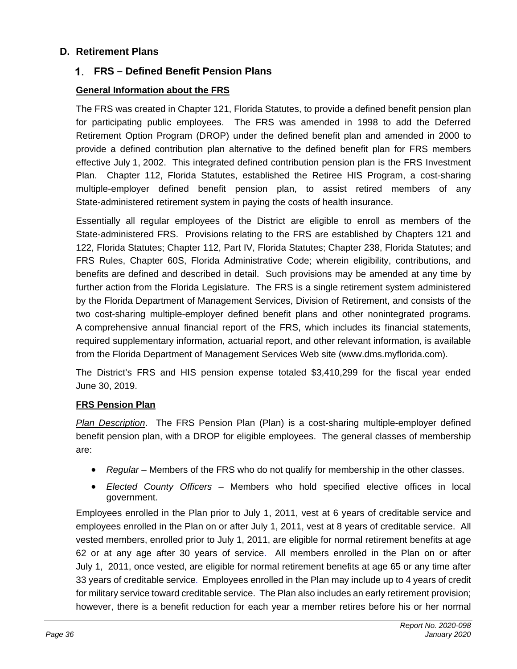#### **D. Retirement Plans**

#### **FRS – Defined Benefit Pension Plans**

#### **General Information about the FRS**

The FRS was created in Chapter 121, Florida Statutes, to provide a defined benefit pension plan for participating public employees. The FRS was amended in 1998 to add the Deferred Retirement Option Program (DROP) under the defined benefit plan and amended in 2000 to provide a defined contribution plan alternative to the defined benefit plan for FRS members effective July 1, 2002. This integrated defined contribution pension plan is the FRS Investment Plan. Chapter 112, Florida Statutes, established the Retiree HIS Program, a cost-sharing multiple-employer defined benefit pension plan, to assist retired members of any State-administered retirement system in paying the costs of health insurance.

Essentially all regular employees of the District are eligible to enroll as members of the State-administered FRS. Provisions relating to the FRS are established by Chapters 121 and 122, Florida Statutes; Chapter 112, Part IV, Florida Statutes; Chapter 238, Florida Statutes; and FRS Rules, Chapter 60S, Florida Administrative Code; wherein eligibility, contributions, and benefits are defined and described in detail. Such provisions may be amended at any time by further action from the Florida Legislature. The FRS is a single retirement system administered by the Florida Department of Management Services, Division of Retirement, and consists of the two cost-sharing multiple-employer defined benefit plans and other nonintegrated programs. A comprehensive annual financial report of the FRS, which includes its financial statements, required supplementary information, actuarial report, and other relevant information, is available from the Florida Department of Management Services Web site (www.dms.myflorida.com).

The District's FRS and HIS pension expense totaled \$3,410,299 for the fiscal year ended June 30, 2019.

#### **FRS Pension Plan**

*Plan Description*. The FRS Pension Plan (Plan) is a cost-sharing multiple-employer defined benefit pension plan, with a DROP for eligible employees. The general classes of membership are:

- *Regular* Members of the FRS who do not qualify for membership in the other classes.
- *Elected County Officers* Members who hold specified elective offices in local government.

Employees enrolled in the Plan prior to July 1, 2011, vest at 6 years of creditable service and employees enrolled in the Plan on or after July 1, 2011, vest at 8 years of creditable service. All vested members, enrolled prior to July 1, 2011, are eligible for normal retirement benefits at age 62 or at any age after 30 years of service. All members enrolled in the Plan on or after July 1, 2011, once vested, are eligible for normal retirement benefits at age 65 or any time after 33 years of creditable service. Employees enrolled in the Plan may include up to 4 years of credit for military service toward creditable service. The Plan also includes an early retirement provision; however, there is a benefit reduction for each year a member retires before his or her normal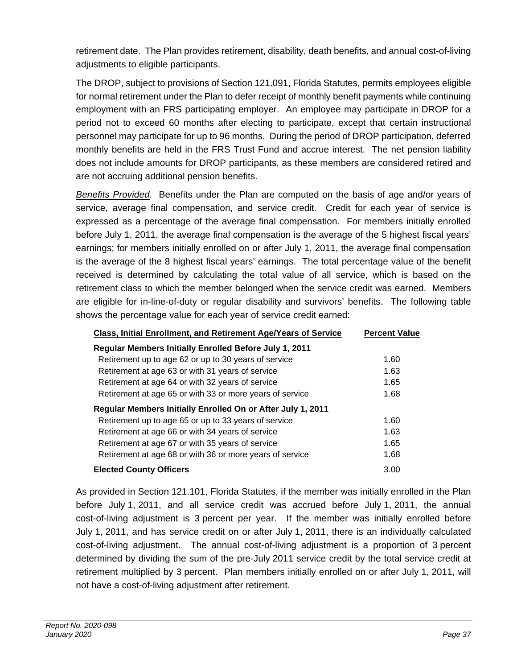retirement date. The Plan provides retirement, disability, death benefits, and annual cost-of-living adjustments to eligible participants.

The DROP, subject to provisions of Section 121.091, Florida Statutes, permits employees eligible for normal retirement under the Plan to defer receipt of monthly benefit payments while continuing employment with an FRS participating employer. An employee may participate in DROP for a period not to exceed 60 months after electing to participate, except that certain instructional personnel may participate for up to 96 months. During the period of DROP participation, deferred monthly benefits are held in the FRS Trust Fund and accrue interest. The net pension liability does not include amounts for DROP participants, as these members are considered retired and are not accruing additional pension benefits.

*Benefits Provided*. Benefits under the Plan are computed on the basis of age and/or years of service, average final compensation, and service credit. Credit for each year of service is expressed as a percentage of the average final compensation. For members initially enrolled before July 1, 2011, the average final compensation is the average of the 5 highest fiscal years' earnings; for members initially enrolled on or after July 1, 2011, the average final compensation is the average of the 8 highest fiscal years' earnings. The total percentage value of the benefit received is determined by calculating the total value of all service, which is based on the retirement class to which the member belonged when the service credit was earned. Members are eligible for in-line-of-duty or regular disability and survivors' benefits. The following table shows the percentage value for each year of service credit earned:

| <b>Percent Value</b> |
|----------------------|
|                      |
| 1.60                 |
| 1.63                 |
| 1.65                 |
| 1.68                 |
|                      |
| 1.60                 |
| 1.63                 |
| 1.65                 |
| 1.68                 |
| 3.00                 |
|                      |

As provided in Section 121.101, Florida Statutes, if the member was initially enrolled in the Plan before July 1, 2011, and all service credit was accrued before July 1, 2011, the annual cost-of-living adjustment is 3 percent per year. If the member was initially enrolled before July 1, 2011, and has service credit on or after July 1, 2011, there is an individually calculated cost-of-living adjustment. The annual cost-of-living adjustment is a proportion of 3 percent determined by dividing the sum of the pre-July 2011 service credit by the total service credit at retirement multiplied by 3 percent. Plan members initially enrolled on or after July 1, 2011, will not have a cost-of-living adjustment after retirement.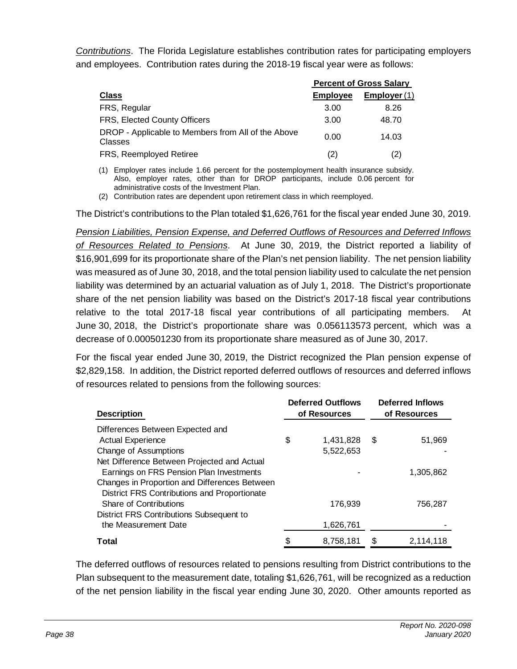*Contributions*. The Florida Legislature establishes contribution rates for participating employers and employees. Contribution rates during the 2018-19 fiscal year were as follows:

|                                                               | <b>Percent of Gross Salary</b> |              |  |  |
|---------------------------------------------------------------|--------------------------------|--------------|--|--|
| <b>Class</b>                                                  | <b>Employee</b>                | Employer (1) |  |  |
| FRS, Regular                                                  | 3.00                           | 8.26         |  |  |
| <b>FRS, Elected County Officers</b>                           | 3.00                           | 48.70        |  |  |
| DROP - Applicable to Members from All of the Above<br>Classes | 0.00                           | 14.03        |  |  |
| FRS, Reemployed Retiree                                       | (2)                            | (2)          |  |  |

(1) Employer rates include 1.66 percent for the postemployment health insurance subsidy. Also, employer rates, other than for DROP participants, include 0.06 percent for administrative costs of the Investment Plan.

(2) Contribution rates are dependent upon retirement class in which reemployed.

The District's contributions to the Plan totaled \$1,626,761 for the fiscal year ended June 30, 2019.

*Pension Liabilities, Pension Expense, and Deferred Outflows of Resources and Deferred Inflows of Resources Related to Pensions*. At June 30, 2019, the District reported a liability of \$16,901,699 for its proportionate share of the Plan's net pension liability. The net pension liability was measured as of June 30, 2018, and the total pension liability used to calculate the net pension liability was determined by an actuarial valuation as of July 1, 2018. The District's proportionate share of the net pension liability was based on the District's 2017-18 fiscal year contributions relative to the total 2017-18 fiscal year contributions of all participating members. At June 30, 2018, the District's proportionate share was 0.056113573 percent, which was a decrease of 0.000501230 from its proportionate share measured as of June 30, 2017.

For the fiscal year ended June 30, 2019, the District recognized the Plan pension expense of \$2,829,158. In addition, the District reported deferred outflows of resources and deferred inflows of resources related to pensions from the following sources:

| <b>Description</b>                            |    | <b>Deferred Outflows</b><br>of Resources |    | <b>Deferred Inflows</b><br>of Resources |
|-----------------------------------------------|----|------------------------------------------|----|-----------------------------------------|
| Differences Between Expected and              |    |                                          |    |                                         |
| <b>Actual Experience</b>                      | \$ | 1,431,828                                | \$ | 51,969                                  |
| Change of Assumptions                         |    | 5,522,653                                |    |                                         |
| Net Difference Between Projected and Actual   |    |                                          |    |                                         |
| Earnings on FRS Pension Plan Investments      |    |                                          |    | 1,305,862                               |
| Changes in Proportion and Differences Between |    |                                          |    |                                         |
| District FRS Contributions and Proportionate  |    |                                          |    |                                         |
| Share of Contributions                        |    | 176.939                                  |    | 756.287                                 |
| District FRS Contributions Subsequent to      |    |                                          |    |                                         |
| the Measurement Date                          |    | 1,626,761                                |    |                                         |
| Total                                         | ደ  | 8,758,181                                | S  | 2,114,118                               |

The deferred outflows of resources related to pensions resulting from District contributions to the Plan subsequent to the measurement date, totaling \$1,626,761, will be recognized as a reduction of the net pension liability in the fiscal year ending June 30, 2020. Other amounts reported as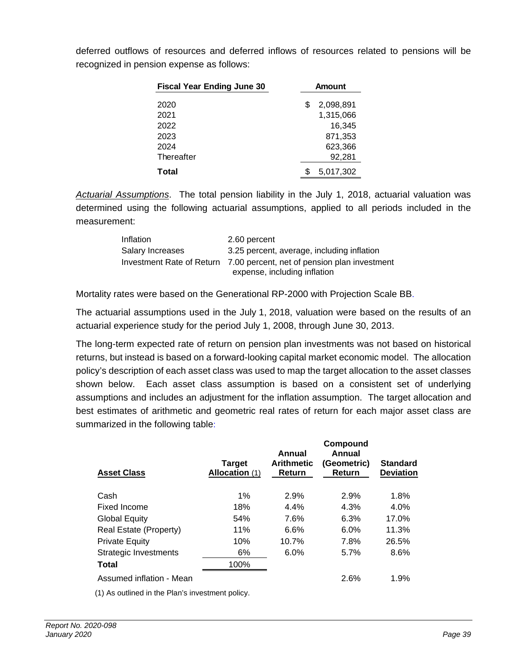deferred outflows of resources and deferred inflows of resources related to pensions will be recognized in pension expense as follows:

| <b>Fiscal Year Ending June 30</b> | Amount |           |
|-----------------------------------|--------|-----------|
| 2020                              | S      | 2,098,891 |
| 2021                              |        | 1,315,066 |
| 2022                              |        | 16,345    |
| 2023                              |        | 871,353   |
| 2024                              |        | 623,366   |
| Thereafter                        |        | 92,281    |
| Total                             |        | 5,017,302 |

*Actuarial Assumptions*. The total pension liability in the July 1, 2018, actuarial valuation was determined using the following actuarial assumptions, applied to all periods included in the measurement:

| <b>Inflation</b> | 2.60 percent                                                                                           |
|------------------|--------------------------------------------------------------------------------------------------------|
| Salary Increases | 3.25 percent, average, including inflation                                                             |
|                  | Investment Rate of Return 7.00 percent, net of pension plan investment<br>expense, including inflation |

Mortality rates were based on the Generational RP-2000 with Projection Scale BB.

The actuarial assumptions used in the July 1, 2018, valuation were based on the results of an actuarial experience study for the period July 1, 2008, through June 30, 2013.

The long-term expected rate of return on pension plan investments was not based on historical returns, but instead is based on a forward-looking capital market economic model. The allocation policy's description of each asset class was used to map the target allocation to the asset classes shown below. Each asset class assumption is based on a consistent set of underlying assumptions and includes an adjustment for the inflation assumption. The target allocation and best estimates of arithmetic and geometric real rates of return for each major asset class are summarized in the following table:

| <b>Asset Class</b>       | <b>Target</b><br>Allocation (1) | Annual<br><b>Arithmetic</b><br>Return | Compound<br>Annual<br>(Geometric)<br>Return | <b>Standard</b><br><b>Deviation</b> |
|--------------------------|---------------------------------|---------------------------------------|---------------------------------------------|-------------------------------------|
| Cash                     | $1\%$                           | 2.9%                                  | 2.9%                                        | 1.8%                                |
| Fixed Income             | 18%                             | 4.4%                                  | 4.3%                                        | 4.0%                                |
| <b>Global Equity</b>     | 54%                             | 7.6%                                  | 6.3%                                        | 17.0%                               |
| Real Estate (Property)   | 11%                             | 6.6%                                  | 6.0%                                        | 11.3%                               |
| <b>Private Equity</b>    | 10%                             | 10.7%                                 | 7.8%                                        | 26.5%                               |
| Strategic Investments    | 6%                              | 6.0%                                  | 5.7%                                        | 8.6%                                |
| Total                    | 100%                            |                                       |                                             |                                     |
| Assumed inflation - Mean |                                 |                                       | 2.6%                                        | 1.9%                                |

(1) As outlined in the Plan's investment policy.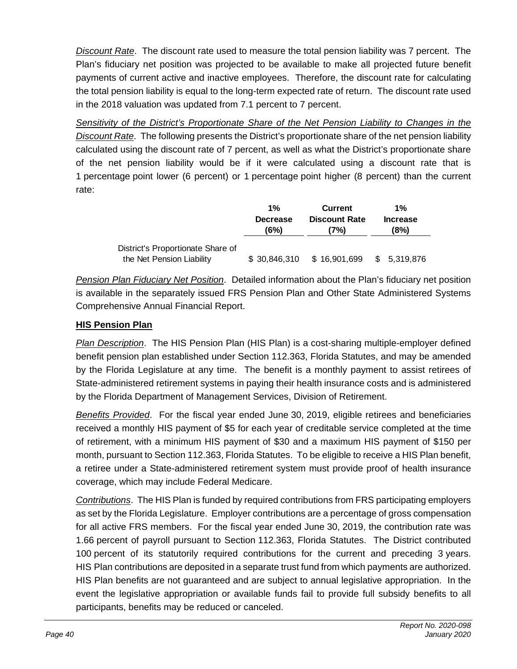*Discount Rate*. The discount rate used to measure the total pension liability was 7 percent. The Plan's fiduciary net position was projected to be available to make all projected future benefit payments of current active and inactive employees. Therefore, the discount rate for calculating the total pension liability is equal to the long-term expected rate of return. The discount rate used in the 2018 valuation was updated from 7.1 percent to 7 percent.

*Sensitivity of the District's Proportionate Share of the Net Pension Liability to Changes in the Discount Rate*. The following presents the District's proportionate share of the net pension liability calculated using the discount rate of 7 percent, as well as what the District's proportionate share of the net pension liability would be if it were calculated using a discount rate that is 1 percentage point lower (6 percent) or 1 percentage point higher (8 percent) than the current rate:

|                                                                | 1%                      | <b>Current</b>               | 1%                      |
|----------------------------------------------------------------|-------------------------|------------------------------|-------------------------|
|                                                                | <b>Decrease</b><br>(6%) | <b>Discount Rate</b><br>(7%) | <b>Increase</b><br>(8%) |
| District's Proportionate Share of<br>the Net Pension Liability | \$ 30,846,310           | \$16.901.699                 | 5.319.876<br>S.         |

*Pension Plan Fiduciary Net Position*. Detailed information about the Plan's fiduciary net position is available in the separately issued FRS Pension Plan and Other State Administered Systems Comprehensive Annual Financial Report.

#### **HIS Pension Plan**

*Plan Description*. The HIS Pension Plan (HIS Plan) is a cost-sharing multiple-employer defined benefit pension plan established under Section 112.363, Florida Statutes, and may be amended by the Florida Legislature at any time. The benefit is a monthly payment to assist retirees of State-administered retirement systems in paying their health insurance costs and is administered by the Florida Department of Management Services, Division of Retirement.

*Benefits Provided*. For the fiscal year ended June 30, 2019, eligible retirees and beneficiaries received a monthly HIS payment of \$5 for each year of creditable service completed at the time of retirement, with a minimum HIS payment of \$30 and a maximum HIS payment of \$150 per month, pursuant to Section 112.363, Florida Statutes. To be eligible to receive a HIS Plan benefit, a retiree under a State-administered retirement system must provide proof of health insurance coverage, which may include Federal Medicare.

*Contributions*. The HIS Plan is funded by required contributions from FRS participating employers as set by the Florida Legislature. Employer contributions are a percentage of gross compensation for all active FRS members. For the fiscal year ended June 30, 2019, the contribution rate was 1.66 percent of payroll pursuant to Section 112.363, Florida Statutes. The District contributed 100 percent of its statutorily required contributions for the current and preceding 3 years. HIS Plan contributions are deposited in a separate trust fund from which payments are authorized. HIS Plan benefits are not guaranteed and are subject to annual legislative appropriation. In the event the legislative appropriation or available funds fail to provide full subsidy benefits to all participants, benefits may be reduced or canceled.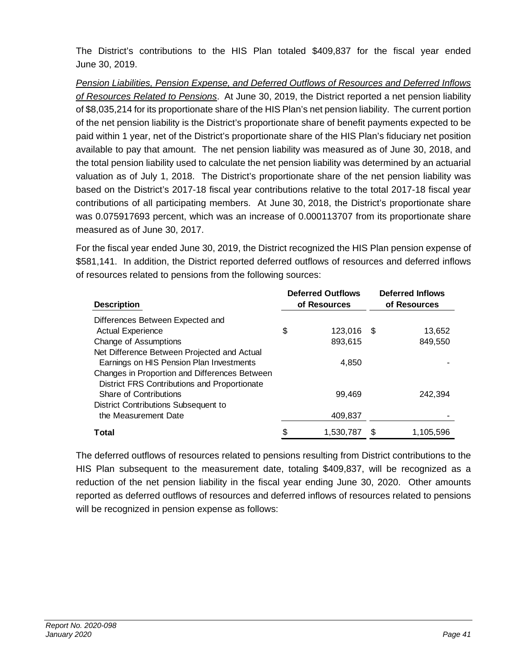The District's contributions to the HIS Plan totaled \$409,837 for the fiscal year ended June 30, 2019.

*Pension Liabilities, Pension Expense, and Deferred Outflows of Resources and Deferred Inflows of Resources Related to Pensions*. At June 30, 2019, the District reported a net pension liability of \$8,035,214 for its proportionate share of the HIS Plan's net pension liability. The current portion of the net pension liability is the District's proportionate share of benefit payments expected to be paid within 1 year, net of the District's proportionate share of the HIS Plan's fiduciary net position available to pay that amount. The net pension liability was measured as of June 30, 2018, and the total pension liability used to calculate the net pension liability was determined by an actuarial valuation as of July 1, 2018. The District's proportionate share of the net pension liability was based on the District's 2017-18 fiscal year contributions relative to the total 2017-18 fiscal year contributions of all participating members. At June 30, 2018, the District's proportionate share was 0.075917693 percent, which was an increase of 0.000113707 from its proportionate share measured as of June 30, 2017.

For the fiscal year ended June 30, 2019, the District recognized the HIS Plan pension expense of \$581,141. In addition, the District reported deferred outflows of resources and deferred inflows of resources related to pensions from the following sources:

| <b>Description</b>                                                                            | <b>Deferred Outflows</b><br>of Resources |           | <b>Deferred Inflows</b><br>of Resources |           |
|-----------------------------------------------------------------------------------------------|------------------------------------------|-----------|-----------------------------------------|-----------|
| Differences Between Expected and                                                              |                                          |           |                                         |           |
| <b>Actual Experience</b>                                                                      | \$                                       | 123,016   | \$                                      | 13,652    |
| <b>Change of Assumptions</b>                                                                  |                                          | 893,615   |                                         | 849,550   |
| Net Difference Between Projected and Actual                                                   |                                          |           |                                         |           |
| Earnings on HIS Pension Plan Investments                                                      |                                          | 4,850     |                                         |           |
| Changes in Proportion and Differences Between<br>District FRS Contributions and Proportionate |                                          |           |                                         |           |
| Share of Contributions                                                                        |                                          | 99,469    |                                         | 242,394   |
| District Contributions Subsequent to                                                          |                                          |           |                                         |           |
| the Measurement Date                                                                          |                                          | 409,837   |                                         |           |
| Total                                                                                         | ß.                                       | 1,530,787 | S                                       | 1,105,596 |

The deferred outflows of resources related to pensions resulting from District contributions to the HIS Plan subsequent to the measurement date, totaling \$409,837, will be recognized as a reduction of the net pension liability in the fiscal year ending June 30, 2020. Other amounts reported as deferred outflows of resources and deferred inflows of resources related to pensions will be recognized in pension expense as follows: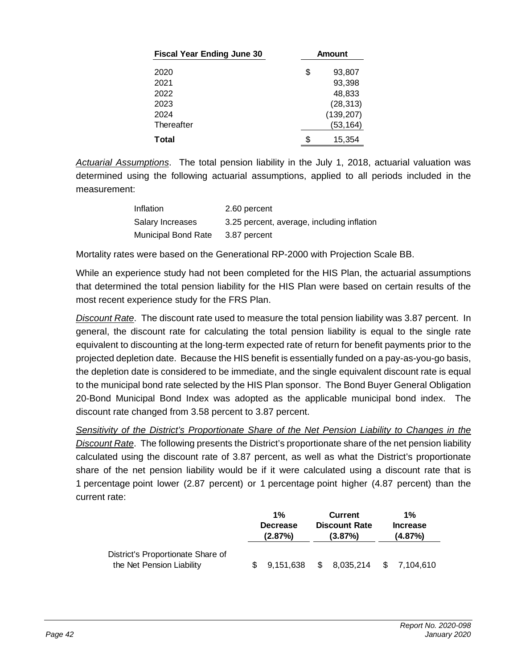| <b>Fiscal Year Ending June 30</b> | Amount       |  |  |
|-----------------------------------|--------------|--|--|
|                                   |              |  |  |
| 2020                              | \$<br>93,807 |  |  |
| 2021                              | 93,398       |  |  |
| 2022                              | 48,833       |  |  |
| 2023                              | (28, 313)    |  |  |
| 2024                              | (139, 207)   |  |  |
| Thereafter                        | (53, 164)    |  |  |
| Total                             | \$<br>15,354 |  |  |

*Actuarial Assumptions*. The total pension liability in the July 1, 2018, actuarial valuation was determined using the following actuarial assumptions, applied to all periods included in the measurement:

| <b>Inflation</b>           | 2.60 percent                               |
|----------------------------|--------------------------------------------|
| Salary Increases           | 3.25 percent, average, including inflation |
| <b>Municipal Bond Rate</b> | 3.87 percent                               |

Mortality rates were based on the Generational RP-2000 with Projection Scale BB.

While an experience study had not been completed for the HIS Plan, the actuarial assumptions that determined the total pension liability for the HIS Plan were based on certain results of the most recent experience study for the FRS Plan.

*Discount Rate*. The discount rate used to measure the total pension liability was 3.87 percent. In general, the discount rate for calculating the total pension liability is equal to the single rate equivalent to discounting at the long-term expected rate of return for benefit payments prior to the projected depletion date. Because the HIS benefit is essentially funded on a pay-as-you-go basis, the depletion date is considered to be immediate, and the single equivalent discount rate is equal to the municipal bond rate selected by the HIS Plan sponsor. The Bond Buyer General Obligation 20-Bond Municipal Bond Index was adopted as the applicable municipal bond index. The discount rate changed from 3.58 percent to 3.87 percent.

*Sensitivity of the District's Proportionate Share of the Net Pension Liability to Changes in the Discount Rate*. The following presents the District's proportionate share of the net pension liability calculated using the discount rate of 3.87 percent, as well as what the District's proportionate share of the net pension liability would be if it were calculated using a discount rate that is 1 percentage point lower (2.87 percent) or 1 percentage point higher (4.87 percent) than the current rate:

|                                                                | 1%              |           | <b>Current</b>       |                           | $1\%$           |  |
|----------------------------------------------------------------|-----------------|-----------|----------------------|---------------------------|-----------------|--|
|                                                                | <b>Decrease</b> |           | <b>Discount Rate</b> |                           | <b>Increase</b> |  |
|                                                                | (2.87%)         |           | (3.87%)              |                           | (4.87%)         |  |
| District's Proportionate Share of<br>the Net Pension Liability |                 | 9.151.638 |                      | $$8,035,214$ $$7,104,610$ |                 |  |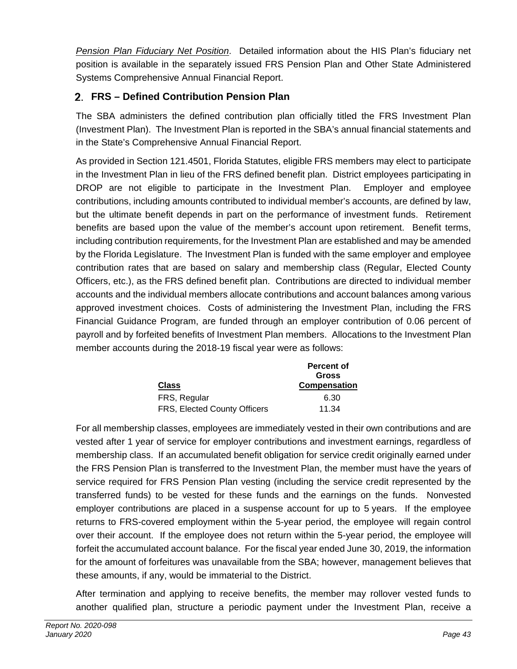*Pension Plan Fiduciary Net Position*. Detailed information about the HIS Plan's fiduciary net position is available in the separately issued FRS Pension Plan and Other State Administered Systems Comprehensive Annual Financial Report.

## **FRS – Defined Contribution Pension Plan**

The SBA administers the defined contribution plan officially titled the FRS Investment Plan (Investment Plan). The Investment Plan is reported in the SBA's annual financial statements and in the State's Comprehensive Annual Financial Report.

As provided in Section 121.4501, Florida Statutes, eligible FRS members may elect to participate in the Investment Plan in lieu of the FRS defined benefit plan. District employees participating in DROP are not eligible to participate in the Investment Plan. Employer and employee contributions, including amounts contributed to individual member's accounts, are defined by law, but the ultimate benefit depends in part on the performance of investment funds. Retirement benefits are based upon the value of the member's account upon retirement. Benefit terms, including contribution requirements, for the Investment Plan are established and may be amended by the Florida Legislature. The Investment Plan is funded with the same employer and employee contribution rates that are based on salary and membership class (Regular, Elected County Officers, etc.), as the FRS defined benefit plan. Contributions are directed to individual member accounts and the individual members allocate contributions and account balances among various approved investment choices. Costs of administering the Investment Plan, including the FRS Financial Guidance Program, are funded through an employer contribution of 0.06 percent of payroll and by forfeited benefits of Investment Plan members. Allocations to the Investment Plan member accounts during the 2018-19 fiscal year were as follows:

|                              | Percent of   |
|------------------------------|--------------|
|                              | Gross        |
| <b>Class</b>                 | Compensation |
| FRS, Regular                 | 6.30         |
| FRS, Elected County Officers | 11.34        |

For all membership classes, employees are immediately vested in their own contributions and are vested after 1 year of service for employer contributions and investment earnings, regardless of membership class. If an accumulated benefit obligation for service credit originally earned under the FRS Pension Plan is transferred to the Investment Plan, the member must have the years of service required for FRS Pension Plan vesting (including the service credit represented by the transferred funds) to be vested for these funds and the earnings on the funds. Nonvested employer contributions are placed in a suspense account for up to 5 years. If the employee returns to FRS-covered employment within the 5-year period, the employee will regain control over their account. If the employee does not return within the 5-year period, the employee will forfeit the accumulated account balance. For the fiscal year ended June 30, 2019, the information for the amount of forfeitures was unavailable from the SBA; however, management believes that these amounts, if any, would be immaterial to the District.

After termination and applying to receive benefits, the member may rollover vested funds to another qualified plan, structure a periodic payment under the Investment Plan, receive a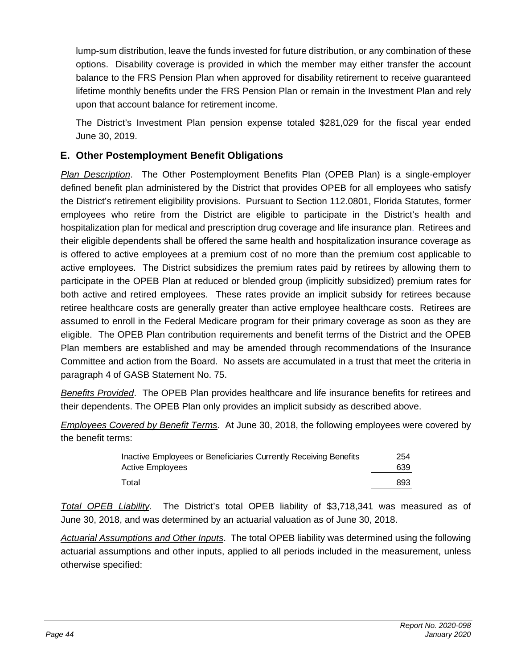lump-sum distribution, leave the funds invested for future distribution, or any combination of these options. Disability coverage is provided in which the member may either transfer the account balance to the FRS Pension Plan when approved for disability retirement to receive guaranteed lifetime monthly benefits under the FRS Pension Plan or remain in the Investment Plan and rely upon that account balance for retirement income.

The District's Investment Plan pension expense totaled \$281,029 for the fiscal year ended June 30, 2019.

#### **E. Other Postemployment Benefit Obligations**

*Plan Description*. The Other Postemployment Benefits Plan (OPEB Plan) is a single-employer defined benefit plan administered by the District that provides OPEB for all employees who satisfy the District's retirement eligibility provisions. Pursuant to Section 112.0801, Florida Statutes, former employees who retire from the District are eligible to participate in the District's health and hospitalization plan for medical and prescription drug coverage and life insurance plan. Retirees and their eligible dependents shall be offered the same health and hospitalization insurance coverage as is offered to active employees at a premium cost of no more than the premium cost applicable to active employees. The District subsidizes the premium rates paid by retirees by allowing them to participate in the OPEB Plan at reduced or blended group (implicitly subsidized) premium rates for both active and retired employees. These rates provide an implicit subsidy for retirees because retiree healthcare costs are generally greater than active employee healthcare costs. Retirees are assumed to enroll in the Federal Medicare program for their primary coverage as soon as they are eligible. The OPEB Plan contribution requirements and benefit terms of the District and the OPEB Plan members are established and may be amended through recommendations of the Insurance Committee and action from the Board. No assets are accumulated in a trust that meet the criteria in paragraph 4 of GASB Statement No. 75.

*Benefits Provided*.The OPEB Plan provides healthcare and life insurance benefits for retirees and their dependents. The OPEB Plan only provides an implicit subsidy as described above.

*Employees Covered by Benefit Terms*. At June 30, 2018, the following employees were covered by the benefit terms:

| Inactive Employees or Beneficiaries Currently Receiving Benefits | 254 |
|------------------------------------------------------------------|-----|
| Active Employees                                                 | 639 |
| Total                                                            | 893 |

*Total OPEB Liability*. The District's total OPEB liability of \$3,718,341 was measured as of June 30, 2018, and was determined by an actuarial valuation as of June 30, 2018.

*Actuarial Assumptions and Other Inputs*. The total OPEB liability was determined using the following actuarial assumptions and other inputs, applied to all periods included in the measurement, unless otherwise specified: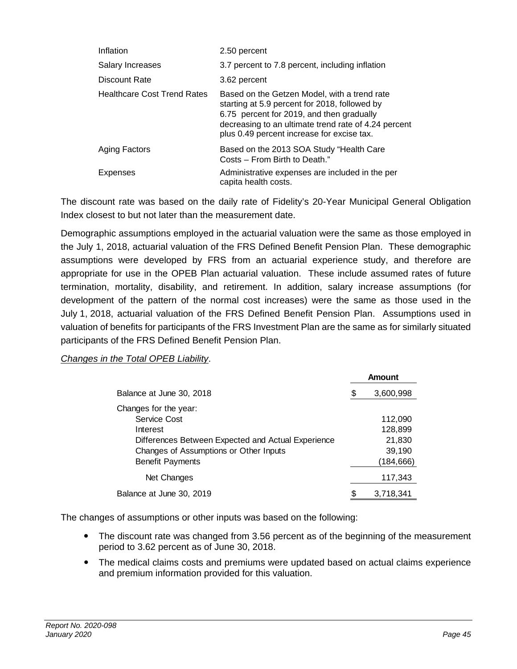| Inflation                          | 2.50 percent                                                                                                                                                                                                                                     |
|------------------------------------|--------------------------------------------------------------------------------------------------------------------------------------------------------------------------------------------------------------------------------------------------|
| Salary Increases                   | 3.7 percent to 7.8 percent, including inflation                                                                                                                                                                                                  |
| Discount Rate                      | 3.62 percent                                                                                                                                                                                                                                     |
| <b>Healthcare Cost Trend Rates</b> | Based on the Getzen Model, with a trend rate<br>starting at 5.9 percent for 2018, followed by<br>6.75 percent for 2019, and then gradually<br>decreasing to an ultimate trend rate of 4.24 percent<br>plus 0.49 percent increase for excise tax. |
| Aging Factors                      | Based on the 2013 SOA Study "Health Care<br>Costs - From Birth to Death."                                                                                                                                                                        |
| Expenses                           | Administrative expenses are included in the per<br>capita health costs.                                                                                                                                                                          |

The discount rate was based on the daily rate of Fidelity's 20-Year Municipal General Obligation Index closest to but not later than the measurement date.

Demographic assumptions employed in the actuarial valuation were the same as those employed in the July 1, 2018, actuarial valuation of the FRS Defined Benefit Pension Plan. These demographic assumptions were developed by FRS from an actuarial experience study, and therefore are appropriate for use in the OPEB Plan actuarial valuation. These include assumed rates of future termination, mortality, disability, and retirement. In addition, salary increase assumptions (for development of the pattern of the normal cost increases) were the same as those used in the July 1, 2018, actuarial valuation of the FRS Defined Benefit Pension Plan. Assumptions used in valuation of benefits for participants of the FRS Investment Plan are the same as for similarly situated participants of the FRS Defined Benefit Pension Plan.

#### *Changes in the Total OPEB Liability*.

|                                                    | <b>Amount</b> |           |  |  |
|----------------------------------------------------|---------------|-----------|--|--|
| Balance at June 30, 2018                           | \$            | 3,600,998 |  |  |
| Changes for the year:                              |               |           |  |  |
| Service Cost                                       |               | 112,090   |  |  |
| Interest                                           |               | 128,899   |  |  |
| Differences Between Expected and Actual Experience |               | 21,830    |  |  |
| Changes of Assumptions or Other Inputs             |               | 39,190    |  |  |
| <b>Benefit Payments</b>                            |               | (184,666) |  |  |
| Net Changes                                        |               | 117,343   |  |  |
| Balance at June 30, 2019                           | \$            | 3,718,341 |  |  |

The changes of assumptions or other inputs was based on the following:

- The discount rate was changed from 3.56 percent as of the beginning of the measurement period to 3.62 percent as of June 30, 2018.
- The medical claims costs and premiums were updated based on actual claims experience and premium information provided for this valuation.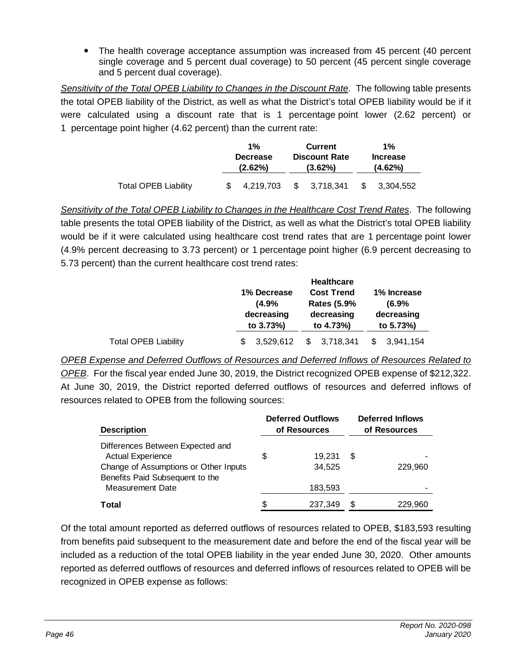The health coverage acceptance assumption was increased from 45 percent (40 percent single coverage and 5 percent dual coverage) to 50 percent (45 percent single coverage and 5 percent dual coverage).

*Sensitivity of the Total OPEB Liability to Changes in the Discount Rate*. The following table presents the total OPEB liability of the District, as well as what the District's total OPEB liability would be if it were calculated using a discount rate that is 1 percentage point lower (2.62 percent) or 1 percentage point higher (4.62 percent) than the current rate:

|                             | 1%<br><b>Decrease</b><br>(2.62%) | <b>Current</b><br><b>Discount Rate</b><br>$(3.62\%)$ |           | $1\%$<br><b>Increase</b><br>(4.62%) |  |
|-----------------------------|----------------------------------|------------------------------------------------------|-----------|-------------------------------------|--|
| <b>Total OPEB Liability</b> | 4.219.703                        | -SS                                                  | 3,718,341 | \$ 3.304.552                        |  |

*Sensitivity of the Total OPEB Liability to Changes in the Healthcare Cost Trend Rates*. The following table presents the total OPEB liability of the District, as well as what the District's total OPEB liability would be if it were calculated using healthcare cost trend rates that are 1 percentage point lower (4.9% percent decreasing to 3.73 percent) or 1 percentage point higher (6.9 percent decreasing to 5.73 percent) than the current healthcare cost trend rates:

|                             | 1% Decrease<br>(4.9%<br>decreasing<br>to 3.73%) | <b>Healthcare</b><br><b>Cost Trend</b><br><b>Rates (5.9%</b><br>decreasing<br>to 4.73%) | 1% Increase<br>(6.9%<br>decreasing<br>to 5.73%) |
|-----------------------------|-------------------------------------------------|-----------------------------------------------------------------------------------------|-------------------------------------------------|
| <b>Total OPEB Liability</b> | 3,529,612                                       | 3,718,341<br>\$.                                                                        | 3,941,154                                       |

*OPEB Expense and Deferred Outflows of Resources and Deferred Inflows of Resources Related to OPEB*. For the fiscal year ended June 30, 2019, the District recognized OPEB expense of \$212,322. At June 30, 2019, the District reported deferred outflows of resources and deferred inflows of resources related to OPEB from the following sources:

| <b>Description</b>                                                       |    | <b>Deferred Outflows</b><br>of Resources | <b>Deferred Inflows</b><br>of Resources |         |  |
|--------------------------------------------------------------------------|----|------------------------------------------|-----------------------------------------|---------|--|
| Differences Between Expected and<br><b>Actual Experience</b>             | \$ | 19.231                                   | \$                                      |         |  |
| Change of Assumptions or Other Inputs<br>Benefits Paid Subsequent to the |    | 34,525                                   |                                         | 229.960 |  |
| <b>Measurement Date</b>                                                  |    | 183,593                                  |                                         |         |  |
| Total                                                                    | S  | 237,349                                  | S                                       | 229.960 |  |

Of the total amount reported as deferred outflows of resources related to OPEB, \$183,593 resulting from benefits paid subsequent to the measurement date and before the end of the fiscal year will be included as a reduction of the total OPEB liability in the year ended June 30, 2020. Other amounts reported as deferred outflows of resources and deferred inflows of resources related to OPEB will be recognized in OPEB expense as follows: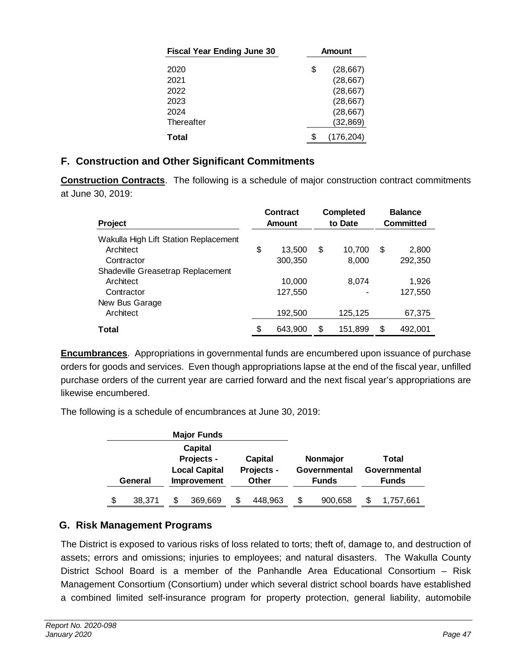| <b>Fiscal Year Ending June 30</b> | Amount          |  |  |  |
|-----------------------------------|-----------------|--|--|--|
| 2020                              | \$<br>(28, 667) |  |  |  |
| 2021                              | (28, 667)       |  |  |  |
| 2022                              | (28, 667)       |  |  |  |
| 2023                              | (28, 667)       |  |  |  |
| 2024                              | (28, 667)       |  |  |  |
| Thereafter                        | (32, 869)       |  |  |  |
| Total                             | (176,204)       |  |  |  |

#### **F. Construction and Other Significant Commitments**

**Construction Contracts**. The following is a schedule of major construction contract commitments at June 30, 2019:

| Project                               | <b>Contract</b><br>Amount |         | <b>Completed</b><br>to Date |         | <b>Balance</b><br>Committed |         |
|---------------------------------------|---------------------------|---------|-----------------------------|---------|-----------------------------|---------|
| Wakulla High Lift Station Replacement |                           |         |                             |         |                             |         |
| Architect                             | \$                        | 13,500  | \$                          | 10,700  | \$                          | 2,800   |
| Contractor                            |                           | 300,350 |                             | 8,000   |                             | 292,350 |
| Shadeville Greasetrap Replacement     |                           |         |                             |         |                             |         |
| Architect                             |                           | 10,000  |                             | 8,074   |                             | 1,926   |
| Contractor                            |                           | 127,550 |                             |         |                             | 127,550 |
| New Bus Garage                        |                           |         |                             |         |                             |         |
| Architect                             |                           | 192,500 |                             | 125,125 |                             | 67,375  |
| Total                                 | \$                        | 643,900 | \$                          | 151,899 | \$                          | 492,001 |

**Encumbrances**. Appropriations in governmental funds are encumbered upon issuance of purchase orders for goods and services. Even though appropriations lapse at the end of the fiscal year, unfilled purchase orders of the current year are carried forward and the next fiscal year's appropriations are likewise encumbered.

The following is a schedule of encumbrances at June 30, 2019:

|                                                                         |  | <b>Major Funds</b> |                                |                                          |  |                                       |  |  |
|-------------------------------------------------------------------------|--|--------------------|--------------------------------|------------------------------------------|--|---------------------------------------|--|--|
| Capital<br>Projects -<br><b>Local Capital</b><br>Improvement<br>General |  |                    | Capital<br>Projects -<br>Other | Nonmajor<br>Governmental<br><b>Funds</b> |  | Total<br>Governmental<br><b>Funds</b> |  |  |
| \$<br>38,371                                                            |  | 369,669            | 448,963                        | \$<br>900,658                            |  | 1,757,661                             |  |  |

#### **G. Risk Management Programs**

The District is exposed to various risks of loss related to torts; theft of, damage to, and destruction of assets; errors and omissions; injuries to employees; and natural disasters. The Wakulla County District School Board is a member of the Panhandle Area Educational Consortium – Risk Management Consortium (Consortium) under which several district school boards have established a combined limited self-insurance program for property protection, general liability, automobile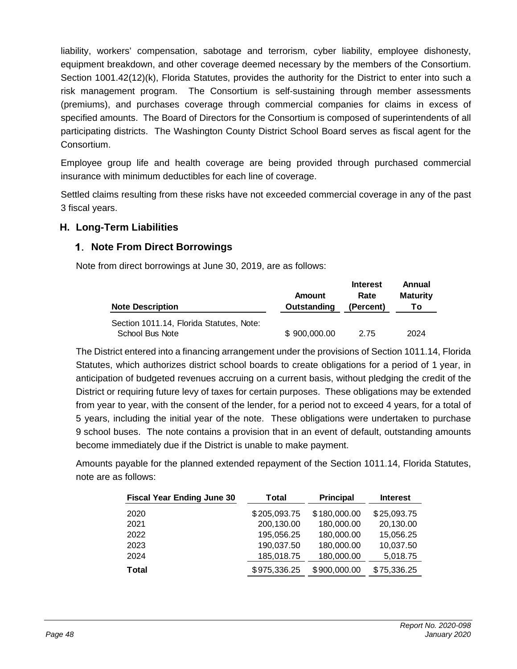liability, workers' compensation, sabotage and terrorism, cyber liability, employee dishonesty, equipment breakdown, and other coverage deemed necessary by the members of the Consortium. Section 1001.42(12)(k), Florida Statutes, provides the authority for the District to enter into such a risk management program. The Consortium is self-sustaining through member assessments (premiums), and purchases coverage through commercial companies for claims in excess of specified amounts. The Board of Directors for the Consortium is composed of superintendents of all participating districts. The Washington County District School Board serves as fiscal agent for the Consortium.

Employee group life and health coverage are being provided through purchased commercial insurance with minimum deductibles for each line of coverage.

Settled claims resulting from these risks have not exceeded commercial coverage in any of the past 3 fiscal years.

#### **H. Long-Term Liabilities**

#### **Note From Direct Borrowings**

Note from direct borrowings at June 30, 2019, are as follows:

| <b>Note Description</b>                  | Amount<br>Outstanding | <b>Interest</b><br>Rate<br>(Percent) | Annual<br><b>Maturity</b><br>Τo |
|------------------------------------------|-----------------------|--------------------------------------|---------------------------------|
| Section 1011.14, Florida Statutes, Note: |                       |                                      |                                 |
| School Bus Note                          | \$900,000.00          | 2.75                                 | 2024                            |

The District entered into a financing arrangement under the provisions of Section 1011.14, Florida Statutes, which authorizes district school boards to create obligations for a period of 1 year, in anticipation of budgeted revenues accruing on a current basis, without pledging the credit of the District or requiring future levy of taxes for certain purposes. These obligations may be extended from year to year, with the consent of the lender, for a period not to exceed 4 years, for a total of 5 years, including the initial year of the note. These obligations were undertaken to purchase 9 school buses. The note contains a provision that in an event of default, outstanding amounts become immediately due if the District is unable to make payment.

Amounts payable for the planned extended repayment of the Section 1011.14, Florida Statutes, note are as follows:

| <b>Fiscal Year Ending June 30</b> | Total        | <b>Principal</b> | <b>Interest</b> |
|-----------------------------------|--------------|------------------|-----------------|
| 2020                              | \$205,093.75 | \$180,000.00     | \$25,093.75     |
| 2021                              | 200,130.00   | 180,000.00       | 20,130.00       |
| 2022                              | 195,056.25   | 180,000.00       | 15,056.25       |
| 2023                              | 190,037.50   | 180,000.00       | 10,037.50       |
| 2024                              | 185,018.75   | 180,000.00       | 5,018.75        |
| Total                             | \$975,336.25 | \$900,000.00     | \$75,336.25     |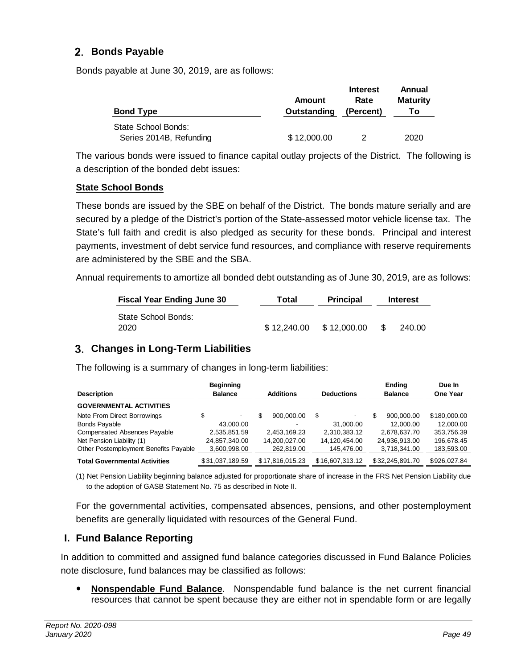#### **Bonds Payable**

Bonds payable at June 30, 2019, are as follows:

| <b>Bond Type</b>                               | Amount<br>Outstanding | <b>Interest</b><br>Rate<br>(Percent) | Annual<br><b>Maturity</b><br>Τo |
|------------------------------------------------|-----------------------|--------------------------------------|---------------------------------|
| State School Bonds:<br>Series 2014B, Refunding | \$12,000.00           |                                      | 2020                            |

The various bonds were issued to finance capital outlay projects of the District. The following is a description of the bonded debt issues:

#### **State School Bonds**

These bonds are issued by the SBE on behalf of the District. The bonds mature serially and are secured by a pledge of the District's portion of the State-assessed motor vehicle license tax. The State's full faith and credit is also pledged as security for these bonds. Principal and interest payments, investment of debt service fund resources, and compliance with reserve requirements are administered by the SBE and the SBA.

Annual requirements to amortize all bonded debt outstanding as of June 30, 2019, are as follows:

| <b>Fiscal Year Ending June 30</b> | Total        | <b>Principal</b> | <b>Interest</b> |        |  |
|-----------------------------------|--------------|------------------|-----------------|--------|--|
| State School Bonds:<br>2020       | \$ 12,240.00 | \$12,000.00      | -SS             | 240.00 |  |

### **Changes in Long-Term Liabilities**

The following is a summary of changes in long-term liabilities:

| <b>Description</b>                    | <b>Beginning</b><br><b>Balance</b> | <b>Additions</b> | <b>Deductions</b> | <b>Ending</b><br><b>Balance</b> | Due In<br><b>One Year</b> |  |
|---------------------------------------|------------------------------------|------------------|-------------------|---------------------------------|---------------------------|--|
| <b>GOVERNMENTAL ACTIVITIES</b>        |                                    |                  |                   |                                 |                           |  |
| Note From Direct Borrowings           | \$                                 | 900,000.00<br>\$ | S                 | 900.000.00<br>S                 | \$180,000.00              |  |
| <b>Bonds Payable</b>                  | 43.000.00                          |                  | 31.000.00         | 12,000.00                       | 12.000.00                 |  |
| <b>Compensated Absences Payable</b>   | 2,535,851.59                       | 2.453.169.23     | 2,310,383.12      | 2.678.637.70                    | 353,756.39                |  |
| Net Pension Liability (1)             | 24.857.340.00                      | 14.200.027.00    | 14.120.454.00     | 24.936.913.00                   | 196.678.45                |  |
| Other Postemployment Benefits Payable | 3,600,998.00                       | 262,819.00       | 145.476.00        | 3,718,341.00                    | 183,593.00                |  |
| <b>Total Governmental Activities</b>  | \$31.037.189.59                    | \$17.816.015.23  | \$16,607,313,12   | \$32,245,891,70                 | \$926,027.84              |  |

(1) Net Pension Liability beginning balance adjusted for proportionate share of increase in the FRS Net Pension Liability due to the adoption of GASB Statement No. 75 as described in Note II.

For the governmental activities, compensated absences, pensions, and other postemployment benefits are generally liquidated with resources of the General Fund.

#### **I. Fund Balance Reporting**

In addition to committed and assigned fund balance categories discussed in Fund Balance Policies note disclosure, fund balances may be classified as follows:

 **Nonspendable Fund Balance**. Nonspendable fund balance is the net current financial resources that cannot be spent because they are either not in spendable form or are legally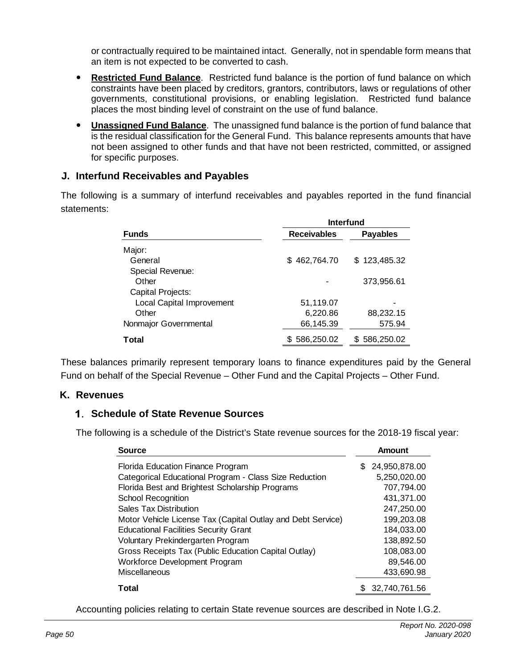or contractually required to be maintained intact. Generally, not in spendable form means that an item is not expected to be converted to cash.

- **Restricted Fund Balance**. Restricted fund balance is the portion of fund balance on which constraints have been placed by creditors, grantors, contributors, laws or regulations of other governments, constitutional provisions, or enabling legislation. Restricted fund balance places the most binding level of constraint on the use of fund balance.
- **Unassigned Fund Balance**. The unassigned fund balance is the portion of fund balance that is the residual classification for the General Fund. This balance represents amounts that have not been assigned to other funds and that have not been restricted, committed, or assigned for specific purposes.

#### **J. Interfund Receivables and Payables**

The following is a summary of interfund receivables and payables reported in the fund financial statements:

|                                  | <b>Interfund</b>   |                  |  |  |  |
|----------------------------------|--------------------|------------------|--|--|--|
| <b>Funds</b>                     | <b>Receivables</b> | <b>Payables</b>  |  |  |  |
| Major:                           |                    |                  |  |  |  |
| General                          | \$462,764.70       | \$123,485.32     |  |  |  |
| Special Revenue:                 |                    |                  |  |  |  |
| Other                            |                    | 373,956.61       |  |  |  |
| Capital Projects:                |                    |                  |  |  |  |
| <b>Local Capital Improvement</b> | 51,119.07          |                  |  |  |  |
| Other                            | 6,220.86           | 88,232.15        |  |  |  |
| Nonmajor Governmental            | 66,145.39          | 575.94           |  |  |  |
| Total                            | 586,250.02         | 586,250.02<br>\$ |  |  |  |

These balances primarily represent temporary loans to finance expenditures paid by the General Fund on behalf of the Special Revenue – Other Fund and the Capital Projects – Other Fund.

#### **K. Revenues**

#### **Schedule of State Revenue Sources**

The following is a schedule of the District's State revenue sources for the 2018-19 fiscal year:

| <b>Source</b>                                               |     | Amount        |
|-------------------------------------------------------------|-----|---------------|
| Florida Education Finance Program                           | \$. | 24,950,878.00 |
| Categorical Educational Program - Class Size Reduction      |     | 5,250,020.00  |
| Florida Best and Brightest Scholarship Programs             |     | 707,794.00    |
| <b>School Recognition</b>                                   |     | 431,371.00    |
| <b>Sales Tax Distribution</b>                               |     | 247,250.00    |
| Motor Vehicle License Tax (Capital Outlay and Debt Service) |     | 199,203.08    |
| <b>Educational Facilities Security Grant</b>                |     | 184,033.00    |
| Voluntary Prekindergarten Program                           |     | 138,892.50    |
| Gross Receipts Tax (Public Education Capital Outlay)        |     | 108,083.00    |
| Workforce Development Program                               |     | 89.546.00     |
| Miscellaneous                                               |     | 433,690.98    |
| Total                                                       |     | 32,740,761.56 |

Accounting policies relating to certain State revenue sources are described in Note I.G.2.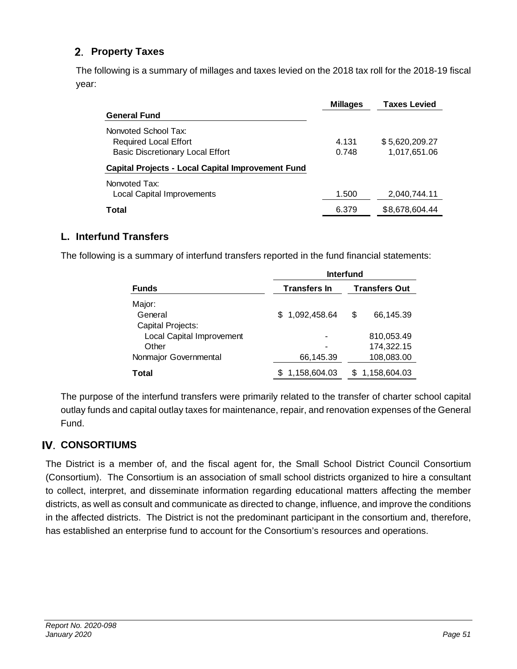## **Property Taxes**

The following is a summary of millages and taxes levied on the 2018 tax roll for the 2018-19 fiscal year:

|                                                          | <b>Millages</b> | <b>Taxes Levied</b> |
|----------------------------------------------------------|-----------------|---------------------|
| <b>General Fund</b>                                      |                 |                     |
| Nonvoted School Tax:                                     |                 |                     |
| Required Local Effort                                    | 4.131           | \$5,620,209.27      |
| <b>Basic Discretionary Local Effort</b>                  | 0.748           | 1,017,651.06        |
| <b>Capital Projects - Local Capital Improvement Fund</b> |                 |                     |
| Nonvoted Tax:                                            |                 |                     |
| <b>Local Capital Improvements</b>                        | 1.500           | 2,040,744.11        |
| Total                                                    | 6.379           | \$8,678,604.44      |

#### **L. Interfund Transfers**

The following is a summary of interfund transfers reported in the fund financial statements:

|                                  |                     | <b>Interfund</b>     |  |  |  |  |  |
|----------------------------------|---------------------|----------------------|--|--|--|--|--|
| <b>Funds</b>                     | <b>Transfers In</b> | <b>Transfers Out</b> |  |  |  |  |  |
| Major:                           |                     |                      |  |  |  |  |  |
| General                          | \$1.092.458.64      | S<br>66,145.39       |  |  |  |  |  |
| Capital Projects:                |                     |                      |  |  |  |  |  |
| <b>Local Capital Improvement</b> |                     | 810,053.49           |  |  |  |  |  |
| Other                            |                     | 174,322.15           |  |  |  |  |  |
| Nonmajor Governmental            | 66,145.39           | 108,083.00           |  |  |  |  |  |
| Total                            | 1,158,604.03        | 1,158,604.03<br>S.   |  |  |  |  |  |

The purpose of the interfund transfers were primarily related to the transfer of charter school capital outlay funds and capital outlay taxes for maintenance, repair, and renovation expenses of the General Fund.

### **IV. CONSORTIUMS**

The District is a member of, and the fiscal agent for, the Small School District Council Consortium (Consortium). The Consortium is an association of small school districts organized to hire a consultant to collect, interpret, and disseminate information regarding educational matters affecting the member districts, as well as consult and communicate as directed to change, influence, and improve the conditions in the affected districts. The District is not the predominant participant in the consortium and, therefore, has established an enterprise fund to account for the Consortium's resources and operations.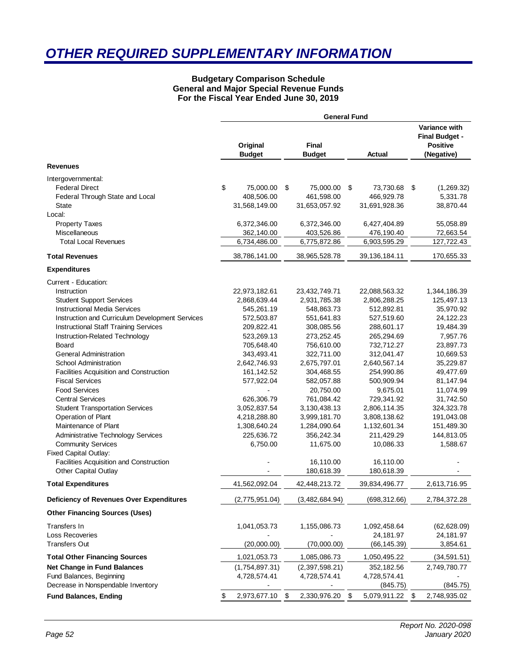# *OTHER REQUIRED SUPPLEMENTARY INFORMATION*

#### **Budgetary Comparison Schedule General and Major Special Revenue Funds For the Fiscal Year Ended June 30, 2019**

|                                                 | <b>General Fund</b> |                                |    |                                |    |                            |      |                                                                                |
|-------------------------------------------------|---------------------|--------------------------------|----|--------------------------------|----|----------------------------|------|--------------------------------------------------------------------------------|
|                                                 |                     | Original<br><b>Budget</b>      |    | Final<br><b>Budget</b>         |    | Actual                     |      | <b>Variance with</b><br><b>Final Budget -</b><br><b>Positive</b><br>(Negative) |
| <b>Revenues</b>                                 |                     |                                |    |                                |    |                            |      |                                                                                |
| Intergovernmental:                              |                     |                                |    |                                |    |                            |      |                                                                                |
| <b>Federal Direct</b>                           | \$                  | 75,000.00                      | \$ | 75,000.00                      | \$ | 73,730.68                  | \$   | (1,269.32)                                                                     |
| Federal Through State and Local                 |                     | 408,506.00                     |    | 461,598.00                     |    | 466,929.78                 |      | 5,331.78                                                                       |
| <b>State</b>                                    |                     | 31,568,149.00                  |    | 31,653,057.92                  |    | 31,691,928.36              |      | 38,870.44                                                                      |
| Local:                                          |                     |                                |    |                                |    |                            |      |                                                                                |
| <b>Property Taxes</b>                           |                     | 6,372,346.00                   |    | 6,372,346.00                   |    | 6,427,404.89               |      | 55,058.89                                                                      |
| Miscellaneous<br><b>Total Local Revenues</b>    |                     | 362,140.00                     |    | 403,526.86<br>6,775,872.86     |    | 476,190.40                 |      | 72,663.54                                                                      |
|                                                 |                     | 6,734,486.00                   |    |                                |    | 6,903,595.29               |      | 127,722.43                                                                     |
| <b>Total Revenues</b>                           |                     | 38,786,141.00                  |    | 38,965,528.78                  |    | 39, 136, 184. 11           |      | 170,655.33                                                                     |
| <b>Expenditures</b>                             |                     |                                |    |                                |    |                            |      |                                                                                |
| Current - Education:                            |                     |                                |    |                                |    |                            |      |                                                                                |
| Instruction                                     |                     | 22,973,182.61                  |    | 23,432,749.71                  |    | 22,088,563.32              |      | 1,344,186.39                                                                   |
| <b>Student Support Services</b>                 |                     | 2,868,639.44                   |    | 2,931,785.38                   |    | 2,806,288.25               |      | 125,497.13                                                                     |
| <b>Instructional Media Services</b>             |                     | 545,261.19                     |    | 548,863.73                     |    | 512,892.81                 |      | 35,970.92                                                                      |
| Instruction and Curriculum Development Services |                     | 572,503.87                     |    | 551,641.83                     |    | 527,519.60                 |      | 24,122.23                                                                      |
| <b>Instructional Staff Training Services</b>    |                     | 209,822.41                     |    | 308,085.56                     |    | 288,601.17                 |      | 19,484.39                                                                      |
| Instruction-Related Technology                  |                     | 523,269.13                     |    | 273,252.45                     |    | 265,294.69                 |      | 7,957.76                                                                       |
| Board                                           |                     | 705,648.40                     |    | 756,610.00                     |    | 732,712.27                 |      | 23,897.73                                                                      |
| <b>General Administration</b>                   |                     | 343,493.41                     |    | 322,711.00                     |    | 312,041.47                 |      | 10,669.53                                                                      |
| School Administration                           |                     | 2,642,746.93                   |    | 2,675,797.01                   |    | 2,640,567.14               |      | 35,229.87                                                                      |
| Facilities Acquisition and Construction         |                     | 161,142.52                     |    | 304,468.55                     |    | 254,990.86                 |      | 49,477.69                                                                      |
| <b>Fiscal Services</b><br><b>Food Services</b>  |                     | 577,922.04                     |    | 582,057.88                     |    | 500,909.94<br>9,675.01     |      | 81,147.94                                                                      |
| <b>Central Services</b>                         |                     | 626,306.79                     |    | 20,750.00<br>761,084.42        |    | 729,341.92                 |      | 11,074.99<br>31,742.50                                                         |
| <b>Student Transportation Services</b>          |                     | 3,052,837.54                   |    | 3,130,438.13                   |    | 2,806,114.35               |      | 324,323.78                                                                     |
| Operation of Plant                              |                     | 4,218,288.80                   |    | 3,999,181.70                   |    | 3,808,138.62               |      | 191,043.08                                                                     |
| Maintenance of Plant                            |                     | 1,308,640.24                   |    | 1,284,090.64                   |    | 1,132,601.34               |      | 151,489.30                                                                     |
| Administrative Technology Services              |                     | 225,636.72                     |    | 356,242.34                     |    | 211,429.29                 |      | 144,813.05                                                                     |
| <b>Community Services</b>                       |                     | 6,750.00                       |    | 11,675.00                      |    | 10,086.33                  |      | 1,588.67                                                                       |
| Fixed Capital Outlay:                           |                     |                                |    |                                |    |                            |      |                                                                                |
| Facilities Acquisition and Construction         |                     |                                |    | 16,110.00                      |    | 16,110.00                  |      |                                                                                |
| Other Capital Outlay                            |                     |                                |    | 180,618.39                     |    | 180,618.39                 |      |                                                                                |
| <b>Total Expenditures</b>                       |                     | 41,562,092.04                  |    | 42,448,213.72                  |    | 39,834,496.77              |      | 2,613,716.95                                                                   |
| Deficiency of Revenues Over Expenditures        |                     | (2,775,951.04)                 |    | (3,482,684.94)                 |    | (698, 312.66)              |      | 2,784,372.28                                                                   |
| <b>Other Financing Sources (Uses)</b>           |                     |                                |    |                                |    |                            |      |                                                                                |
| Transfers In                                    |                     | 1,041,053.73                   |    | 1,155,086.73                   |    | 1,092,458.64               |      | (62, 628.09)                                                                   |
| <b>Loss Recoveries</b>                          |                     |                                |    |                                |    | 24,181.97                  |      | 24,181.97                                                                      |
| <b>Transfers Out</b>                            |                     | (20,000.00)                    |    | (70,000.00)                    |    | (66, 145.39)               |      | 3,854.61                                                                       |
| <b>Total Other Financing Sources</b>            |                     | 1,021,053.73                   |    | 1,085,086.73                   |    | 1,050,495.22               |      | (34, 591.51)                                                                   |
| <b>Net Change in Fund Balances</b>              |                     |                                |    |                                |    |                            |      |                                                                                |
| Fund Balances, Beginning                        |                     | (1,754,897.31)<br>4,728,574.41 |    | (2,397,598.21)<br>4,728,574.41 |    | 352,182.56<br>4,728,574.41 |      | 2,749,780.77                                                                   |
| Decrease in Nonspendable Inventory              |                     |                                |    |                                |    | (845.75)                   |      | (845.75)                                                                       |
| <b>Fund Balances, Ending</b>                    |                     | 2,973,677.10                   | \$ | 2,330,976.20                   | \$ | 5,079,911.22               | - \$ | 2,748,935.02                                                                   |
|                                                 | \$                  |                                |    |                                |    |                            |      |                                                                                |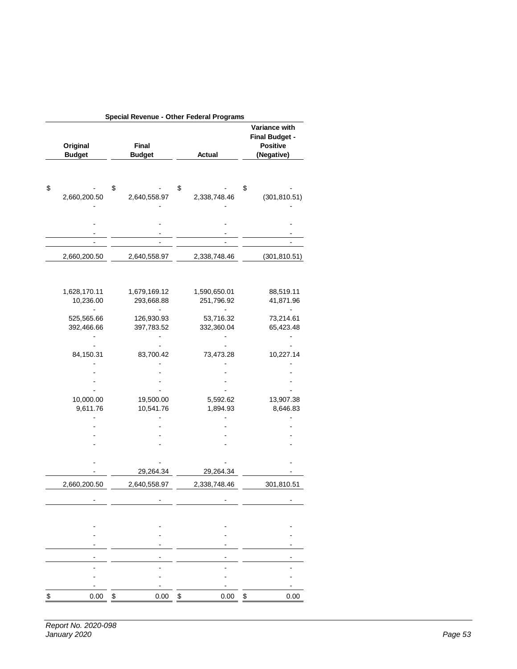|               |               | Special Revenue - Other Federal Programs | Variance with<br><b>Final Budget -</b> |
|---------------|---------------|------------------------------------------|----------------------------------------|
| Original      | <b>Final</b>  |                                          | <b>Positive</b>                        |
| <b>Budget</b> | <b>Budget</b> | Actual                                   | (Negative)                             |
|               |               |                                          |                                        |
| \$            | \$            | \$                                       | \$                                     |
| 2,660,200.50  | 2,640,558.97  | 2,338,748.46                             | (301, 810.51)                          |
|               |               |                                          |                                        |
|               |               |                                          |                                        |
|               |               |                                          |                                        |
|               |               |                                          |                                        |
| 2,660,200.50  | 2,640,558.97  | 2,338,748.46                             | (301, 810.51)                          |
|               |               |                                          |                                        |
| 1,628,170.11  | 1,679,169.12  | 1,590,650.01                             | 88,519.11                              |
| 10,236.00     | 293,668.88    | 251,796.92                               | 41,871.96                              |
|               |               |                                          |                                        |
| 525,565.66    | 126,930.93    | 53,716.32                                | 73,214.61                              |
| 392,466.66    | 397,783.52    | 332,360.04                               | 65,423.48                              |
|               |               |                                          |                                        |
|               |               |                                          |                                        |
| 84,150.31     | 83,700.42     | 73,473.28                                | 10,227.14                              |
|               |               |                                          |                                        |
|               |               |                                          |                                        |
|               |               |                                          |                                        |
| 10,000.00     | 19,500.00     | 5,592.62                                 | 13,907.38                              |
| 9,611.76      | 10,541.76     | 1,894.93                                 | 8,646.83                               |
|               |               |                                          |                                        |
|               |               |                                          |                                        |
|               |               |                                          |                                        |
|               |               |                                          |                                        |
|               |               |                                          |                                        |
|               | 29,264.34     | 29,264.34                                |                                        |
| 2,660,200.50  | 2,640,558.97  | 2,338,748.46                             | 301,810.51                             |
|               |               |                                          |                                        |
|               |               |                                          |                                        |
|               |               |                                          |                                        |
|               |               |                                          |                                        |
|               |               |                                          |                                        |
|               |               |                                          |                                        |
|               |               |                                          |                                        |
|               |               |                                          |                                        |
| 0.00          | \$<br>0.00    | \$<br>0.00                               | \$<br>0.00                             |
|               |               |                                          |                                        |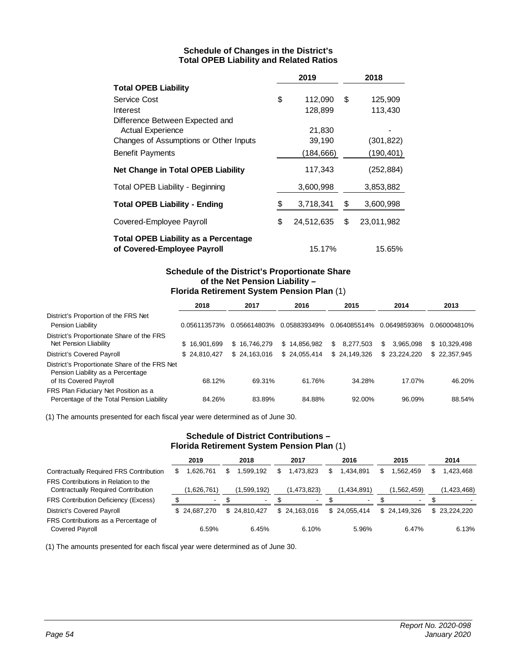#### **Schedule of Changes in the District's Total OPEB Liability and Related Ratios**

|                                                                            | 2019 |            | 2018 |            |  |
|----------------------------------------------------------------------------|------|------------|------|------------|--|
| <b>Total OPEB Liability</b>                                                |      |            |      |            |  |
| Service Cost                                                               | \$   | 112,090    | \$   | 125,909    |  |
| Interest                                                                   |      | 128,899    |      | 113,430    |  |
| Difference Between Expected and                                            |      |            |      |            |  |
| <b>Actual Experience</b>                                                   |      | 21,830     |      |            |  |
| Changes of Assumptions or Other Inputs                                     |      | 39,190     |      | (301, 822) |  |
| <b>Benefit Payments</b>                                                    |      | (184,666)  |      | (190, 401) |  |
| Net Change in Total OPEB Liability                                         |      | 117,343    |      | (252, 884) |  |
| Total OPEB Liability - Beginning                                           |      | 3,600,998  |      | 3,853,882  |  |
| <b>Total OPEB Liability - Ending</b>                                       | \$   | 3,718,341  | \$   | 3,600,998  |  |
| Covered-Employee Payroll                                                   | \$   | 24,512,635 | \$   | 23,011,982 |  |
| <b>Total OPEB Liability as a Percentage</b><br>of Covered-Employee Payroll |      | 15.17%     |      | 15.65%     |  |

#### **Schedule of the District's Proportionate Share of the Net Pension Liability – Florida Retirement System Pension Plan** (1)

|                                                                                                              | 2018         | 2017         | 2016         | 2015            | 2014            | 2013              |
|--------------------------------------------------------------------------------------------------------------|--------------|--------------|--------------|-----------------|-----------------|-------------------|
| District's Proportion of the FRS Net                                                                         |              |              |              |                 |                 |                   |
| Pension Liability                                                                                            | 0.056113573% | 0.056614803% | 0.058839349% | 0.064085514%    | 0.064985936%    | 0.060004810%      |
| District's Proportionate Share of the FRS<br>Net Pension Lliability                                          | \$16,901,699 | \$16,746,279 | \$14,856,982 | 8,277,503<br>S. | 3.965.098<br>S. | 10,329,498<br>SS. |
| District's Covered Payroll                                                                                   | \$24,810,427 | \$24,163,016 | \$24,055,414 | \$24,149,326    | \$23,224,220    | \$22,357,945      |
| District's Proportionate Share of the FRS Net<br>Pension Liability as a Percentage<br>of Its Covered Payroll | 68.12%       | 69.31%       | 61.76%       | 34.28%          | 17.07%          | 46.20%            |
| FRS Plan Fiduciary Net Position as a<br>Percentage of the Total Pension Liability                            | 84.26%       | 83.89%       | 84.88%       | 92.00%          | 96.09%          | 88.54%            |

(1) The amounts presented for each fiscal year were determined as of June 30.

#### **Schedule of District Contributions – Florida Retirement System Pension Plan** (1)

|                                                                                    | 2019           | 2018                     | 2017           | 2016            |   | 2015                     |   | 2014         |
|------------------------------------------------------------------------------------|----------------|--------------------------|----------------|-----------------|---|--------------------------|---|--------------|
| Contractually Required FRS Contribution                                            | 1.626.761      | 1.599.192                | .473.823       | \$<br>1.434.891 | S | .562.459                 | S | 1,423,468    |
| FRS Contributions in Relation to the<br><b>Contractually Required Contribution</b> | (1.626.761)    | (1,599,192)              | (1,473,823)    | (1,434,891)     |   | (1.562.459)              |   | (1,423,468)  |
| FRS Contribution Deficiency (Excess)                                               | $\blacksquare$ | $\overline{\phantom{a}}$ | $\blacksquare$ |                 |   | $\overline{\phantom{a}}$ |   |              |
| <b>District's Covered Payroll</b>                                                  | \$24.687.270   | \$24,810,427             | \$24,163,016   | \$24.055.414    |   | \$24,149,326             |   | \$23,224,220 |
| FRS Contributions as a Percentage of<br><b>Covered Payroll</b>                     | 6.59%          | 6.45%                    | 6.10%          | 5.96%           |   | 6.47%                    |   | 6.13%        |

(1) The amounts presented for each fiscal year were determined as of June 30.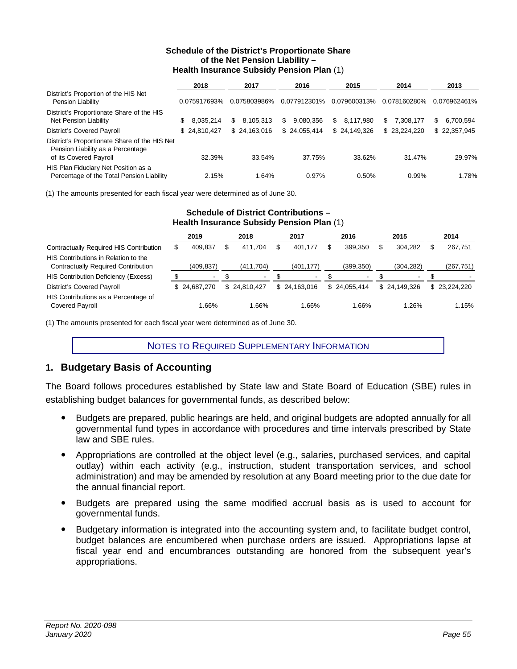#### **Schedule of the District's Proportionate Share of the Net Pension Liability – Health Insurance Subsidy Pension Plan** (1)

|                                                                                                              | 2018             | 2017             | 2016             | 2015             | 2014            | 2013           |
|--------------------------------------------------------------------------------------------------------------|------------------|------------------|------------------|------------------|-----------------|----------------|
| District's Proportion of the HIS Net<br>Pension Liability                                                    | 0.075917693%     | 0.075803986%     | 0.077912301%     | 0.079600313%     | 0.078160280%    | 0.076962461%   |
| District's Proportionate Share of the HIS<br>Net Pension Liability                                           | 8,035,214<br>\$. | 8.105.313<br>\$. | 9.080.356<br>\$. | 8.117.980<br>\$. | 7.308.177<br>S. | 6,700,594<br>S |
| District's Covered Payroll                                                                                   | \$24,810,427     | \$24,163,016     | \$24.055.414     | \$24,149,326     | \$23,224,220    | \$22,357,945   |
| District's Proportionate Share of the HIS Net<br>Pension Liability as a Percentage<br>of its Covered Payroll | 32.39%           | 33.54%           | 37.75%           | 33.62%           | 31.47%          | 29.97%         |
| HIS Plan Fiduciary Net Position as a<br>Percentage of the Total Pension Liability                            | 2.15%            | 1.64%            | 0.97%            | 0.50%            | 0.99%           | 1.78%          |

(1) The amounts presented for each fiscal year were determined as of June 30.

#### **Schedule of District Contributions – Health Insurance Subsidy Pension Plan** (1)

|                                                                                    |   | 2019         | 2018                     | 2017                     | 2016                     |   | 2015         | 2014         |
|------------------------------------------------------------------------------------|---|--------------|--------------------------|--------------------------|--------------------------|---|--------------|--------------|
| Contractually Required HIS Contribution                                            | S | 409.837      | 411.704                  | 401.177                  | 399.350                  | S | 304.282      | 267.751      |
| HIS Contributions in Relation to the<br><b>Contractually Required Contribution</b> |   | (409, 837)   | (411, 704)               | (401, 177)               | (399, 350)               |   | (304, 282)   | (267, 751)   |
| HIS Contribution Deficiency (Excess)                                               |   |              | $\overline{\phantom{a}}$ | $\overline{\phantom{a}}$ | $\overline{\phantom{0}}$ |   | ٠            |              |
| <b>District's Covered Payroll</b>                                                  |   | \$24,687,270 | \$24,810,427             | \$24,163,016             | \$24.055.414             |   | \$24.149.326 | \$23,224,220 |
| HIS Contributions as a Percentage of<br><b>Covered Payroll</b>                     |   | 1.66%        | 1.66%                    | 1.66%                    | 1.66%                    |   | 1.26%        | 1.15%        |

(1) The amounts presented for each fiscal year were determined as of June 30.

#### NOTES TO REQUIRED SUPPLEMENTARY INFORMATION

#### **1. Budgetary Basis of Accounting**

The Board follows procedures established by State law and State Board of Education (SBE) rules in establishing budget balances for governmental funds, as described below:

- Budgets are prepared, public hearings are held, and original budgets are adopted annually for all governmental fund types in accordance with procedures and time intervals prescribed by State law and SBE rules.
- Appropriations are controlled at the object level (e.g., salaries, purchased services, and capital outlay) within each activity (e.g., instruction, student transportation services, and school administration) and may be amended by resolution at any Board meeting prior to the due date for the annual financial report.
- Budgets are prepared using the same modified accrual basis as is used to account for governmental funds.
- Budgetary information is integrated into the accounting system and, to facilitate budget control, budget balances are encumbered when purchase orders are issued. Appropriations lapse at fiscal year end and encumbrances outstanding are honored from the subsequent year's appropriations.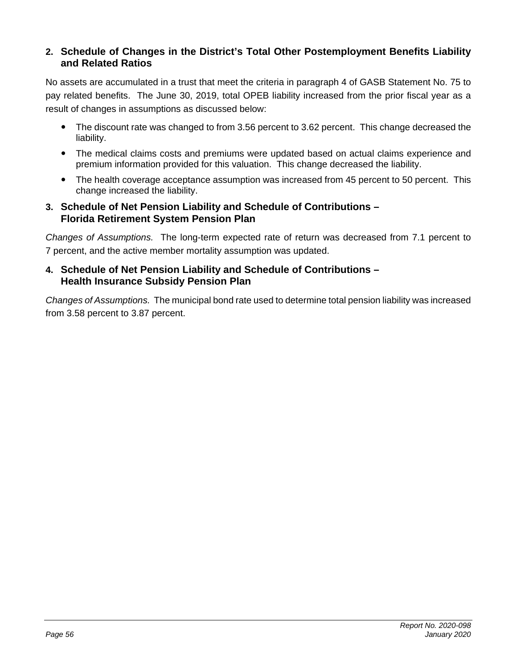#### **2. Schedule of Changes in the District's Total Other Postemployment Benefits Liability and Related Ratios**

No assets are accumulated in a trust that meet the criteria in paragraph 4 of GASB Statement No. 75 to pay related benefits. The June 30, 2019, total OPEB liability increased from the prior fiscal year as a result of changes in assumptions as discussed below:

- The discount rate was changed to from 3.56 percent to 3.62 percent. This change decreased the liability.
- The medical claims costs and premiums were updated based on actual claims experience and premium information provided for this valuation. This change decreased the liability.
- The health coverage acceptance assumption was increased from 45 percent to 50 percent. This change increased the liability.
- **3. Schedule of Net Pension Liability and Schedule of Contributions Florida Retirement System Pension Plan**

*Changes of Assumptions.* The long-term expected rate of return was decreased from 7.1 percent to 7 percent, and the active member mortality assumption was updated.

#### **4. Schedule of Net Pension Liability and Schedule of Contributions – Health Insurance Subsidy Pension Plan**

*Changes of Assumptions.* The municipal bond rate used to determine total pension liability was increased from 3.58 percent to 3.87 percent.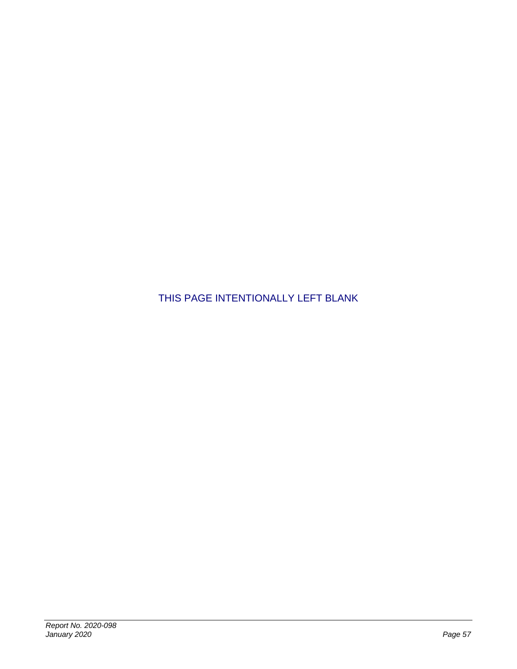THIS PAGE INTENTIONALLY LEFT BLANK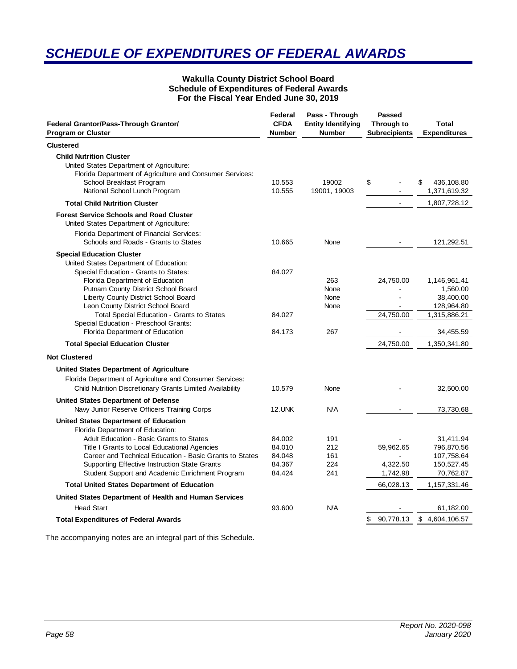# *SCHEDULE OF EXPENDITURES OF FEDERAL AWARDS*

#### **Wakulla County District School Board Schedule of Expenditures of Federal Awards For the Fiscal Year Ended June 30, 2019**

| Federal Grantor/Pass-Through Grantor/<br><b>Program or Cluster</b>                                                                                                                                  | Federal<br><b>CFDA</b><br><b>Number</b> | Pass - Through<br><b>Entity Identifying</b><br><b>Number</b> | <b>Passed</b><br>Through to<br><b>Subrecipients</b> | <b>Total</b><br><b>Expenditures</b> |
|-----------------------------------------------------------------------------------------------------------------------------------------------------------------------------------------------------|-----------------------------------------|--------------------------------------------------------------|-----------------------------------------------------|-------------------------------------|
| <b>Clustered</b>                                                                                                                                                                                    |                                         |                                                              |                                                     |                                     |
| <b>Child Nutrition Cluster</b><br>United States Department of Agriculture:<br>Florida Department of Agriculture and Consumer Services:<br>School Breakfast Program<br>National School Lunch Program | 10.553<br>10.555                        | 19002<br>19001, 19003                                        | \$                                                  | \$<br>436,108.80<br>1,371,619.32    |
| <b>Total Child Nutrition Cluster</b>                                                                                                                                                                |                                         |                                                              |                                                     | 1,807,728.12                        |
| <b>Forest Service Schools and Road Cluster</b><br>United States Department of Agriculture:<br>Florida Department of Financial Services:<br>Schools and Roads - Grants to States                     | 10.665                                  | None                                                         |                                                     | 121,292.51                          |
| <b>Special Education Cluster</b>                                                                                                                                                                    |                                         |                                                              |                                                     |                                     |
| United States Department of Education:<br>Special Education - Grants to States:<br>Florida Department of Education                                                                                  | 84.027                                  | 263                                                          | 24,750.00                                           | 1,146,961.41                        |
| Putnam County District School Board                                                                                                                                                                 |                                         | None                                                         |                                                     | 1,560.00                            |
| Liberty County District School Board                                                                                                                                                                |                                         | None                                                         |                                                     | 38,400.00                           |
| Leon County District School Board                                                                                                                                                                   |                                         | None                                                         |                                                     | 128,964.80                          |
| <b>Total Special Education - Grants to States</b><br>Special Education - Preschool Grants:                                                                                                          | 84.027                                  |                                                              | 24,750.00                                           | 1,315,886.21                        |
| Florida Department of Education                                                                                                                                                                     | 84.173                                  | 267                                                          |                                                     | 34,455.59                           |
| <b>Total Special Education Cluster</b>                                                                                                                                                              |                                         |                                                              | 24,750.00                                           | 1,350,341.80                        |
| <b>Not Clustered</b>                                                                                                                                                                                |                                         |                                                              |                                                     |                                     |
| <b>United States Department of Agriculture</b><br>Florida Department of Agriculture and Consumer Services:<br>Child Nutrition Discretionary Grants Limited Availability                             | 10.579                                  | None                                                         |                                                     | 32,500.00                           |
| <b>United States Department of Defense</b>                                                                                                                                                          |                                         |                                                              |                                                     |                                     |
| Navy Junior Reserve Officers Training Corps                                                                                                                                                         | <b>12.UNK</b>                           | N/A                                                          |                                                     | 73,730.68                           |
| <b>United States Department of Education</b><br>Florida Department of Education:                                                                                                                    |                                         |                                                              |                                                     |                                     |
| Adult Education - Basic Grants to States                                                                                                                                                            | 84.002                                  | 191                                                          |                                                     | 31,411.94                           |
| Title I Grants to Local Educational Agencies                                                                                                                                                        | 84.010                                  | 212                                                          | 59,962.65                                           | 796,870.56                          |
| Career and Technical Education - Basic Grants to States                                                                                                                                             | 84.048                                  | 161                                                          |                                                     | 107,758.64                          |
| Supporting Effective Instruction State Grants<br>Student Support and Academic Enrichment Program                                                                                                    | 84.367<br>84.424                        | 224<br>241                                                   | 4,322.50<br>1,742.98                                | 150,527.45<br>70,762.87             |
| <b>Total United States Department of Education</b>                                                                                                                                                  |                                         |                                                              | 66,028.13                                           | 1,157,331.46                        |
| United States Department of Health and Human Services                                                                                                                                               |                                         |                                                              |                                                     |                                     |
| <b>Head Start</b>                                                                                                                                                                                   | 93.600                                  | N/A                                                          |                                                     | 61,182.00                           |
| <b>Total Expenditures of Federal Awards</b>                                                                                                                                                         |                                         |                                                              | 90.778.13<br>\$                                     | \$4,604,106.57                      |

The accompanying notes are an integral part of this Schedule.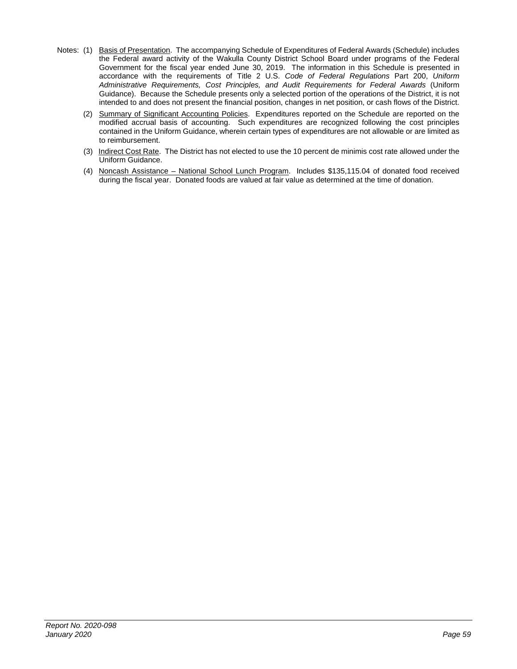- Notes: (1) Basis of Presentation. The accompanying Schedule of Expenditures of Federal Awards (Schedule) includes the Federal award activity of the Wakulla County District School Board under programs of the Federal Government for the fiscal year ended June 30, 2019. The information in this Schedule is presented in accordance with the requirements of Title 2 U.S. *Code of Federal Regulations* Part 200, *Uniform Administrative Requirements, Cost Principles, and Audit Requirements for Federal Awards* (Uniform Guidance). Because the Schedule presents only a selected portion of the operations of the District, it is not intended to and does not present the financial position, changes in net position, or cash flows of the District.
	- (2) Summary of Significant Accounting Policies. Expenditures reported on the Schedule are reported on the modified accrual basis of accounting. Such expenditures are recognized following the cost principles contained in the Uniform Guidance, wherein certain types of expenditures are not allowable or are limited as to reimbursement.
	- (3) Indirect Cost Rate. The District has not elected to use the 10 percent de minimis cost rate allowed under the Uniform Guidance.
	- (4) Noncash Assistance National School Lunch Program. Includes \$135,115.04 of donated food received during the fiscal year. Donated foods are valued at fair value as determined at the time of donation.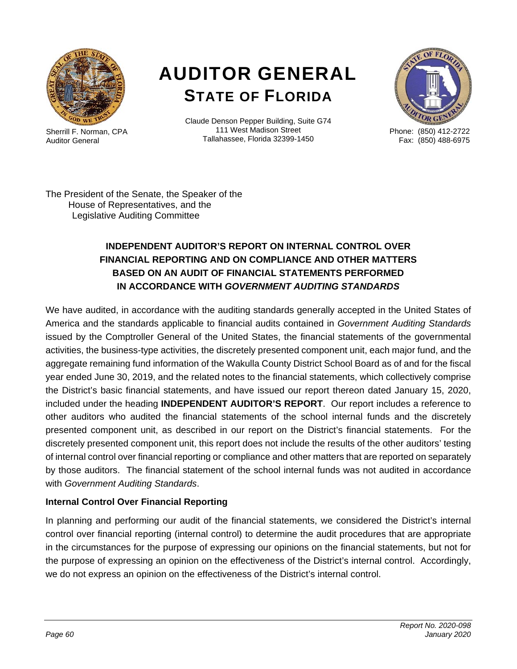

Sherrill F. Norman, CPA Auditor General

# **AUDITOR GENERAL STATE OF FLORIDA**

Claude Denson Pepper Building, Suite G74 111 West Madison Street Tallahassee, Florida 32399-1450



Phone: (850) 412-2722 Fax: (850) 488-6975

The President of the Senate, the Speaker of the House of Representatives, and the Legislative Auditing Committee

## **INDEPENDENT AUDITOR'S REPORT ON INTERNAL CONTROL OVER FINANCIAL REPORTING AND ON COMPLIANCE AND OTHER MATTERS BASED ON AN AUDIT OF FINANCIAL STATEMENTS PERFORMED IN ACCORDANCE WITH** *GOVERNMENT AUDITING STANDARDS*

We have audited, in accordance with the auditing standards generally accepted in the United States of America and the standards applicable to financial audits contained in *Government Auditing Standards* issued by the Comptroller General of the United States, the financial statements of the governmental activities, the business-type activities, the discretely presented component unit, each major fund, and the aggregate remaining fund information of the Wakulla County District School Board as of and for the fiscal year ended June 30, 2019, and the related notes to the financial statements, which collectively comprise the District's basic financial statements, and have issued our report thereon dated January 15, 2020, included under the heading **INDEPENDENT AUDITOR'S REPORT**. Our report includes a reference to other auditors who audited the financial statements of the school internal funds and the discretely presented component unit, as described in our report on the District's financial statements. For the discretely presented component unit, this report does not include the results of the other auditors' testing of internal control over financial reporting or compliance and other matters that are reported on separately by those auditors. The financial statement of the school internal funds was not audited in accordance with *Government Auditing Standards*.

#### **Internal Control Over Financial Reporting**

In planning and performing our audit of the financial statements, we considered the District's internal control over financial reporting (internal control) to determine the audit procedures that are appropriate in the circumstances for the purpose of expressing our opinions on the financial statements, but not for the purpose of expressing an opinion on the effectiveness of the District's internal control. Accordingly, we do not express an opinion on the effectiveness of the District's internal control.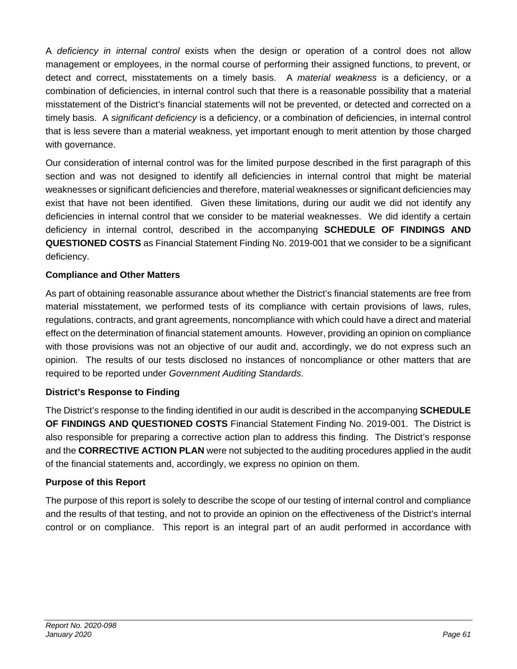A *deficiency in internal control* exists when the design or operation of a control does not allow management or employees, in the normal course of performing their assigned functions, to prevent, or detect and correct, misstatements on a timely basis. A *material weakness* is a deficiency, or a combination of deficiencies, in internal control such that there is a reasonable possibility that a material misstatement of the District's financial statements will not be prevented, or detected and corrected on a timely basis. A *significant deficiency* is a deficiency, or a combination of deficiencies, in internal control that is less severe than a material weakness, yet important enough to merit attention by those charged with governance.

Our consideration of internal control was for the limited purpose described in the first paragraph of this section and was not designed to identify all deficiencies in internal control that might be material weaknesses or significant deficiencies and therefore, material weaknesses or significant deficiencies may exist that have not been identified. Given these limitations, during our audit we did not identify any deficiencies in internal control that we consider to be material weaknesses. We did identify a certain deficiency in internal control, described in the accompanying **SCHEDULE OF FINDINGS AND QUESTIONED COSTS** as Financial Statement Finding No. 2019-001 that we consider to be a significant deficiency.

#### **Compliance and Other Matters**

As part of obtaining reasonable assurance about whether the District's financial statements are free from material misstatement, we performed tests of its compliance with certain provisions of laws, rules, regulations, contracts, and grant agreements, noncompliance with which could have a direct and material effect on the determination of financial statement amounts. However, providing an opinion on compliance with those provisions was not an objective of our audit and, accordingly, we do not express such an opinion. The results of our tests disclosed no instances of noncompliance or other matters that are required to be reported under *Government Auditing Standards*.

#### **District's Response to Finding**

The District's response to the finding identified in our audit is described in the accompanying **SCHEDULE OF FINDINGS AND QUESTIONED COSTS** Financial Statement Finding No. 2019-001. The District is also responsible for preparing a corrective action plan to address this finding. The District's response and the **CORRECTIVE ACTION PLAN** were not subjected to the auditing procedures applied in the audit of the financial statements and, accordingly, we express no opinion on them.

#### **Purpose of this Report**

The purpose of this report is solely to describe the scope of our testing of internal control and compliance and the results of that testing, and not to provide an opinion on the effectiveness of the District's internal control or on compliance. This report is an integral part of an audit performed in accordance with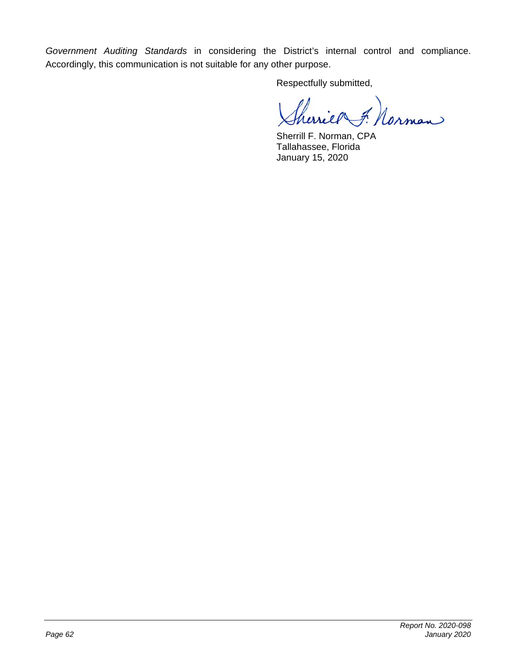*Government Auditing Standards* in considering the District's internal control and compliance. Accordingly, this communication is not suitable for any other purpose.

Respectfully submitted,

Verman errell

Sherrill F. Norman, CPA Tallahassee, Florida January 15, 2020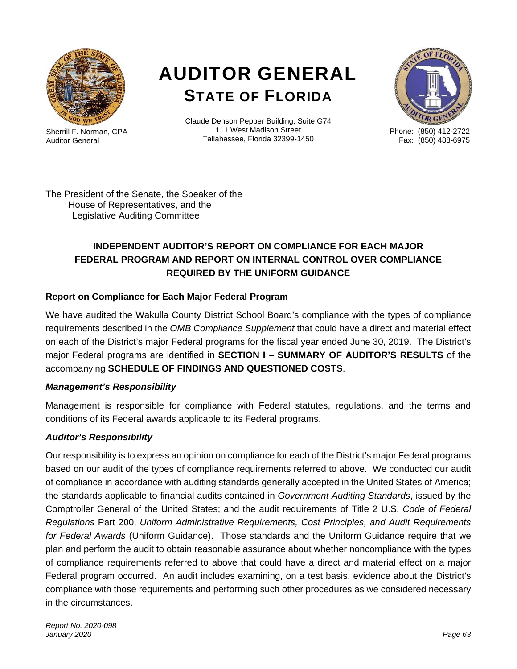

Sherrill F. Norman, CPA Auditor General

# **AUDITOR GENERAL STATE OF FLORIDA**

Claude Denson Pepper Building, Suite G74 111 West Madison Street Tallahassee, Florida 32399-1450



Phone: (850) 412-2722 Fax: (850) 488-6975

The President of the Senate, the Speaker of the House of Representatives, and the Legislative Auditing Committee

## **INDEPENDENT AUDITOR'S REPORT ON COMPLIANCE FOR EACH MAJOR FEDERAL PROGRAM AND REPORT ON INTERNAL CONTROL OVER COMPLIANCE REQUIRED BY THE UNIFORM GUIDANCE**

#### **Report on Compliance for Each Major Federal Program**

We have audited the Wakulla County District School Board's compliance with the types of compliance requirements described in the *OMB Compliance Supplement* that could have a direct and material effect on each of the District's major Federal programs for the fiscal year ended June 30, 2019. The District's major Federal programs are identified in **SECTION I – SUMMARY OF AUDITOR'S RESULTS** of the accompanying **SCHEDULE OF FINDINGS AND QUESTIONED COSTS**.

#### *Management's Responsibility*

Management is responsible for compliance with Federal statutes, regulations, and the terms and conditions of its Federal awards applicable to its Federal programs.

#### *Auditor's Responsibility*

Our responsibility is to express an opinion on compliance for each of the District's major Federal programs based on our audit of the types of compliance requirements referred to above. We conducted our audit of compliance in accordance with auditing standards generally accepted in the United States of America; the standards applicable to financial audits contained in *Government Auditing Standards*, issued by the Comptroller General of the United States; and the audit requirements of Title 2 U.S. *Code of Federal Regulations* Part 200, *Uniform Administrative Requirements, Cost Principles, and Audit Requirements for Federal Awards* (Uniform Guidance). Those standards and the Uniform Guidance require that we plan and perform the audit to obtain reasonable assurance about whether noncompliance with the types of compliance requirements referred to above that could have a direct and material effect on a major Federal program occurred. An audit includes examining, on a test basis, evidence about the District's compliance with those requirements and performing such other procedures as we considered necessary in the circumstances.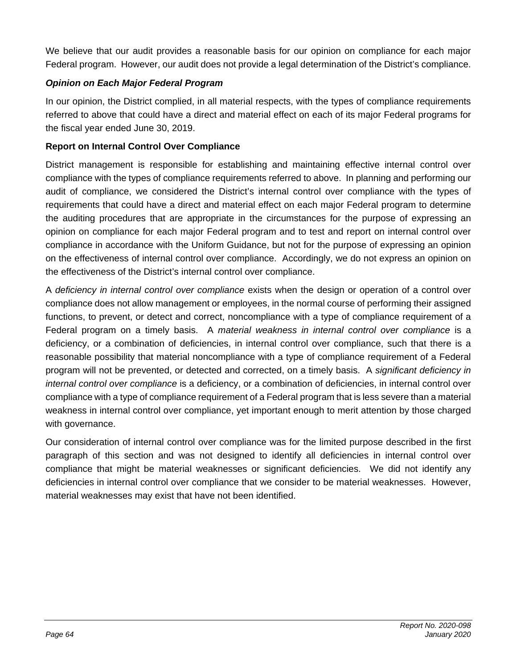We believe that our audit provides a reasonable basis for our opinion on compliance for each major Federal program. However, our audit does not provide a legal determination of the District's compliance.

#### *Opinion on Each Major Federal Program*

In our opinion, the District complied, in all material respects, with the types of compliance requirements referred to above that could have a direct and material effect on each of its major Federal programs for the fiscal year ended June 30, 2019.

#### **Report on Internal Control Over Compliance**

District management is responsible for establishing and maintaining effective internal control over compliance with the types of compliance requirements referred to above. In planning and performing our audit of compliance, we considered the District's internal control over compliance with the types of requirements that could have a direct and material effect on each major Federal program to determine the auditing procedures that are appropriate in the circumstances for the purpose of expressing an opinion on compliance for each major Federal program and to test and report on internal control over compliance in accordance with the Uniform Guidance, but not for the purpose of expressing an opinion on the effectiveness of internal control over compliance. Accordingly, we do not express an opinion on the effectiveness of the District's internal control over compliance.

A *deficiency in internal control over compliance* exists when the design or operation of a control over compliance does not allow management or employees, in the normal course of performing their assigned functions, to prevent, or detect and correct, noncompliance with a type of compliance requirement of a Federal program on a timely basis. A *material weakness in internal control over compliance* is a deficiency, or a combination of deficiencies, in internal control over compliance, such that there is a reasonable possibility that material noncompliance with a type of compliance requirement of a Federal program will not be prevented, or detected and corrected, on a timely basis. A *significant deficiency in internal control over compliance* is a deficiency, or a combination of deficiencies, in internal control over compliance with a type of compliance requirement of a Federal program that is less severe than a material weakness in internal control over compliance, yet important enough to merit attention by those charged with governance.

Our consideration of internal control over compliance was for the limited purpose described in the first paragraph of this section and was not designed to identify all deficiencies in internal control over compliance that might be material weaknesses or significant deficiencies. We did not identify any deficiencies in internal control over compliance that we consider to be material weaknesses. However, material weaknesses may exist that have not been identified.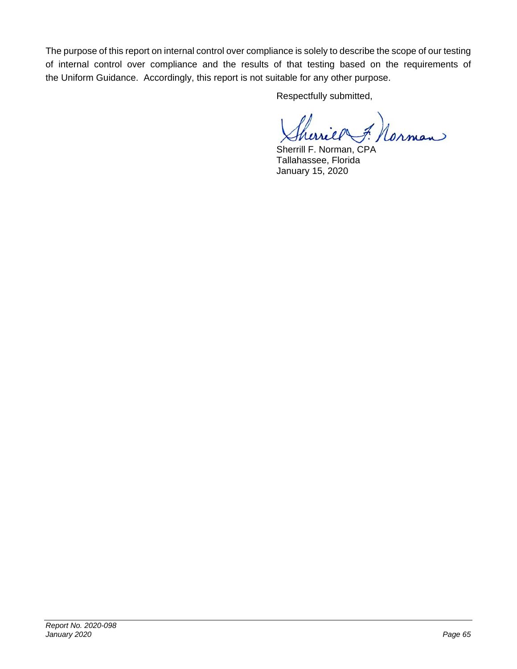The purpose of this report on internal control over compliance is solely to describe the scope of our testing of internal control over compliance and the results of that testing based on the requirements of the Uniform Guidance. Accordingly, this report is not suitable for any other purpose.

Respectfully submitted,

Sherriel F. Norman

Tallahassee, Florida January 15, 2020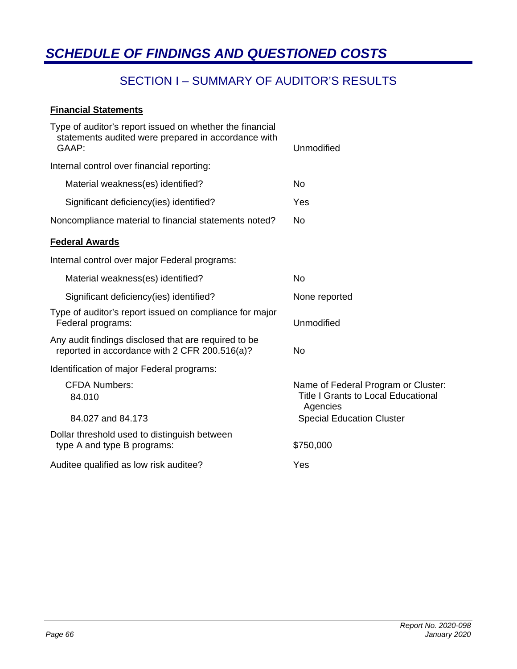# *SCHEDULE OF FINDINGS AND QUESTIONED COSTS*

## SECTION I – SUMMARY OF AUDITOR'S RESULTS

#### **Financial Statements**

| Type of auditor's report issued on whether the financial<br>statements audited were prepared in accordance with<br>GAAP: | Unmodified                                                                                    |
|--------------------------------------------------------------------------------------------------------------------------|-----------------------------------------------------------------------------------------------|
| Internal control over financial reporting:                                                                               |                                                                                               |
| Material weakness(es) identified?                                                                                        | <b>No</b>                                                                                     |
| Significant deficiency(ies) identified?                                                                                  | Yes                                                                                           |
| Noncompliance material to financial statements noted?                                                                    | No                                                                                            |
| <b>Federal Awards</b>                                                                                                    |                                                                                               |
| Internal control over major Federal programs:                                                                            |                                                                                               |
| Material weakness(es) identified?                                                                                        | <b>No</b>                                                                                     |
| Significant deficiency(ies) identified?                                                                                  | None reported                                                                                 |
| Type of auditor's report issued on compliance for major<br>Federal programs:                                             | Unmodified                                                                                    |
| Any audit findings disclosed that are required to be<br>reported in accordance with 2 CFR 200.516(a)?                    | <b>No</b>                                                                                     |
| Identification of major Federal programs:                                                                                |                                                                                               |
| <b>CFDA Numbers:</b><br>84.010                                                                                           | Name of Federal Program or Cluster:<br><b>Title I Grants to Local Educational</b><br>Agencies |
| 84,027 and 84,173                                                                                                        | <b>Special Education Cluster</b>                                                              |
| Dollar threshold used to distinguish between<br>type A and type B programs:                                              | \$750,000                                                                                     |
| Auditee qualified as low risk auditee?                                                                                   | Yes                                                                                           |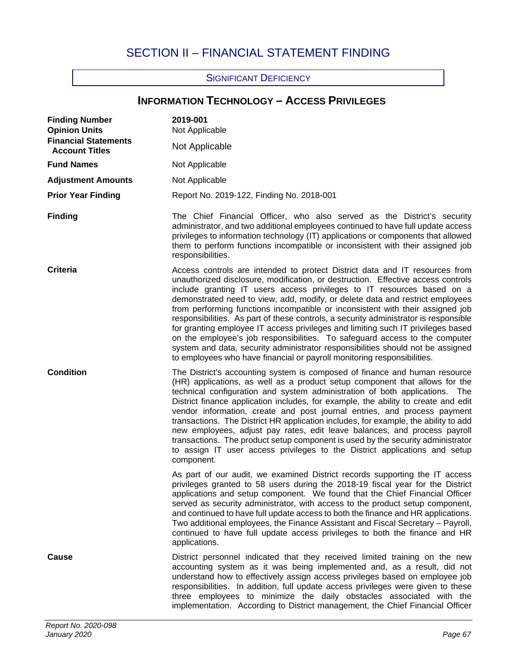### SECTION II – FINANCIAL STATEMENT FINDING

#### SIGNIFICANT DEFICIENCY

#### **INFORMATION TECHNOLOGY – ACCESS PRIVILEGES**

| <b>Finding Number</b><br><b>Opinion Units</b>        | 2019-001<br>Not Applicable                                                                                                                                                                                                                                                                                                                                                                                                                                                                                                                                                                                                                                                                                                                                                                                                            |  |  |
|------------------------------------------------------|---------------------------------------------------------------------------------------------------------------------------------------------------------------------------------------------------------------------------------------------------------------------------------------------------------------------------------------------------------------------------------------------------------------------------------------------------------------------------------------------------------------------------------------------------------------------------------------------------------------------------------------------------------------------------------------------------------------------------------------------------------------------------------------------------------------------------------------|--|--|
| <b>Financial Statements</b><br><b>Account Titles</b> | Not Applicable                                                                                                                                                                                                                                                                                                                                                                                                                                                                                                                                                                                                                                                                                                                                                                                                                        |  |  |
| <b>Fund Names</b>                                    | Not Applicable                                                                                                                                                                                                                                                                                                                                                                                                                                                                                                                                                                                                                                                                                                                                                                                                                        |  |  |
| <b>Adjustment Amounts</b>                            | Not Applicable                                                                                                                                                                                                                                                                                                                                                                                                                                                                                                                                                                                                                                                                                                                                                                                                                        |  |  |
| <b>Prior Year Finding</b>                            | Report No. 2019-122, Finding No. 2018-001                                                                                                                                                                                                                                                                                                                                                                                                                                                                                                                                                                                                                                                                                                                                                                                             |  |  |
| <b>Finding</b>                                       | The Chief Financial Officer, who also served as the District's security<br>administrator, and two additional employees continued to have full update access<br>privileges to information technology (IT) applications or components that allowed<br>them to perform functions incompatible or inconsistent with their assigned job<br>responsibilities.                                                                                                                                                                                                                                                                                                                                                                                                                                                                               |  |  |
| <b>Criteria</b>                                      | Access controls are intended to protect District data and IT resources from<br>unauthorized disclosure, modification, or destruction. Effective access controls<br>include granting IT users access privileges to IT resources based on a<br>demonstrated need to view, add, modify, or delete data and restrict employees<br>from performing functions incompatible or inconsistent with their assigned job<br>responsibilities. As part of these controls, a security administrator is responsible<br>for granting employee IT access privileges and limiting such IT privileges based<br>on the employee's job responsibilities. To safeguard access to the computer<br>system and data, security administrator responsibilities should not be assigned<br>to employees who have financial or payroll monitoring responsibilities. |  |  |
| <b>Condition</b>                                     | The District's accounting system is composed of finance and human resource<br>(HR) applications, as well as a product setup component that allows for the<br>technical configuration and system administration of both applications. The<br>District finance application includes, for example, the ability to create and edit<br>vendor information, create and post journal entries, and process payment<br>transactions. The District HR application includes, for example, the ability to add<br>new employees, adjust pay rates, edit leave balances, and process payroll<br>transactions. The product setup component is used by the security administrator<br>to assign IT user access privileges to the District applications and setup<br>component.                                                                         |  |  |
|                                                      | As part of our audit, we examined District records supporting the IT access<br>privileges granted to 58 users during the 2018-19 fiscal year for the District<br>applications and setup component. We found that the Chief Financial Officer<br>served as security administrator, with access to the product setup component,<br>and continued to have full update access to both the finance and HR applications.<br>Two additional employees, the Finance Assistant and Fiscal Secretary - Payroll,<br>continued to have full update access privileges to both the finance and HR<br>applications.                                                                                                                                                                                                                                  |  |  |
| Cause                                                | District personnel indicated that they received limited training on the new<br>accounting system as it was being implemented and, as a result, did not<br>understand how to effectively assign access privileges based on employee job<br>responsibilities. In addition, full update access privileges were given to these<br>three employees to minimize the daily obstacles associated with the<br>implementation. According to District management, the Chief Financial Officer                                                                                                                                                                                                                                                                                                                                                    |  |  |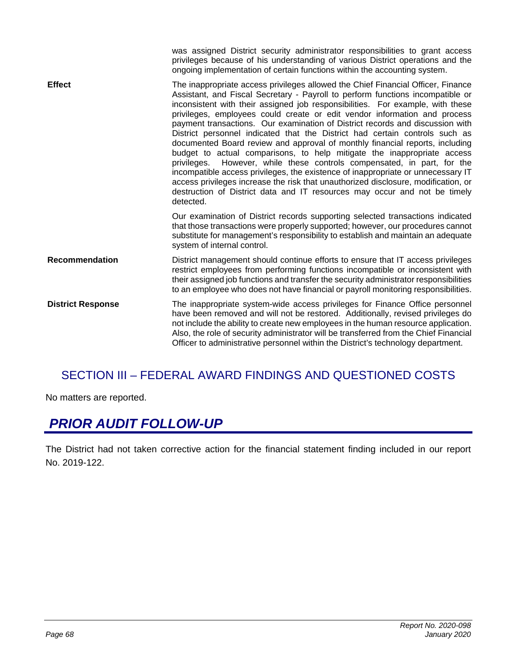|                          | was assigned District security administrator responsibilities to grant access<br>privileges because of his understanding of various District operations and the<br>ongoing implementation of certain functions within the accounting system.                                                                                                                                                                                                                                                                                                                                                                                                                                                                                                                                                                                                                                                                                                                                                                   |
|--------------------------|----------------------------------------------------------------------------------------------------------------------------------------------------------------------------------------------------------------------------------------------------------------------------------------------------------------------------------------------------------------------------------------------------------------------------------------------------------------------------------------------------------------------------------------------------------------------------------------------------------------------------------------------------------------------------------------------------------------------------------------------------------------------------------------------------------------------------------------------------------------------------------------------------------------------------------------------------------------------------------------------------------------|
| <b>Effect</b>            | The inappropriate access privileges allowed the Chief Financial Officer, Finance<br>Assistant, and Fiscal Secretary - Payroll to perform functions incompatible or<br>inconsistent with their assigned job responsibilities. For example, with these<br>privileges, employees could create or edit vendor information and process<br>payment transactions. Our examination of District records and discussion with<br>District personnel indicated that the District had certain controls such as<br>documented Board review and approval of monthly financial reports, including<br>budget to actual comparisons, to help mitigate the inappropriate access<br>However, while these controls compensated, in part, for the<br>privileges.<br>incompatible access privileges, the existence of inappropriate or unnecessary IT<br>access privileges increase the risk that unauthorized disclosure, modification, or<br>destruction of District data and IT resources may occur and not be timely<br>detected. |
|                          | Our examination of District records supporting selected transactions indicated<br>that those transactions were properly supported; however, our procedures cannot<br>substitute for management's responsibility to establish and maintain an adequate<br>system of internal control.                                                                                                                                                                                                                                                                                                                                                                                                                                                                                                                                                                                                                                                                                                                           |
| <b>Recommendation</b>    | District management should continue efforts to ensure that IT access privileges<br>restrict employees from performing functions incompatible or inconsistent with<br>their assigned job functions and transfer the security administrator responsibilities<br>to an employee who does not have financial or payroll monitoring responsibilities.                                                                                                                                                                                                                                                                                                                                                                                                                                                                                                                                                                                                                                                               |
| <b>District Response</b> | The inappropriate system-wide access privileges for Finance Office personnel<br>have been removed and will not be restored. Additionally, revised privileges do<br>not include the ability to create new employees in the human resource application.<br>Also, the role of security administrator will be transferred from the Chief Financial<br>Officer to administrative personnel within the District's technology department.                                                                                                                                                                                                                                                                                                                                                                                                                                                                                                                                                                             |

### SECTION III – FEDERAL AWARD FINDINGS AND QUESTIONED COSTS

No matters are reported.

# *PRIOR AUDIT FOLLOW-UP*

The District had not taken corrective action for the financial statement finding included in our report No. 2019-122.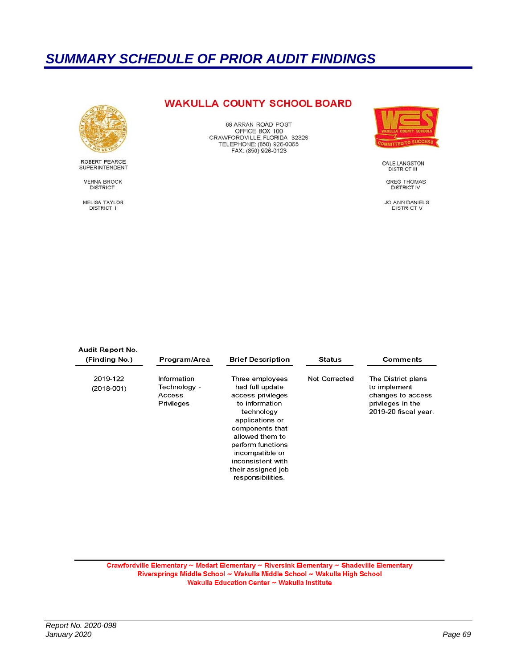## *SUMMARY SCHEDULE OF PRIOR AUDIT FINDINGS*



ROBERT PEARCE<br>SUPERINTENDENT

**VERNA BROCK** DISTRICT I

MELISA TAYLOR<br>DISTRICT II

#### **WAKULLA COUNTY SCHOOL BOARD**

69 ARRAN ROAD POST 69 AKKAN ROAD POST<br>CRAWFORDVILLE, FLORIDA 32326<br>TELEPHONE: (850) 926-0065<br>FAX: (850) 926-0123



CALE LANGSTON<br>DISTRICT III

**GREG THOMAS DISTRICT IV** 

JO ANN DANIELS<br>DISTRICT V

| Audit Report No.<br>(Finding No.) | Program/Area                                        | <b>Brief Description</b>                                                                                                                                                                                                                                 | <b>Status</b> | Comments                                                                                             |
|-----------------------------------|-----------------------------------------------------|----------------------------------------------------------------------------------------------------------------------------------------------------------------------------------------------------------------------------------------------------------|---------------|------------------------------------------------------------------------------------------------------|
| 2019-122<br>$(2018-001)$          | Information<br>Technology -<br>Access<br>Privileges | Three employees<br>had full update<br>access privileges<br>to information<br>technology<br>applications or<br>components that<br>allowed them to<br>perform functions<br>incompatible or<br>inconsistent with<br>their assigned job<br>responsibilities. | Not Corrected | The District plans<br>to implement<br>changes to access<br>privileges in the<br>2019-20 fiscal year. |

Crawfordville Elementary ~ Medart Elementary ~ Riversink Elementary ~ Shadeville Elementary Riversprings Middle School ~ Wakulla Middle School ~ Wakulla High School Wakulla Education Center ~ Wakulla Institute